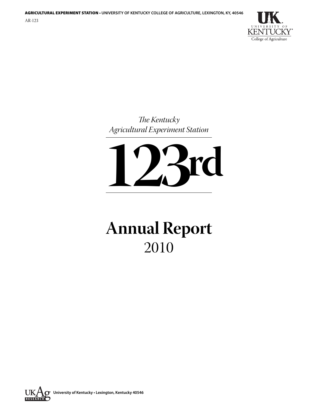

*The Kentucky Agricultural Experiment Station*



# **Annual Report** 2010

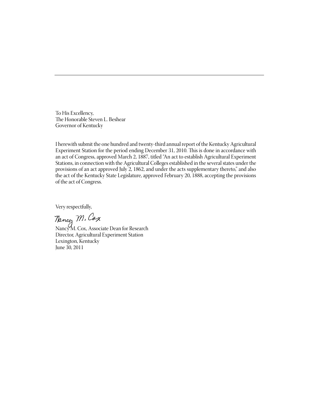To His Excellency, The Honorable Steven L. Beshear Governor of Kentucky

I herewith submit the one hundred and twenty-third annual report of the Kentucky Agricultural Experiment Station for the period ending December 31, 2010. This is done in accordance with an act of Congress, approved March 2, 1887, titled "An act to establish Agricultural Experiment Stations, in connection with the Agricultural Colleges established in the several states under the provisions of an act approved July 2, 1862, and under the acts supplementary thereto," and also the act of the Kentucky State Legislature, approved February 20, 1888, accepting the provisions of the act of Congress.

Very respectfully,

Nancy M. Cox, Associate Dean for Research Director, Agricultural Experiment Station Lexington, Kentucky June 30, 2011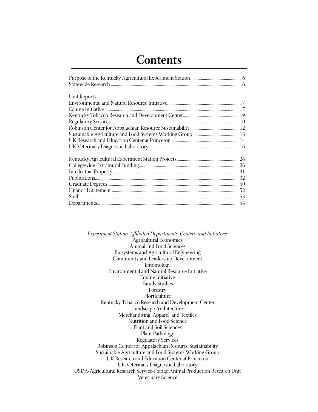# **Contents**

| Unit Reports: |  |
|---------------|--|
|               |  |
|               |  |
|               |  |
|               |  |
|               |  |
|               |  |
|               |  |
|               |  |
|               |  |
|               |  |
|               |  |
|               |  |
|               |  |
|               |  |
|               |  |
|               |  |
|               |  |

*Experiment Station-Affiliated Departments, Centers, and Initiatives* Agricultural Economics Animal and Food Sciences Biosystems and Agricultural Engineering Community and Leadership Development Entomology Environmental and Natural Resource Initiative Equine Initiative Family Studies Forestry Horticulture Kentucky Tobacco Research and Development Center Landscape Architecture Merchandising, Apparel, and Textiles Nutrition and Food Science Plant and Soil Sciences Plant Pathology Regulatory Services Robinson Center for Appalachian Resource Sustainability Sustainable Agriculture and Food Systems Working Group UK Research and Education Center at Princeton UK Veterinary Diagnostic Laboratory USDA-Agricultural Research Service-Forage Animal Production Research Unit Veterinary Science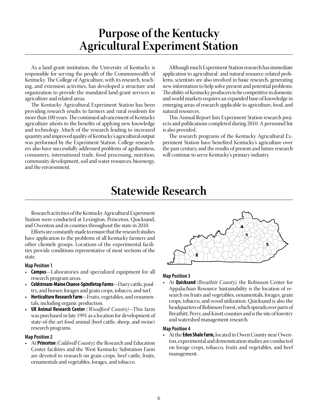# **Purpose of the Kentucky Agricultural Experiment Station**

As a land-grant institution, the University of Kentucky is responsible for serving the people of the Commonwealth of Kentucky. The College of Agriculture, with its research, teaching, and extension activities, has developed a structure and organization to provide the mandated land-grant services in agriculture and related areas.

The Kentucky Agricultural Experiment Station has been providing research results to farmers and rural residents for more than 100 years. The continued advancement of Kentucky agriculture attests to the benefits of applying new knowledge and technology. Much of the research leading to increased quantity and improved quality of Kentucky's agricultural output was performed by the Experiment Station. College researchers also have successfully addressed problems of agribusiness, consumers, international trade, food processing, nutrition, community development, soil and water resources, bioenergy, and the environment.

Although much Experiment Station research has immediate application to agricultural- and natural resource-related problems, scientists are also involved in basic research, generating new information to help solve present and potential problems. The ability of Kentucky producers to be competitive in domestic and world markets requires an expanded base of knowledge in emerging areas of research applicable to agriculture, food, and natural resources.

This Annual Report lists Experiment Station research projects and publications completed during 2010. A personnel list is also provided.

The research programs of the Kentucky Agricultural Experiment Station have benefited Kentucky's agriculture over the past century, and the results of present and future research will continue to serve Kentucky's primary industry.

# **Statewide Research**

Research activities of the Kentucky Agricultural Experiment Station were conducted at Lexington, Princeton, Quicksand, and Owenton and in counties throughout the state in 2010.

Efforts are constantly made to ensure that the research studies have application to the problems of all Kentucky farmers and other clientele groups. Locations of the experimental facilities provide conditions representative of most sections of the state.

### **Map Position 1**

- • **Campus**—Laboratories and specialized equipment for all research program areas.
- **Coldstream-Maine Chance-Spindletop Farms**—Dairy cattle, poultry, and horses; forages and grain crops, tobacco, and turf.
- **Horticulture Research Farm**—Fruits, vegetables, and ornamentals, including organic production.
- • **UK Animal Research Center** *(Woodford County)*—This farm was purchased in late 1991 as a location for development of state-of-the-art food animal (beef cattle, sheep, and swine) research programs.

### **Map Position 2**

• At **Princeton** *(Caldwell County),* the Research and Education Center facilities and the West Kentucky Substation Farm are devoted to research on grain crops, beef cattle, fruits, ornamentals and vegetables, forages, and tobacco.



### **Map Position 3**

• At **Quicksand** *(Breathitt County),* the Robinson Center for Appalachian Resource Sustainability is the location of research on fruits and vegetables, ornamentals, forages, grain crops, tobacco, and wood utilization. Quicksand is also the headquarters of Robinson Forest, which spreads over parts of Breathitt, Perry, and Knott counties and is the site of forestry and watershed management research.

### **Map Position 4**

• At the **Eden Shale Farm,** located in Owen County near Owenton, experimental and demonstration studies are conducted on forage crops, tobacco, fruits and vegetables, and beef management.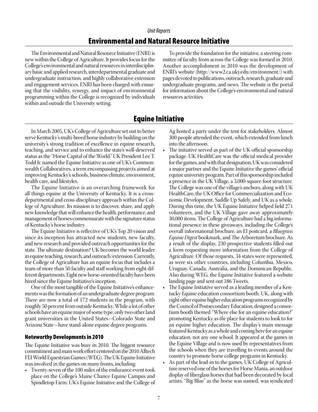### *Unit Reports*

# Environmental and Natural Resource Initiative

The Environmental and Natural Resource Initiative (ENRI) is new within the College of Agriculture. It provides focus for the College's environmental and natural resources in interdisciplinary basic and applied research, interdepartmental graduate and undergraduate instruction, and highly collaborative extension and engagement services. ENRI has been charged with ensuring that the visibility, synergy, and impact of environmental programming within the College is recognized by individuals within and outside the University setting.

To provide the foundation for the initiative, a steering committee of faculty from across the College was formed in 2010. Another accomplishment in 2010 was the development of ENRI's website (http://www2.ca.uky.edu/environment/) with pages devoted to publications, outreach, research, graduate and undergraduate programs, and news. The website is the portal for information about the College's environmental and natural resources activities.

# Equine Initiative

In March 2005, UK's College of Agriculture set out to better serve Kentucky's multi-breed horse industry by building on the university's strong tradition of excellence in equine research, teaching, and service and to enhance the state's well-deserved status as the "Horse Capital of the World." UK President Lee T. Todd Jr. named the Equine Initiative as one of UK's Commonwealth Collaboratives, a term encompassing projects aimed at improving Kentucky's schools, business climate, environment, health care, and lifestyles.

The Equine Initiative is an overarching framework for all things equine at the University of Kentucky. It is a crossdepartmental and cross-disciplinary approach within the College of Agriculture. Its mission is to discover, share, and apply new knowledge that will enhance the health, performance, and management of horses commensurate with the signature status of Kentucky's horse industry.

The Equine Initiative is reflective of UK's Top 20 vision and since its inception has attracted new students, new faculty, and new research and provided outreach opportunities for the state. The ultimate destination? UK becomes the world leader in equine teaching, research, and outreach/extension. Currently, the College of Agriculture has an equine focus that includes a team of more than 50 faculty and staff working from eight different departments. Eight new horse-oriented faculty have been hired since the Equine Initiative's inception.

One of the most tangible of the Equine Initiative's enhancements was the formation of an undergraduate degree program. There are now a total of 172 students in the program, with roughly 50 percent from outside Kentucky. While a lot of other schools have an equine major of some type, only two other land grant universities in the United States—Colorado State and Arizona State—have stand-alone equine degree programs.

### Noteworthy Developments in 2010

The Equine Initiative was busy in 2010. The biggest resource commitment and main work effort centered on the 2010 Alltech FEI World Equestrian Games (WEG). The UK Equine Initiative was involved in the games on many fronts, including:

• Twenty-seven of the 100 miles of the endurance event took place on the College's Maine Chance Equine Campus and Spindletop Farm. UK's Equine Initiative and the College of

Ag hosted a party under the tent for stakeholders. Almost 300 people attended the event, which extended from lunch into the afternoon.

- The initiative served as part of the UK official sponsorship package. UK HealthCare was the official medical provider for the games, and with that designation, UK was considered a major partner and the Equine Initiative the games' official equine university program. Part of this sponsorship included a presence in the UK Village, a 3,000-square-foot structure. The College was one of the village's anchors, along with UK HealthCare, the UK Office for Commercialization and Economic Development, Saddle Up Safely, and UK as a whole. During this time, the UK Equine Initiative helped field 271 volunteers, and the UK Village gave away approximately 30,000 items. The College of Agriculture had a big informational presence in these giveaways, including the College's overall informational brochure, an EI postcard, a *Bluegrass Equine Digest* bookmark, and The Arboretum brochure. As a result of the display, 230 prospective students filled out a form requesting more information from the College of Agriculture. Of those requests, 34 states were represented, as were six other countries, including Columbia, Mexico, Uruguay, Canada, Australia, and the Dominican Republic. Also during WEG, the Equine Initiative featured a website landing page and sent out 186 Tweets.
- The Equine Initiative served as a leading member of a Kentucky Equine education consortium booth. UK, along with eight other equine higher education programs recognized by the Council of Postsecondary Education, designed a consortium booth themed "Where else for an equine education?" promoting Kentucky as *the* place for students to look to for an equine higher education. The display's main message featured Kentucky as a whole and coming here for an equine education, not any one school. It appeared at the games in the Equine Village and is now used by representatives from the schools when they are travelling to events around the country to promote horse college programs in Kentucky.
- As part of the lead-in to the games, UK College of Agriculture reserved one of the horses for Horse Mania, an outdoor display of fiberglass horses that had been decorated by local artists. "Big Blue" as the horse was named, was syndicated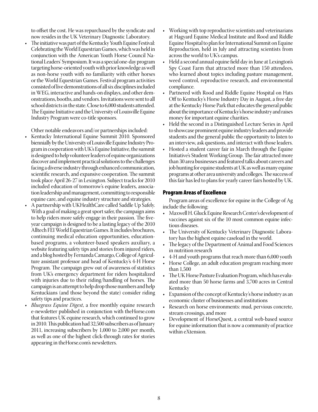to offset the cost. He was repurchased by the syndicate and now resides in the UK Veterinary Diagnostic Laboratory.

The initiative was part of the Kentucky Youth Equine Festival: Celebrating the World Equestrian Games, which was held in conjunction with the American Youth Horse Council National Leaders' Symposium. It was a special one-day program targeting horse-oriented youth with prior knowledge as well as non-horse youth with no familiarity with either horses or the World Equestrian Games. Festival program activities consisted of live demonstrations of all six disciplines included in WEG, interactive and hands-on displays, and other demonstrations, booths, and vendors. Invitations were sent to all school districts in the state. Close to 6,000 students attended. The Equine Initiative and the University of Louisville Equine Industry Program were co-title sponsors.

Other notable endeavors and/or partnerships included:

- Kentucky International Equine Summit 2010. Sponsored biennially by the University of Louisville Equine Industry Program in cooperation with UK's Equine Initiative, the summit is designed to help volunteer leaders of equine organizations discover and implement practical solutions to the challenges facing a diverse industry through enhanced communication, scientific research, and expansive cooperation. The summit took place April 26-27 in Lexington. Subject tracks for 2010 included education of tomorrow's equine leaders, association leadership and management, committing to responsible equine care, and equine industry structure and strategies.
- A partnership with UKHealthCare called Saddle Up Safely. With a goal of making a great sport safer, the campaign aims to help riders more safely engage in their passion. The fiveyear campaign is designed to be a lasting legacy of the 2010 Alltech FEI World Equestrian Games. It includes brochures, continuing medical education opportunities, educationbased programs, a volunteer-based speakers auxiliary, a website featuring safety tips and stories from injured riders, and a blog hosted by Fernanda Camargo, College of Agriculture assistant professor and head of Kentucky's 4-H Horse Program. The campaign grew out of awareness of statistics from UK's emergency department for riders hospitalized with injuries due to their riding/handling of horses. The campaign is an attempt to help drop those numbers and help Kentuckians (and those beyond the state) consider riding safety tips and practices.
- *Bluegrass Equine Digest*, a free monthly equine research e-newsletter published in conjunction with theHorse.com that features UK equine research, which continued to grow in 2010. This publication had 32,500 subscribers as of January 2011, increasing subscribers by 1,000 to 2,000 per month, as well as one of the highest click-through rates for stories appearing in theHorse.com's newsletters.
- Working with top reproductive scientists and veterinarians at Hagyard Equine Medical Institute and Rood and Riddle Equine Hospital to plan for International Summit on Equine Reproduction, held in July and attracting scientists from across the world to UK's campus.
- Held a second annual equine field day in June at Lexington's Spy Coast Farm that attracted more than 150 attendees, who learned about topics including pasture management, weed control, reproductive research, and environmental compliance.
- Partnered with Rood and Riddle Equine Hospital on Hats Off to Kentucky's Horse Industry Day in August, a free day at the Kentucky Horse Park that educates the general public about the importance of Kentucky's horse industry and raises money for important equine charities.
- Held the second in a Distinguished Lecture Series in April to showcase prominent equine industry leaders and provide students and the general public the opportunity to listen to an interview, ask questions, and interact with those leaders.
- Hosted a student career fair in March through the Equine Initiative's Student Working Group. The fair attracted more than 30 area businesses and featured talks about careers and job hunting for equine students at UK as well as many equine programs at other area university and colleges. The success of this fair has led to plans for yearly career fairs hosted by UK.

# Program Areas of Excellence

Program areas of excellence for equine in the College of Ag include the following:

- Maxwell H. Gluck Equine Research Center's development of vaccines against six of the 10 most common equine infectious diseases.
- The University of Kentucky Veterinary Diagnostic Laboratory has the highest equine caseload in the world.
- The legacy of the Department of Animal and Food Sciences in nutrition research
- 4-H and youth programs that reach more than 6,000 youth
- Horse College, an adult education program reaching more than 1,500
- The UK Horse Pasture Evaluation Program, which has evaluated more than 50 horse farms and 3,700 acres in Central Kentucky
- • Expansion of the concept of Kentucky's horse industry as an economic cluster of businesses and institutions
- • Research on horse environments: mud, pervious concrete, stream crossings, and more
- Development of HorseQuest, a central web-based source for equine information that is now a community of practice within eXtension.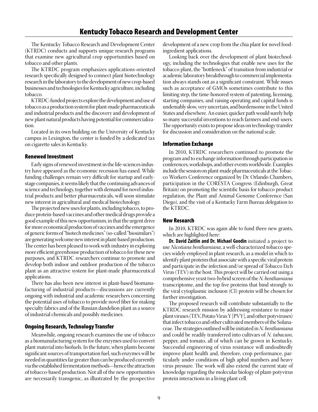The Kentucky Tobacco Research and Development Center (KTRDC) conducts and supports unique research programs that examine new agricultural crop opportunities based on tobacco and other plants.

The KTRDC program emphasizes applications-oriented research specifically designed to connect plant biotechnology research in the laboratory to the development of new crop-based businesses and technologies for Kentucky agriculture, including tobacco.

KTRDC-funded projects explore the development and use of tobacco as a production system for plant-made pharmaceuticals and industrial products and the discovery and development of new plant natural products having potential for commercialization.

Located in its own building on the University of Kentucky campus in Lexington, the center is funded by a dedicated tax on cigarette sales in Kentucky.

# Renewed Investment

Early signs of renewed investment in the life-sciences industry have appeared as the economic recession has eased. While funding challenges remain very difficult for startup and earlystage companies, it seems likely that the continuing advances of science and technology, together with demand for novel industrial products and better pharmaceuticals, will soon stimulate new interest in agricultural and medical biotechnology.

The projected new uses for plants, including tobacco, to produce protein-based vaccines and other medical drugs provide a good example of this new opportunism, in that the urgent drive for more economical production of vaccines and the emergence of generic forms of "biotech medicines" (so-called "biosimilars") are generating welcome new interest in plant-based production. The center has been pleased to work with industry in exploring more efficient greenhouse production of tobacco for these new purposes, and KTRDC researchers continue to promote and develop both indoor and outdoor production of the tobacco plant as an attractive system for plant-made pharmaceutical applications.

There has also been new interest in plant-based biomanufacturing of industrial products—discussions are currently ongoing with industrial and academic researchers concerning the potential uses of tobacco to provide novel fiber for making specialty fabrics and of the Russian dandelion plant as a source of industrial chemicals and possibly medicines.

# Ongoing Research, Technology Transfer

Meanwhile, ongoing research examines the use of tobacco as a biomanufacturing system for the enzymes used to convert plant material into biofuels. In the future, when plants become significant sources of transportation fuel, such enzymes will be needed in quantities far greater than can be produced currently via the established fermentation methods—hence the attraction of tobacco-based production. Not all of the new opportunities are necessarily transgenic, as illustrated by the prospective

development of a new crop from the chia plant for novel foodingredient applications.

Looking back over the development of plant biotechnology, including the technologies that enable new uses for the tobacco plant, the "bottleneck" of transition from industrial or academic laboratory breakthrough to commercial implementation always stands out as a significant constraint. While issues such as acceptance of GMOs sometimes contribute to this limiting step, the time-honored system of patenting, licensing, starting companies, and raising operating and capital funds is undeniably slow, very uncertain, and burdensome in the United States and elsewhere. An easier, quicker path would surely help so many successful inventions to reach farmers and end-users. The opportunity exists to propose ideas on technology transfer for discussion and consideration on the national scale.

# Information Exchange

In 2010, KTRDC researchers continued to promote the program and to exchange information through participation in conferences, workshops, and other events worldwide. Examples include the session on plant-made pharmaceuticals at the Tobacco Workers Conference organized by Dr. Orlando Chambers, participation in the CORESTA Congress (Edinburgh, Great Britain) on promoting the scientific basis for tobacco product regulation, the Plant and Animal Genome Conference (San Diego), and the visit of a Kentucky Farm Bureau delegation to the KTRDC.

# New Research

In 2010, KTRDC was again able to fund three new grants, which are highlighted here:

**Dr. David Zaitlin and Dr. Michael Goodin** initiated a project to use *Nicotiana benthamiana*, a well-characterized tobacco species widely employed in plant research, as a model in which to identify plant proteins that associate with a specific viral protein and participate in the infection and/or spread of Tobacco Etch Virus (TEV) in the host. This project will be carried out using a comprehensive yeast two-hybrid screen of the *N. benthamiana*  transcriptome, and the top five proteins that bind strongly to the viral cytoplasmic inclusion (CI) protein will be chosen for further investigation.

The proposed research will contribute substantially to the KTRDC research mission by addressing resistance to major plant viruses (TEV, Potato Virus Y [PVY], and other potyviruses) that infect tobacco and other cultivated members of the Solanaceae. The strategies outlined will be initiated in *N. benthamiana* and could be readily transferred into cultivars of *N. tabacum*, pepper, and tomato, all of which can be grown in Kentucky. Successful engineering of virus resistance will undoubtedly improve plant health and, therefore, crop performance, particularly under conditions of high aphid numbers and heavy virus pressure. The work will also extend the current state of knowledge regarding the molecular biology of plant-potyvirus protein interactions in a living plant cell.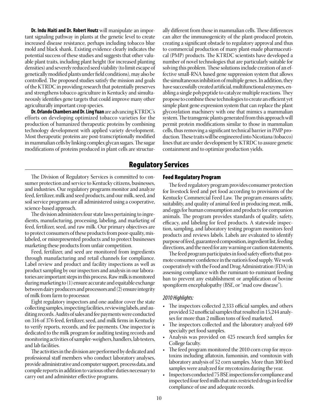**Dr. Indu Maiti and Dr. Robert Houtz** will manipulate an important signaling pathway in plants at the genetic level to create increased disease resistance, perhaps including tobacco blue mold and black shank. Existing evidence clearly indicates the potential success of these studies and suggests that other valuable plant traits, including plant height (for increased planting densities) and severely reduced seed viability (to limit escape of genetically modified plants under field conditions), may also be controlled. The proposed studies satisfy the mission and goals of the KTRDC in providing research that potentially preserves and strengthens tobacco agriculture in Kentucky and simultaneously identifies gene targets that could improve many other agriculturally important crop species.

**Dr. Orlando Chambers and Dr. Ling Yuan** are advancing KTRDC's efforts on developing optimized tobacco varieties for the production of humanized therapeutic proteins by combining technology development with applied variety development. Most therapeutic proteins are post-transcriptionally modified in mammalian cells by linking complex glycan sugars. The sugar modifications of proteins produced in plant cells are structurally different from those in mammalian cells. These differences can alter the immunogenicity of the plant-produced protein, creating a significant obstacle to regulatory approval and thus to commercial production of many plant-made pharmaceutical (PMP) products. The KTRDC scientists have developed a number of novel technologies that are particularly suitable for solving this problem. These solutions include creation of an effective small-RNA based gene suppression system that allows the simultaneous inhibition of multiple genes. In addition, they have successfully created artificial, multifunctional enzymes, enabling a single polypeptide to catalyze multiple reactions. They propose to combine these technologies to create an efficient yet simple plant gene expression system that can replace the plant glycosylation machinery with one that mimics a mammalian system. The transgenic plants generated from this approach will permit protein modifications similar to those in mammalian cells, thus removing a significant technical barrier in PMP production. These traits will be engineered into Nicotiana (tobacco) lines that are under development by KTRDC to assure genetic containment and to optimize production yields.

# Regulatory Services

The Division of Regulatory Services is committed to consumer protection and service to Kentucky citizens, businesses, and industries. Our regulatory programs monitor and analyze feed, fertilizer, milk and seed products, and our milk, seed, and soil service programs are all administered using a cooperative, science-based approach.

The division administers four state laws pertaining to ingredients, manufacturing, processing, labeling, and marketing of feed, fertilizer, seed, and raw milk. Our primary objectives are to protect consumers of these products from poor-quality, mislabeled, or misrepresented products and to protect businesses marketing these products from unfair competition.

Feed, fertilizer, and seed are monitored from ingredients through manufacturing and retail channels for compliance. Label review and product and facility inspections as well as product sampling by our inspectors and analysis in our laboratories are important steps in this process. Raw milk is monitored during marketing to (1) ensure accurate and equitable exchange between dairy producers and processors and (2) ensure integrity of milk from farm to processor.

Eight regulatory inspectors and one auditor cover the state collecting samples, inspecting facilities, reviewing labels, and auditing records. Audits of sales and fee payments were conducted on 316 of 376 feed, fertilizer, seed, and milk firms in Kentucky to verify reports, records, and fee payments. One inspector is dedicated to the milk program for auditing testing records and monitoring activities of sampler-weighers, handlers, lab testers, and lab facilities.

The activities in the division are performed by dedicated and professional staff members who conduct laboratory analyses, provide administrative and computer support, process data, and compile reports in addition to various other duties necessary to carry out and administer effective programs.

### Feed Regulatory Program

The feed regulatory program provides consumer protection for livestock feed and pet food according to provisions of the Kentucky Commercial Feed Law. The program ensures safety, suitability, and quality of animal feed in producing meat, milk, and eggs for human consumption and products for companion animals. The program provides standards of quality, safety, efficacy, and labeling for feed products. A statewide inspection, sampling, and laboratory testing program monitors feed products and reviews labels. Labels are evaluated to identify purpose of feed, guaranteed composition, ingredient list, feeding directions, and the need for any warning or caution statements.

The feed program participates in food safety efforts that promote consumer confidence in the nation's food supply. We work cooperatively with the Food and Drug Administration (FDA) in assessing compliance with the ruminant-to-ruminant feeding ban to prevent any establishment or amplification of bovine spongiform encephalopathy (BSE, or "mad cow disease").

### *2010 Highlights:*

- The inspectors collected 2,333 official samples, and others provided 52 unofficial samples that resulted in 15,244 analyses for more than 2 million tons of feed marketed.
- The inspectors collected and the laboratory analyzed 649 specialty pet food samples.
- • Analysis was provided on 425 research feed samples for College faculty.
- The feed program monitored the 2010 corn crop for mycotoxins including aflatoxin, fumonisin, and vomitoxin with laboratory analysis of 52 corn samples. More than 300 feed samples were analyzed for mycotoxins during the year.
- Inspectors conducted 75 BSE inspections for compliance and inspected four feed mills that mix restricted drugs in feed for compliance of use and adequate records.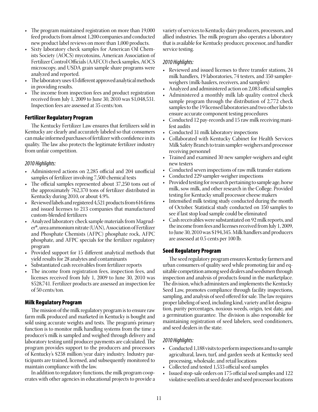- The program maintained registration on more than 19,000 feed products from almost 1,200 companies and conducted new product label reviews on more than 1,000 products.
- Sixty laboratory check samples for American Oil Chemists Society (AOCS) mycotoxins, American Association of Fertilizer Control Officials (AAFCO) check samples, AOCS microscopy, and USDA grain sample share programs were analyzed and reported.
- The laboratory uses 43 different approved analytical methods in providing results.
- The income from inspection fees and product registration received from July 1, 2009 to June 30, 2010 was \$1,048,531. Inspection fees are assessed at 35 cents/ton.

# Fertilizer Regulatory Program

The Kentucky Fertilizer Law ensures that fertilizers sold in Kentucky are clearly and accurately labeled so that consumers can make informed purchases of fertilizer with confidence in its quality. The law also protects the legitimate fertilizer industry from unfair competition.

### *2010 Highlights:*

- Administered actions on 2,285 official and 204 unofficial samples of fertilizer involving 7,500 chemical tests
- The official samples represented about 37,250 tons out of the approximately 762,370 tons of fertilizer distributed in Kentucky during 2010, or about 4.9%.
- Reviewed labels and registered 4,521 products from 616 firms and issued licenses to 213 companies that manufactured custom-blended fertilizers
- Analyzed laboratory check sample materials from Magruder®, urea ammonium nitrate (UAN), Association of Fertilizer and Phosphate Chemists (AFPC) phosphate rock, AFPC phosphate, and AFPC specials for the fertilizer regulatory program
- Provided support for 15 different analytical methods that yield results for 28 analytes and contaminants
- Substantiated cash receivables from fertilizer reports
- The income from registration fees, inspection fees, and licenses received from July 1, 2009 to June 30, 2010 was \$528,741. Fertilizer products are assessed an inspection fee of 50 cents/ton.

# Milk Regulatory Program

The mission of the milk regulatory program is to ensure raw farm milk produced and marketed in Kentucky is bought and sold using accurate weights and tests. The program's primary function is to monitor milk handling systems from the time a producer's milk is sampled and weighed through delivery and laboratory testing until producer payments are calculated. The program provides support to the producers and processors of Kentucky's \$238 million/year dairy industry. Industry participants are trained, licensed, and subsequently monitored to maintain compliance with the law.

In addition to regulatory functions, the milk program cooperates with other agencies in educational projects to provide a variety of services to Kentucky dairy producers, processors, and allied industries. The milk program also operates a laboratory that is available for Kentucky producer, processor, and handler service testing.

# *2010 Highlights:*

- Reviewed and issued licenses to three transfer stations, 24 milk handlers, 19 laboratories, 74 testers, and 350 samplerweighers (milk-haulers, receivers, and samplers)
- Analyzed and administered action on 2,083 official samples
- Administered a monthly milk lab quality control check sample program through the distribution of 2,772 check samples to the 19 licensed laboratories and two other labs to ensure accurate component testing procedures
- Conducted 12 pay-records and 15 raw milk receiving manifest audits
- Conducted 31 milk laboratory inspections
- Collaborated with Kentucky Cabinet for Health Services Milk Safety Branch to train sampler-weighers and processor receiving personnel
- Trained and examined 30 new sampler-weighers and eight new testers
- Conducted seven inspections of raw milk transfer stations
- Conducted 229 sampler-weigher inspections
- Provided testing for research pertaining to sample age, horse milk, sow milk, and other research in the College. Provided testing for Kentucky small processor cheese makers
- Intensified milk testing study conducted during the month of October. Statistical study conducted on 350 samples to see if last stop load sample could be eliminated
- Cash receivables were substantiated on 92 milk reports, and the income from fees and licenses received from July 1, 2009, to June 30, 2010 was \$194,345. Milk handlers and producers are assessed at 0.5 cents per 100 lb.

# Seed Regulatory Program

The seed regulatory program ensures Kentucky farmers and urban consumers of quality seed while promoting fair and equitable competition among seed dealers and seedsmen through inspection and analysis of products found in the marketplace. The division, which administers and implements the Kentucky Seed Law, promotes compliance through facility inspections, sampling, and analysis of seed offered for sale. The law requires proper labeling of seed, including kind, variety and lot designation, purity percentages, noxious weeds, origin, test date, and a germination guarantee. The division is also responsible for maintaining registration of seed labelers, seed conditioners, and seed dealers in the state.

# *2010 Highlights:*

- Conducted 1,188 visits to perform inspections and to sample agricultural, lawn, turf, and garden seeds at Kentucky seed processing, wholesale, and retail locations
- • Collected and tested 1,533 official seed samples
- Issued stop-sale orders on 175 official seed samples and 122 violative seed lots at seed dealer and seed processor locations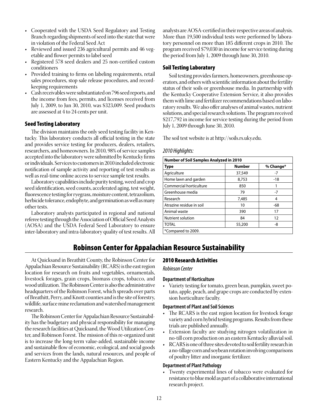- Cooperated with the USDA Seed Regulatory and Testing Branch regarding shipments of seed into the state that were in violation of the Federal Seed Act
- Reviewed and issued 236 agricultural permits and 46 vegetable and flower permits to label seed
- Registered 578 seed dealers and 25 non-certified custom conditioners
- Provided training to firms on labeling requirements, retail sales procedures, stop sale release procedures, and recordkeeping requirements
- Cash receivables were substantiated on 796 seed reports, and the income from fees, permits, and licenses received from July 1, 2009, to Jun 30, 2010, was \$323,009. Seed products are assessed at 4 to 24 cents per unit.

# Seed Testing Laboratory

The division maintains the only seed testing facility in Kentucky. This laboratory conducts all official testing in the state and provides service testing for producers, dealers, retailers, researchers, and homeowners. In 2010, 98% of service samples accepted into the laboratory were submitted by Kentucky firms or individuals. Services to customers in 2010 included electronic notification of sample activity and reporting of test results as well as real-time online access to service sample test results.

Laboratory capabilities include purity testing, weed and crop seed identification, seed counts, accelerated aging, test weight, fluorescence testing for ryegrass, moisture content, tetrazolium, herbicide tolerance, endophyte, and germination as well as many other tests.

Laboratory analysts participated in regional and national referee testing through the Association of Official Seed Analysts (AOSA) and the USDA Federal Seed Laboratory to ensure inter-laboratory and intra-laboratory quality of test results. All analysts are AOSA-certified in their respective areas of analysis. More than 19,500 individual tests were performed by laboratory personnel on more than 185 different crops in 2010. The program received \$79,030 in income for service testing during the period from July 1, 2009 through June 30, 2010.

# Soil Testing Laboratory

Soil testing provides farmers, homeowners, greenhouse operators, and others with scientific information about the fertility status of their soils or greenhouse media. In partnership with the Kentucky Cooperative Extension Service, it also provides them with lime and fertilizer recommendations based on laboratory results. We also offer analyses of animal wastes, nutrient solutions, and special research solutions. The program received \$217,792 in income for service testing during the period from July 1, 2009 through June 30, 2010.

The soil test website is at http://soils.rs.uky.edu.

### *2010 Highlights:*

| <b>Number of Soil Samples Analyzed in 2010</b> |               |           |  |  |  |
|------------------------------------------------|---------------|-----------|--|--|--|
| <b>Type</b>                                    | <b>Number</b> | % Change* |  |  |  |
| Agriculture                                    | 37,549        | $-7$      |  |  |  |
| Home lawn and garden                           | 8,753         | $-18$     |  |  |  |
| Commercial horticulture                        | 850           |           |  |  |  |
| Greenhouse media                               | 79            | $-7$      |  |  |  |
| Research                                       | 7,485         | 4         |  |  |  |
| Atrazine residue in soil                       | 10            | -68       |  |  |  |
| Animal waste                                   | 390           | 17        |  |  |  |
| Nutrient solution                              | 84            | 12        |  |  |  |
| <b>TOTAL</b>                                   | 55,200        | -8        |  |  |  |
| *Compared to 2009.                             |               |           |  |  |  |

# Robinson Center for Appalachian Resource Sustainability

At Quicksand in Breathitt County, the Robinson Center for Appalachian Resource Sustainability (RCARS) is the east region location for research on fruits and vegetables, ornamentals, livestock forages, grain crops, biomass crops, tobacco, and wood utilization. The Robinson Center is also the administrative headquarters of the Robinson Forest, which spreads over parts of Breathitt, Perry, and Knott counties and is the site of forestry, wildlife, surface mine reclamation and watershed management research.

The Robinson Center for Appalachian Resource Sustainability has the budgetary and physical responsibility for managing the research facilities at Quicksand, the Wood Utilization Center, and Robinson Forest. The mission of this re-organized unit is to increase the long-term value-added, sustainable income and sustainable flow of economic, ecological, and social goods and services from the lands, natural resources, and people of Eastern Kentucky and the Appalachian Region.

### 2010 Research Activities

### *Robinson Center*

### **Department of Horticulture**

Variety testing for tomato, green bean, pumpkin, sweet potato, apple, peach, and grape crops are conducted by extension horticulture faculty.

### **Department of Plant and Soil Sciences**

- The RCARS is the east region location for livestock forage variety and corn hybrid testing programs. Results from these trials are published annually.
- • Extension faculty are studying nitrogen volatilization in no-till corn production on an eastern Kentucky alluvial soil.
- RCARS is one of three sites devoted to soil fertility research in a no-tillage corn and soybean rotation involving comparisons of poultry litter and inorganic fertilizer.

### **Department of Plant Pathology**

Twenty experimental lines of tobacco were evaluated for resistance to blue mold as part of a collaborative international research project.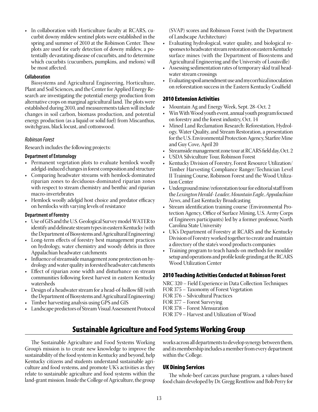• In collaboration with Horticulture faculty at RCARS, cucurbit downy mildew sentinel plots were established in the spring and summer of 2010 at the Robinson Center. These plots are used for early detection of downy mildew, a potentially devastating disease of cucurbits, and to determine which cucurbits (cucumbers, pumpkins, and melons) will be most affected.

# **Collaboration**

Biosystems and Agricultural Engineering, Horticulture, Plant and Soil Sciences, and the Center for Applied Energy Research are investigating the potential energy production from alternative crops on marginal agricultural land. The plots were established during 2010, and measurements taken will include changes in soil carbon, biomass production, and potential energy production (as a liquid or solid fuel) from Miscanthus, switchgrass, black locust, and cottonwood.

# *Robinson Forest*

Research includes the following projects:

# **Department of Entomology**

- Permanent vegetation plots to evaluate hemlock woolly adelgid-induced changes in forest composition and structure
- Comparing headwater streams with hemlock-dominated riparian zones to deciduous-dominated riparian zones with respect to stream chemistry and benthic and riparian macro-invertebrates
- Hemlock woolly adelgid host choice and predator efficacy on hemlocks with varying levels of resistance

# **Department of Forestry**

- • Use of GIS and the U.S. Geological Survey model WATER to identify and delineate stream types in eastern Kentucky (with the Department of Biosystems and Agricultural Engineering)
- Long-term effects of forestry best management practices on hydrology, water chemistry and woody debris in three Appalachian headwater catchments
- Influence of streamside management zone protection on hydrology and water quality in forested headwater catchments
- • Effect of riparian zone width and disturbance on stream communities following forest harvest in eastern Kentucky watersheds
- • Design of a headwater stream for a head-of-hollow fill (with the Department of Biosystems and Agricultural Engineering)
- Timber harvesting analysis using GPS and GIS
- Landscape predictors of Stream Visual Assessment Protocol

(SVAP) scores and Robinson Forest (with the Department of Landscape Architecture)

- Evaluating hydrological, water quality, and biological responses to headwater stream restoration on eastern Kentucky surface mines (with the Department of Biosystems and Agricultural Engineering and the University of Louisville)
- • Assessing sedimentation rates of temporary skid trail headwater stream crossings
- • Evaluating spoil amendment use and mycorrhizal inoculation on reforestation success in the Eastern Kentucky Coalfield

# 2010 Extension Activities

- • Mountain Ag and Energy Week, Sept. 28−Oct. 2
- Win With Wood youth event, annual youth program focused on forestry and the forest industry, Oct. 14
- Mined Land Reclamation Research: Reforestation, Hydrology, Water Quality, and Stream Restoration, a presentation for the U.S. Environmental Protection Agency, Starfire Mine and Guy Cove, April 20
- Streamside management zone tour at RCARS field day, Oct. 2
- USDA Silviculture Tour, Robinson Forest
- • Kentucky Division of Forestry, Forest Resource Utilization/ Timber Harvesting Compliance Ranger/Technician Level II Training Course, Robinson Forest and the Wood Utilization Center
- Underground mine/reforestation tour for editorial staff from the *Lexington Herald- Leader, Mountain Eagle, Appalachian News*, and East Kentucky Broadcasting
- Stream identification training course (Environmental Protection Agency, Office of Surface Mining, U.S. Army Corps of Engineers participants) led by a former professor, North Carolina State University
- UK's Department of Forestry at RCARS and the Kentucky Division of Forestry worked together to create and maintain a directory of the state's wood products companies
- Training program to teach hands-on methods for moulder setup and operations and profile knife grinding at the RCARS Wood Utilization Center

# 2010 Teaching Activities Conducted at Robinson Forest

NRC 320 – Field Experience in Data Collection Techniques

- FOR 375 Taxonomy of Forest Vegetation
- FOR 376 Silvicultural Practices
- FOR 377 Forest Surveying
- FOR 378 Forest Mensuration
- FOR 379 Harvest and Utilization of Wood

# Sustainable Agriculture and Food Systems Working Group

The Sustainable Agriculture and Food Systems Working Group's mission is to create new knowledge to improve the sustainability of the food system in Kentucky and beyond, help Kentucky citizens and students understand sustainable agriculture and food systems, and promote UK's activities as they relate to sustainable agriculture and food systems within the land-grant mission. Inside the College of Agriculture, the group

works across all departments to develop synergy between them, and its membership includes a member from every department within the College.

# UK Dining Services

The whole-beef carcass purchase program, a values-based food chain developed by Dr. Gregg Rentfrow and Bob Perry for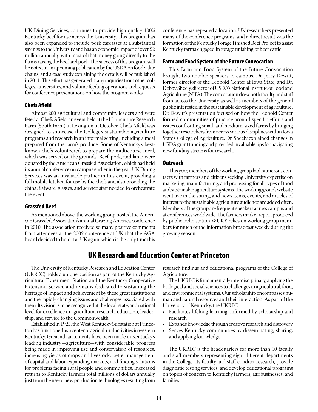UK Dining Services, continues to provide high quality 100% Kentucky beef for use across the University. This program has also been expanded to include pork carcasses at a substantial savings to the University and has an economic impact of over \$2 million annually, with most of that money going directly to the farms raising the beef and pork. The success of this program will be noted in an upcoming publication by the USDA on food value chains, and a case study explaining the details will be published in 2011. This effort has generated many inquiries from other colleges, universities, and volume feeding operations and requests for conference presentations on how the program works.

### Chefs Afield

Almost 200 agricultural and community leaders and were feted at Chefs Afield, an event held at the Horticulture Research Farm (South Farm) in Lexington in October. Chefs Afield was designed to showcase the College's sustainable agriculture programs and research in an informal setting, including a meal prepared from the farm's produce. Some of Kentucky's bestknown chefs volunteered to prepare the multicourse meal, which was served on the grounds. Beef, pork, and lamb were donated by the American Grassfed Association, which had held its annual conference on campus earlier in the year. UK Dining Services was an invaluable partner in this event, providing a full mobile kitchen for use by the chefs and also providing the china, flatware, glasses, and service staff needed to orchestrate the event.

### Grassfed Beef

As mentioned above, the working group hosted the American Grassfed Association's annual Grazing America conference in 2010. The association received so many positive comments from attendees at the 2009 conference at UK that the AGA board decided to hold it at UK again, which is the only time this conference has repeated a location. UK researchers presented many of the conference programs, and a direct result was the formation of the Kentucky Forage Finished Beef Project to assist Kentucky farms engaged in forage finishing of beef cattle.

### Farm and Food System of the Future Convocation

This Farm and Food System of the Future Convocation brought two notable speakers to campus, Dr. Jerry Dewitt, former director of the Leopold Center at Iowa State, and Dr. Debby Sheely, director of USDA's National Institute of Food and Agriculture (NIFA). The convocation drew both faculty and staff from across the University as well as members of the general public interested in the sustainable development of agriculture. Dr. Dewitt's presentation focused on how the Leopold Center formed communities of practice around specific efforts and issues confronting small- and medium-sized farms by bringing together researchers from across various disciplines within Iowa State's College of Agriculture. Dr. Sheely explained changes in USDA grant funding and provided invaluable tips for navigating new funding streams for research.

### **Outreach**

This year, members of the working group had numerous contacts with farmers and citizens seeking University expertise on marketing, manufacturing, and processing for all types of food and sustainable agriculture systems. The working group's website went live in the spring, and news items, events, and articles of interest to the sustainable agriculture audience are added often. Members of the group are frequent speakers across campus and at conferences worldwide. The farmers market report produced by public radio station WUKY relies on working group members for much of the information broadcast weekly during the growing season.

# UK Research and Education Center at Princeton

The University of Kentucky Research and Education Center (UKREC) holds a unique position as part of the Kentucky Agricultural Experiment Station and the Kentucky Cooperative Extension Service and remains dedicated to sustaining the heritage of impact and achievement by these great institutions and the rapidly changing issues and challenges associated with them. Its vision is to be recognized at the local, state, and national level for excellence in agricultural research, education, leadership, and service to the Commonwealth.

Established in 1925, the West Kentucky Substation at Princeton has functioned as a center of agricultural activities in western Kentucky. Great advancements have been made in Kentucky's leading industry—agriculture—with considerable progress being made in improving use and conservation of resources, increasing yields of crops and livestock, better management of capital and labor, expanding markets, and finding solutions for problems facing rural people and communities. Increased returns to Kentucky farmers total millions of dollars annually just from the use of new production technologies resulting from

research findings and educational programs of the College of Agriculture.

The UKREC is fundamentally interdisciplinary, applying the biological and social sciences to challenges in agricultural, food, and environmental systems. Our scholarship encompasses human and natural resources and their interaction. As part of the University of Kentucky, the UKREC:

- Facilitates lifelong learning, informed by scholarship and research
- • Expands knowledge through creative research and discovery
- Serves Kentucky communities by disseminating, sharing, and applying knowledge

The UKREC is the headquarters for more than 50 faculty and staff members representing eight different departments in the College. Its faculty and staff conduct research, provide diagnostic testing services, and develop educational programs on topics of concern to Kentucky farmers, agribusinesses, and families.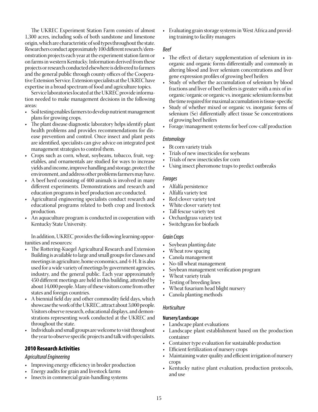The UKREC Experiment Station Farm consists of almost 1,300 acres, including soils of both sandstone and limestone origin, which are characteristic of soil types throughout the state. Researchers conduct approximately 100 different research/demonstration projects each year at the experiment station farm or on farms in western Kentucky. Information derived from these projects or research conducted elsewhere is delivered to farmers and the general public through county offices of the Cooperative Extension Service. Extension specialists at the UKREC have expertise in a broad spectrum of food and agriculture topics.

Service laboratories located at the UKREC provide information needed to make management decisions in the following areas:

- • Soil testing enables farmers to develop nutrient management plans for growing crops.
- The plant disease diagnostic laboratory helps identify plant health problems and provides recommendations for disease prevention and control. Once insect and plant pests are identified, specialists can give advice on integrated pest management strategies to control them.
- Crops such as corn, wheat, soybeans, tobacco, fruit, vegetables, and ornamentals are studied for ways to increase yields and income, improve handling and storage, protect the environment, and address other problems farmers may have.
- A beef herd consisting of 400 animals is involved in many different experiments. Demonstrations and research and education programs in beef production are conducted.
- Agricultural engineering specialists conduct research and educational programs related to both crop and livestock production.
- An aquaculture program is conducted in cooperation with Kentucky State University.

In addition, UKREC provides the following learning opportunities and resources:

- The Rottering-Kuegel Agricultural Research and Extension Building is available to large and small groups for classes and meetings in agriculture, home economics, and 4-H. It is also used for a wide variety of meetings by government agencies, industry, and the general public. Each year approximately 450 different meetings are held in this building, attended by about 14,000 people. Many of these visitors come from other states and foreign countries.
- A biennial field day and other commodity field days, which showcase the work of the UKREC, attract about 3,000 people. Visitors observe research, educational displays, and demonstrations representing work conducted at the UKREC and throughout the state.
- • Individuals and small groups are welcome to visit throughout the year to observe specific projects and talk with specialists.

# 2010 Research Activities

### *Agricultural Engineering*

- Improving energy efficiency in broiler production
- • Energy audits for grain and livestock farms
- Insects in commercial grain-handling systems

• Evaluating grain storage systems in West Africa and providing training to facility managers

### *Beef*

- The effect of dietary supplementation of selenium in inorganic and organic forms differentially and commonly in altering blood and liver selenium concentrations and liver gene expression profiles of growing beef heifers
- Study of whether the accumulation of selenium by blood fractions and liver of beef heifers is greater with a mix of inorganic/organic or organic vs. inorganic selenium forms but the time required for maximal accumulation is tissue-specific
- Study of whether mixed or organic vs. inorganic forms of selenium (Se) differentially affect tissue Se concentrations of growing beef heifers
- Forage/management systems for beef cow-calf production

### *Entomology*

- Bt corn variety trials
- Trials of new insecticides for soybeans
- Trials of new insecticides for corn
- Using insect pheromone traps to predict outbreaks

### *Forages*

- • Alfalfa persistence
- Alfalfa variety test
- Red clover variety test
- White clover variety test
- Tall fescue variety test
- Orchardgrass variety test
- Switchgrass for biofuels

### *Grain Crops*

- Soybean planting date
- Wheat row spacing
- • Canola management
- No-till wheat management
- Soybean management verification program
- Wheat variety trials
- Testing of breeding lines
- Wheat fusarium head blight nursery
- Canola planting methods

### *Horticulture*

### **Nursery/Landscape**

- • Landscape plant evaluations
- • Landscape plant establishment based on the production container
- Container type evaluation for sustainable production
- Efficient fertilization of nursery crops
- Maintaining water quality and efficient irrigation of nursery crops
- Kentucky native plant evaluation, production protocols, and use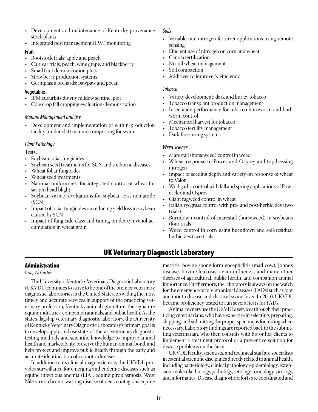- Development and maintenance of Kentucky provenance stock plants
- Integrated pest management (IPM) monitoring

### **Fruit**

- Rootstock trials: apple and peach
- • Cultivar trials: peach, wine grape, and blackberry
- Small fruit demonstration plots
- Strawberry production systems
- • Germplasm orchards: pawpaw and pecan

# **Vegetables**

- IPM cucurbits downy mildew sentinel plot
- Cole crop fall cropping evaluation/demonstration

# *Manure Management and Use*

• Development and implementation of within-production facility (under-slat) manure composting for swine

# *Plant Pathology*

Tests:

- Soybean foliar fungicides
- • Soybean seed treatments for SCN and soilborne diseases
- Wheat foliar fungicides
- Wheat seed treatments
- National uniform test for integrated control of wheat fusarium head blight
- Soybean variety evaluations for soybean cyst nematode (SCN)
- Impact of foliar fungicides on reducing yield loss in soybean caused by SCN
- Impact of fungicide class and timing on deoxynivenol accumulation in wheat grain

# *Soils*

- Variable rate nitrogen fertilizer applications using remote sensing
- • Efficient use of nitrogen on corn and wheat
- Canola fertilization
- No-till wheat management
- Soil compaction
- Additives to improve N efficiency

### *Tobacco*

- Variety development: dark and burley tobacco
- Tobacco transplant production management
- Insecticide performance for tobacco hornworm and budworm control
- Mechanical harvest for tobacco
- Tobacco fertility management
- Dark fire-curing systems

# *Weed Science*

- Marestail (horseweed) control in weed
- Wheat response to Power and Osprey and topdressing nitrogen
- Impact of seeding depth and variety on response of wheat to Valor
- • Wild garlic control with fall and spring applications of PowerFlex and Osprey
- • Giant ragweed control in wheat
- • Italian ryegrass control with pre- and post-herbicides (two trials)
- Burndown control of marestail (horseweed) in soybeans (four trials)
- Weed control in corn using burndown and soil-residual herbicides (two trials)

# UK Veterinary Diagnostic Laboratory

# Administration

*Craig N. Carter*

The University of Kentucky Veterinary Diagnostic Laboratory (UKVDL) continues to strive to be one of the premier veterinary diagnostic laboratories in the United States, providing the most timely and accurate services in support of the practicing veterinary profession, Kentucky animal agriculture, the signature equine industries, companion animals, and public health. As the state's flagship veterinary diagnostic laboratory, the University of Kentucky Veterinary Diagnostic Laboratory's primary goal is to develop, apply, and use state-of-the-art veterinary diagnostic testing methods and scientific knowledge to improve animal health and marketability, preserve the human-animal bond, and help protect and improve public health through the early and accurate identification of zoonotic diseases.

In addition to its clinical diagnostic role, the UKVDL provides surveillance for emerging and endemic diseases such as equine infectious anemia (EIA), equine piroplasmosis, West Nile virus, chronic wasting disease of deer, contagious equine

metritis, bovine spongiform encephalitis (mad cow), Johne's disease, bovine leukosis, avian influenza, and many other diseases of agricultural, public health, and companion animal importance. Furthermore, the laboratory is always on the watch for the emergence of foreign animal diseases (FADs) such as foot and mouth disease and classical swine fever. In 2010, UKVDL became proficiency tested to run several tests for FADs.

Animal owners use the UKVDL's services through their practicing veterinarians, who have expertise in selecting, preparing, shipping, and submitting the proper specimens for testing when necessary. Laboratory findings are reported back to the submitting veterinarian, who then consults with his or her clients to implement a treatment protocol or a preventive solution for disease problems on the farm.

UKVDL faculty, scientists, and technical staff are specialists in essential scientific disciplines directly related to animal health, including bacteriology, clinical pathology, epidemiology, extension, molecular biology, pathology, serology, toxicology, virology, and informatics. Disease diagnostic efforts are coordinated and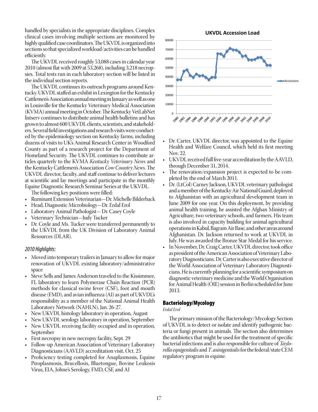handled by specialists in the appropriate disciplines. Complex clinical cases involving multiple sections are monitored by highly qualified case coordinators. The UKVDL is organized into sections so that specialized workload/activities can be handled efficiently.

The UKVDL received roughly 53,088 cases in calendar year 2010 (almost flat with 2009 at 53,268), including 3,218 necropsies. Total tests run in each laboratory section will be listed in the individual section reports.

The UKVDL continues its outreach programs around Kentucky. UKVDL staffed an exhibit in Lexington for the Kentucky Cattlemen's Association annual meeting in January as well as one in Louisville for the Kentucky Veterinary Medical Association (KVMA) annual meeting in October. The Kentucky VetLabNet listserv continues to distribute animal health bulletins and has grown to almost 600 UKVDL clients, scientists, and stakeholders. Several field investigations and research visits were conducted by the epidemiology section on Kentucky farms, including dozens of visits to UK's Animal Research Center in Woodford County as part of a research project for the Department of Homeland Security. The UKVDL continues to contribute articles quarterly to the KVMA *Kentucky Veterinary News* and the Kentucky Cattlemen's Association *Cow Country News*. The UKVDL director, faculty, and staff continue to deliver lectures at scientific and lay meetings and participate in the monthly Equine Diagnostic Research Seminar Series at the UKVDL.

The following key positions were filled:

- Ruminant Extension Veterinarian—Dr. Michelle Bilderback
- • Head, Diagnostic Microbiology—Dr. Erdal Erol
- Laboratory Animal Pathologist- Dr. Casey Coyle
- Veterinary Technician—Judy Tucker
- Dr. Coyle and Ms. Tucker were transferred permanently to the UKVDL from the UK Division of Laboratory Animal Resources (DLAR).

### *2010 Highlights:*

- Moved into temporary trailers in January to allow for major renovation of UKVDL existing laboratory/administrative space
- Steve Sells and James Anderson traveled to the Kissimmee, FL laboratory to learn Polymerase Chain Reaction (PCR) methods for classical swine fever (CSF), foot and mouth disease (FMD), and avian influenza (AI) as part of UKVDL's responsibility as a member of the National Animal Health Laboratory Network (NAHLN), Jan. 26-27.
- New UKVDL histology laboratory in operation, August
- New UKVDL serology laboratory in operation, September
- New UKVDL receiving facility occupied and in operation, September
- First necropsy in new necropsy facility, Sept. 29
- Follow-up American Association of Veterinary Laboratory Diagnosticians (AAVLD) accreditation visit, Oct. 25
- Proficiency testing completed for Anaplasmosis, Equine Piroplasmosis, Brucellosis, Bluetongue, Bovine Leukosis Virus, EIA, Johne's Serology, FMD, CSF, and AI



- Dr. Carter, UKVDL director, was appointed to the Equine Health and Welfare Council, which held its first meeting Nov. 22.
- • UKVDL received full five-year accreditation by the AAVLD, through December 31, 2014.
- The renovation/expansion project is expected to be completed by the end of March 2011.
- Dr. (LtCol) Carney Jackson, UKVDL veterinary pathologist and a member of the Kentucky Air National Guard, deployed to Afghanistan with an agricultural development team in June 2009 for one year. On this deployment, by providing animal health training, he assisted the Afghan Ministry of Agriculture, two veterinary schools, and farmers. His team is also involved in capacity building for animal agricultural operations in Kabul, Bagram Air Base, and other areas around Afghanistan. Dr. Jackson returned to work at UKVDL in July. He was awarded the Bronze Star Medal for his service.
- In November, Dr. Craig Carter, UKVDL director, took office as president of the American Association of Veterinary Laboratory Diagnosticians. Dr. Carter is also executive director of the World Association of Veterinary Laboratory Diagnosticians. He is currently planning for a scientific symposium on diagnostic veterinary medicine and the World Organisation for Animal Health (OIE) session in Berlin scheduled for June 2013.

### Bacteriology/Mycology

### *Erdal Erol*

The primary mission of the Bacteriology/Mycology Section of UKVDL is to detect or isolate and identify pathogenic bacteria or fungi present in animals. The section also determines the antibiotics that might be used for the treatment of specific bacterial infections and is also responsible for culture of *Taylorella equigenitalis* and *T*. *asinigenitalis* for the federal/state CEM regulatory program in equine.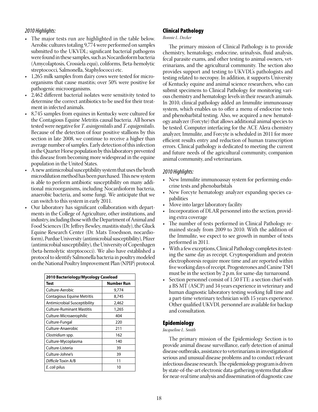# *2010 Highlights:*

- The major tests run are highlighted in the table below. Aerobic cultures totaling 9,774 were performed on samples submitted to the UKVDL; significant bacterial pathogens were found in these samples, such as Nocardioform bacteria (Amycolaptosis, Crossiela equi), coliforms, Beta-hemolytic streptococci, Salmonella, Staphylococci etc.
- 1,265 milk samples from dairy cows were tested for microorganisms that cause mastitis; over 50% were positive for pathogenic microorganisms.
- 2,462 different bacterial isolates were sensitivity tested to determine the correct antibiotics to be used for their treatment in infected animals.
- 8,745 samples from equines in Kentucky were cultured for the Contagious Equine Metritis causal bacteria. All horses tested were negative for *T*. *asinigenitalis* and *T*. *equigenitalis*. Because of the detection of four positive stallions by this section in late 2008, we continue to receive a higher than average number of samples. Early detection of this infection in the Quarter Horse population by this laboratory prevented this disease from becoming more widespread in the equine population in the United States.
- A new antimicrobial susceptibility system that uses the broth microdilution method has been purchased. This new system is able to perform antibiotic susceptibility on many additional microorganisms, including Nocardioform bacteria, anaerobic bacteria, and some fungi. We anticipate that we can switch to this system in early 2011.
- Our laboratory has significant collaboration with departments in the College of Agriculture, other institutions, and industry, including those with the Department of Animal and Food Sciences (Dr. Jeffrey Bewley, mastitis study), the Gluck Equine Research Center (Dr. Mats Troedsson, nocardioform), Purdue University (antimicrobial susceptibility), Pfizer (antimicrobial susceptibility), the University of Copenhagen (beta-hemolytic streptococci). We also have established a protocol to identify Salmonella bacteria in poultry modeled on the National Poultry Improvement Plan (NPIP) protocol.

| 2010 Bacteriology/Mycology Caseload |                   |  |  |  |
|-------------------------------------|-------------------|--|--|--|
| Test                                | <b>Number Run</b> |  |  |  |
| Culture-Aerobic                     | 9,774             |  |  |  |
| Contagious Equine Metritis          | 8,745             |  |  |  |
| <b>Antimicrobial Susceptibility</b> | 2,462             |  |  |  |
| <b>Culture-Ruminant Mastitis</b>    | 1,265             |  |  |  |
| Culture-Microaerophilic             | 404               |  |  |  |
| Culture-Fungal                      | 220               |  |  |  |
| Culture-Anaerobic                   | 211               |  |  |  |
| Clostridium spp.                    | 162               |  |  |  |
| Culture-Mycoplasma                  | 140               |  |  |  |
| Culture-Listeria                    | 39                |  |  |  |
| Culture-Johne's                     | 39                |  |  |  |
| Difficile Toxin A/B                 | 11                |  |  |  |
| E. coli pilus                       | 10                |  |  |  |

# Clinical Pathology

### *Bonnie L. Decker*

The primary mission of Clinical Pathology is to provide chemistry, hematology, endocrine, urinalysis, fluid analysis, fecal parasite exams, and other testing to animal owners, veterinarians, and the agricultural community. The section also provides support and testing to UKVDL's pathologists and testing related to necropsy. In addition, it supports University of Kentucky equine and animal science researchers, who can submit specimens to Clinical Pathology for monitoring various chemistry and hematology levels in their research animals. In 2010, clinical pathology added an Immulite immunoassay system, which enables us to offer a menu of endocrine tests and phenobarbital testing. Also, we acquired a new hematology analyzer (Forcyte) that allows additional animal species to be tested. Computer interfacing for the ACE Alera chemistry analyzer, Immulite, and Forcyte is scheduled in 2011 for more efficient results entry and reduction of human transcription errors. Clinical pathology is dedicated to meeting the current and future needs of the agricultural community, companion animal community, and veterinarians.

# *2010 Highlights:*

- New Immulite immunoassay system for performing endocrine tests and phenobarbitals
- New Forcyte hematology analyzer expanding species capabilities
- Move into larger laboratory facility<br>• Incorporation of DLAR personnel i
- Incorporation of DLAR personnel into the section, providing extra coverage
- The number of tests performed in Clinical Pathology remained steady from 2009 to 2010. With the addition of the Immulite, we expect to see growth in number of tests performed in 2011.
- With a few exceptions, Clinical Pathology completes its testing the same day as receipt. Cryptosporidium and protein electrophoresis require more time and are reported within five working days of receipt. Progesterones and Canine TSH must be in the section by 2 p.m. for same-day turnaround.
- • Section personnel consist of 1.50 FTE: a section chief with a BS MT (ASCP) and 34 years experience in veterinary and human diagnostic laboratory testing working full time and a part-time veterinary technician with 15 years experience. Other qualified UKVDL personnel are available for backup and consultation.

# Epidemiology

### *Jacqueline L. Smith*

The primary mission of the Epidemiology Section is to provide animal disease surveillance, early detection of animal disease outbreaks, assistance to veterinarians in investigation of serious and unusual disease problems and to conduct relevant infectious disease research. The epidemiology program is driven by state-of-the-art electronic data-gathering systems that allow for near-real time analysis and dissemination of diagnostic case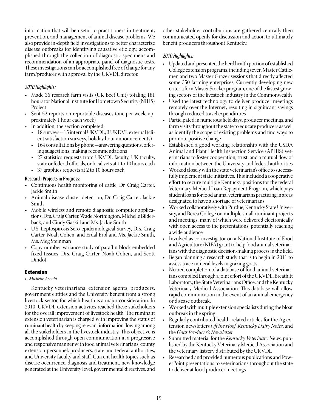information that will be useful to practitioners in treatment, prevention, and management of animal disease problems. We also provide in-depth field investigations to better characterize disease outbreaks for identifying causative etiology, accomplished through the collection of diagnostic specimens and recommendation of an appropriate panel of diagnostic tests. These investigations can be accomplished free of charge for any farm/producer with approval by the UKVDL director.

# *2010 Highlights:*

- Made 36 research farm visits (UK Beef Unit) totaling 181 hours for National Institute for Hometown Security (NIHS) Project
- Sent 52 reports on reportable diseases (one per week, approximately 1 hour each week)
- In addition, the section completed:
	- 18 surveys-15 internal UKVDL; 3 UKDVL external (client satisfaction surveys, holiday hour announcements)
	- 164 consultations by phone—answering questions, offering suggestions, making recommendations
	- 27 statistics requests from UKVDL faculty, UK faculty, state or federal officials, or local vets at 1 to 10 hours each
	- 37 graphics requests at 2 to 10 hours each

# **Research Projects in Progress:**

- Continuous health monitoring of cattle, Dr. Craig Carter, Jackie Smith
- Animal disease cluster detection, Dr. Craig Carter, Jackie Smith
- Mobile wireless and remote diagnostic computer applications, Drs. Craig Carter, Wade Northington, Michelle Bilderback, and Cindy Gaskill and Ms. Jackie Smith
- U.S. Leptospirosis Sero-epidemiological Survey, Drs. Craig Carter. Noah Cohen, and Erdal Erol and Ms. Jackie Smith, Ms. Meg Steinman
- Copy number variance study of paraffin block embedded fixed tissues, Drs. Craig Carter, Noah Cohen, and Scott Dindot

# Extension

# *L. Michelle Arnold*

Kentucky veterinarians, extension agents, producers, government entities and the University benefit from a strong livestock sector, for which health is a major consideration. In 2010, UKVDL extension activites reached these stakeholders for the overall improvement of livestock health. The ruminant extension veterinarian is charged with improving the status of ruminant health by keeping relevant information flowing among all the stakeholders in the livestock industry. This objective is accomplished through open communication in a progressive and responsive manner with food animal veterinarians, county extension personnel, producers, state and federal authorities, and University faculty and staff. Current health topics such as disease occurrence, diagnosis and treatment, new knowledge generated at the University level, governmental directives, and

other stakeholder contributions are gathered centrally then communicated openly for discussion and action to ultimately benefit producers throughout Kentucky.

# *2010 Highlights:*

- • Updated and presented the herd health portion of established College extension programs, including seven Master Cattlemen and two Master Grazer sessions that directly affected some 350 farming enterprises. Currently developing new criteria for a Master Stocker program, one of the fastest growing sectors of the livestock industry in the Commonwealth
- Used the latest technology to deliver producer meetings remotely over the Internet, resulting in significant savings through reduced travel expenditures
- Participated in numerous field days, producer meetings, and farm visits throughout the state to educate producers as well as identify the scope of existing problems and find ways to promote positive change
- • Established a good working relationship with the USDA Animal and Plant Health Inspection Service (APHIS) veterinarians to foster cooperation, trust, and a mutual flow of information between the University and federal authorities
- Worked closely with the state veterinarian's office to successfully implement state initiatives. This included a cooperative effort to secure multiple Kentucky positions for the federal Veterinary Medical Loan Repayment Program, which pays student loans for food animal veterinarians practicing in areas designated to have a shortage of veterinarians.
- Worked collaboratively with Purdue, Kentucky State University, and Berea College on multiple small ruminant projects and meetings, many of which were delivered electronically with open access to the presentations, potentially reaching a wide audience
- Involved as co-investigator on a National Institute of Food and Agriculture (NIFA) grant to help food animal veterinarians with the diagnostic decision-making process in the field.
- Began planning a research study that is to begin in 2011 to assess trace mineral levels in grazing goats
- • Neared completion of a database of food animal veterinarians compiled through a joint effort of the UKVDL, Breathitt Laboratory, the State Veterinarian's Office, and the Kentucky Veterinary Medical Association. This database will allow rapid communication in the event of an animal emergency or disease outbreak.
- Worked with multiple extension specialists during the bloat outbreak in the spring
- Regularly contributed health-related articles for the Ag extension newsletters *Off the Hoof*, *Kentucky Dairy Notes*, and the *Goat Producer's Newsletter*
- • Submitted material for the *Kentucky Veterinary News*, published by the Kentucky Veterinary Medical Association and the veterinary listserv distributed by the UKVDL
- • Researched and provided numerous publications and PowerPoint presentations to veterinarians throughout the state to deliver at local producer meetings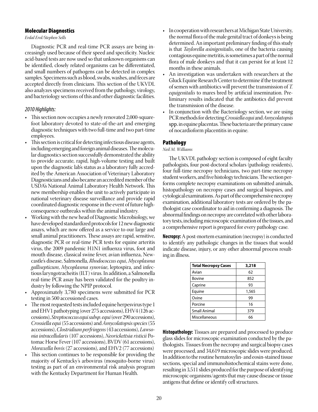### Molecular Diagnostics

### *Erdal Erol/Stephen Sells*

Diagnostic PCR and real-time PCR assays are being increasingly used because of their speed and specificity. Nucleic acid-based tests are now used so that unknown organisms can be identified, closely related organisms can be differentiated, and small numbers of pathogens can be detected in complex samples. Specimens such as blood, swabs, washes, and feces are accepted directly from clinicians. This section of the UKVDL also analyzes specimens received from the pathology, virology, and bacteriology sections of this and other diagnostic facilities.

# *2010 Highlights:*

- This section now occupies a newly renovated 2,000-squarefoot laboratory devoted to state-of-the-art and emerging diagnostic techniques with two full-time and two part-time employees.
- This section is critical for detecting infectious disease agents, including emerging and foreign animal diseases. The molecular diagnostics section successfully demonstrated the ability to provide accurate, rapid, high-volume testing and built upon the diagnostic lab's status as a laboratory fully accredited by the American Association of Veterinary Laboratory Diagnosticians and also became an accredited member of the USDA's National Animal Laboratory Health Network. This new membership enables the unit to actively participate in national veterinary disease surveillance and provide rapid coordinated diagnostic response in the event of future highconsequence outbreaks within the animal industry.
- Working with the new head of Diagnostic Microbiology, we have developed standardized protocols for 12 new diagnostic assays, which are now offered as a service to our large and small animal practitioners. These assays are rapid, sensitive, diagnostic PCR or real-time PCR tests for equine arteritis virus, the 2009 pandemic H1N1 influenza virus, foot and mouth disease, classical swine fever, avian influenza, Newcastle's disease, Salmonella, *Rhodococcus equi*, *Mycoplasma gallisepticum*, *Mycoplasma synoviae*, leptospira, and infectious laryngotracheitis (ILT) virus. In addition, a Salmonella real-time PCR assay has been validated for the poultry industry by following the NPIP protocol.
- Approximately 3,780 specimens were submitted for PCR testing in 500 accessioned cases.
- The most requested tests included equine herpesvirus type 1 and EHV1 pathotyping (over 275 accessions), EHV4 (126 accessions), *Streptococcus equi subsp. equi* (over 290 accessions), *Crossiella equi* (55 accessions) and *Amycolatopsis species* (55 accessions), *Clostridium perfringens* (43 accessions), *Lawsonia intracellularis* (107 accessions), *Neorickettsia risticii* Potomac Horse Fever (107 accessions), BVDV (61 accessions), *Moraxella bovis* (27 accessions), and EHV2 (77 accessions)
- This section continues to be responsible for providing the majority of Kentucky's arbovirus (mosquito-borne virus) testing as part of an environmental risk analysis program with the Kentucky Department for Human Health.
- In cooperation with researchers at Michigan State University, the normal flora of the male genital tract of donkeys is being determined. An important preliminary finding of this study is that *Taylorella asinigenitalis*, one of the bacteria causing contagious equine metritis, is sometimes a part of the normal flora of male donkeys and that it can persist for at least 12 months in these animals.
- An investigation was undertaken with researchers at the Gluck Equine Research Center to determine if the treatment of semen with antibiotics will prevent the transmission of *T. equigenitalis* to mares bred by artificial insemination. Preliminary results indicated that the antibiotics did prevent the transmission of the disease.
- In conjunction with the Bacteriology section, we are using PCR methods for detecting *Crossiella equi* and *Amycolatopsis*  spp.in equine placentas. These bacteria are the primary cause of nocardioform placentitis in equine.

# Pathology

# *Neil M. Williams*

The UKVDL pathology section is composed of eight faculty pathologists, four post-doctoral scholars (pathology residents), four full-time necropsy technicians, two part-time necropsy student workers, and five histology technicians. The section performs complete necropsy examinations on submitted animals, histopathology on necropsy cases and surgical biopsies, and cytological examinations. As part of the comprehensive necropsy examination, additional laboratory tests are ordered by the pathologist case coordinator to aid in confirming a diagnosis. The abnormal findings on necropsy are correlated with other laboratory tests, including microscopic examination of the tissues, and a comprehensive report is prepared for every pathology case.

**Necropsy:** A post-mortem examination (necropsy) is conducted to identify any pathologic changes in the tissues that would indicate disease, injury, or any other abnormal process resulting in illness.

| <b>Total Necropsy Cases</b> | 3,218 |
|-----------------------------|-------|
| Avian                       | 62    |
| <b>Bovine</b>               | 852   |
| Caprine                     | 93    |
| Equine                      | 1,565 |
| Ovine                       | 99    |
| Porcine                     | 16    |
| <b>Small Animal</b>         | 379   |
| Miscellaneous               | 66    |

**Histopathology:** Tissues are prepared and processed to produce glass slides for microscopic examination conducted by the pathologists. Tissues from the necropsy and surgical biopsy cases were processed, and 34,619 microscopic slides were produced. In addition to the routine hematoxylin- and eosin-stained tissue sections, special and immunohistochemical stains were done, resulting in 3,511 slides produced for the purpose of identifying microscopic organisms/agents that may cause disease or tissue antigens that define or identify cell structures.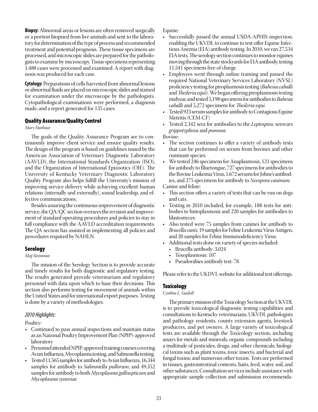**Biopsy:** Abnormal areas or lesions are often removed surgically or a portion biopsied from live animals and sent to the laboratory for determination of the type of process and recommended treatment and potential prognosis. These tissue specimens are processed, and microscopic slides are prepared for the pathologists to examine by microscopy. Tissue specimens representing 1,488 cases were processed and examined. A report with diagnosis was produced for each case.

**Cytology:** Preparations of cells harvested from abnormal lesions or abnormal fluids are placed on microscopic slides and stained for examination under the microscope by the pathologists. Cytopathological examinations were performed, a diagnosis made, and a report generated for 135 cases.

### Quality Assurance/Quality Control

### *Mary Harbour*

The goals of the Quality Assurance Program are to continuously improve client service and ensure quality results. The design of the program is based on guidelines issued by the American Association of Veterinary Diagnostic Laboratory (AAVLD), the International Standards Organization (ISO), and the Organization of International Epizootics (OIE). The University of Kentucky Veterinary Diagnostic Laboratory Quality Program also helps fulfill the University's mission of improving service delivery while achieving excellent human relations (internally and externally), sound leadership, and effective communications.

Besides assuring the continuous improvement of diagnostic service, the QA/QC section oversees the revision and improvement of standard operating procedures and policies to stay in full compliance with the AAVLD accreditation requirements. The QA section has assisted in implementing all policies and procedures required by NAHLN.

### **Serology**

### *Meg Steinman*

The mission of the Serology Section is to provide accurate and timely results for both diagnostic and regulatory testing. The results generated provide veterinarians and regulatory personnel with data upon which to base their decisions. This section also performs testing for movement of animals within the United States and for international export purposes. Testing is done by a variety of methodologies.

### *2010 Highlights:*

Poultry:

- Continued to pass annual inspections and maintain status as an National Poultry Improvement Plan (NPIP)-approved laboratory
- Personnel attended NPIP-approved training courses covering Avian Influenza, Mycoplasma testing, and Salmonella testing.
- Tested 11,565 samples for antibody to Avian Influenza, 16,344 samples for antibody to *Salmonella pullorum*, and 49,352 samples for antibody to both *Mycoplasma gallisepticum* and *Mycoplasma synoviae*

Equine:

- • Successfully passed the annual USDA-APHIS inspection, enabling the UKVDL to continue to test offer Equine Infectious Anemia (EIA) antibody testing. In 2010, we ran 27,534 EIA tests. The serology section continues to monitor equines moving through the state stockyards for EIA antibody, testing 11,541 specimens free of charge.
- • Employees went through online training and passed the required National Veterinary Services Laboratory (NVSL) proficiency testing for piroplasmosis testing (*Babesia caballi* and *Theileria equi*). We began offering piroplasmosis testing midyear, and tested 5,198 specimens for antibodies to *Babesia caballi* and 5,272 specimens for *Theileria equi*.
- Tested 923 serum samples for antibody to Contagious Equine Metritis (CEM-CF)
- • Tested 2,342 sera for antibodies to the *Leptospira*, serovars *grippotyphosa* and *pomona*

### Bovine:

- The section continues to offer a variety of antibody tests that can be performed on serum from bovines and other ruminant species.
- We tested 246 specimens for Anaplasmosis, 121 specimens for antibody to Bluetongue, 727 specimens for antibodies to the Bovine Leukemia Virus, 1,672 serums for Johne's antibodies, and 275 specimens for antibody to *Neospora caninum.*

Canine and feline:

- This section offers a variety of tests that can be run on dogs and cats.
- • Testing in 2010 included, for example, 188 tests for antibodies to histoplasmosis and 220 samples for antibodies to blastomyces.
- Also tested were 75 samples from canines for antibody to *Brucella canis,* 19 samples for Feline Leukemia Virus Antigen, and 20 samples for Feline Immunodeficiency Virus.
- Additional tests done on variety of species included:
	- Brucella antibody: 3,024
	- Toxoplasmosis: 107
	- Pseudorabies antibody test: 78

Please refer to the UKDVL website for additional test offerings.

### **Toxicology**

### *Cynthia L. Gaskill*

The primary mission of the Toxicology Section at the UKVDL is to provide toxicological diagnostic testing capabilities and consultations to Kentucky veterinarians, UKVDL pathologists and pathology residents, county extension agents, livestock producers, and pet owners. A large variety of toxicological tests are available through the Toxicology section, including assays for metals and minerals; organic compounds including a multitude of pesticides, drugs, and other chemicals; biological toxins such as plant toxins, toxic insects, and bacterial and fungal toxins; and numerous other toxins. Tests are performed in tissues, gastrointestinal contents, baits, feed, water, soil, and other substances. Consultation services include assistance with appropriate sample collection and submission recommenda-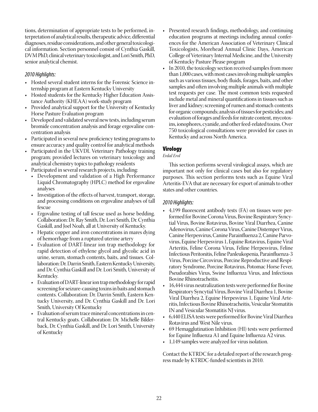tions, determination of appropriate tests to be performed, interpretation of analytical results, therapeutic advice, differential diagnoses, residue considerations, and other general toxicological information. Section personnel consist of Cynthia Gaskill, DVM PhD, clinical veterinary toxicologist, and Lori Smith, PhD, senior analytical chemist.

# *2010 Highlights:*

- Hosted several student interns for the Forensic Science internship program at Eastern Kentucky University
- Hosted students for the Kentucky Higher Education Assistance Authority (KHEAA) work-study program
- Provided analytical support for the University of Kentucky Horse Pasture Evaluation program
- Developed and validated several new tests, including serum bromide concentration analysis and forage ergovaline concentration analysis
- Participated in several new proficiency testing programs to ensure accuracy and quality control for analytical methods
- Participated in the UKVDL Veterinary Pathology training program; provided lectures on veterinary toxicology and analytical chemistry topics to pathology residents
- Participated in several research projects, including:
	- Development and validation of a High Performance Liquid Chromatography (HPLC) method for ergovaline analyses
	- Investigation of the effects of harvest, transport, storage, and processing conditions on ergovaline analyses of tall fescue
	- Ergovaline testing of tall fescue used as horse bedding. Collaboration: Dr. Ray Smith, Dr. Lori Smith, Dr. Cynthia Gaskill, and Joel Noah, all at University of Kentucky.
	- Hepatic copper and iron concentrations in mares dying of hemorrhage from a ruptured uterine artery
	- Evaluation of DART-linear ion trap methodology for rapid detection of ethylene glycol and glycolic acid in urine, serum, stomach contents, baits, and tissues. Collaboration: Dr. Darrin Smith, Eastern Kentucky University, and Dr. Cynthia Gaskill and Dr. Lori Smith, University of Kentucky.
	- Evaluation of DART-linear ion trap methodology for rapid screening for seizure-causing toxins in baits and stomach contents. Collaboration: Dr. Darrin Smith, Eastern Kentucky University, and Dr. Cynthia Gaskill and Dr. Lori Smith, University Of Kentucky
	- Evaluation of serum trace mineral concentrations in central Kentucky goats. Collaboration: Dr. Michelle Bilderback, Dr. Cynthia Gaskill, and Dr. Lori Smith, University of Kentucky
- Presented research findings, methodology, and continuing education programs at meetings including annual conferences for the American Association of Veterinary Clinical Toxicologists, Morehead Annual Clinic Days, American College of Veterinary Internal Medicine, and the University of Kentucky Pasture Please program
- In 2010, the toxicology section received samples from more than 1,000 cases, with most cases involving multiple samples such as various tissues, body fluids, forages, baits, and other samples and often involving multiple animals with multiple test requests per case. The most common tests requested include metal and mineral quantifications in tissues such as liver and kidney; screening of rumen and stomach contents for organic compounds; analysis of tissues for pesticides; and evaluation of forages and feeds for nitrate content, mycotoxins, ionophores, cyanide, and other feed-related toxins. Over 750 toxicological consultations were provided for cases in Kentucky and across North America.

# Virology

# *Erdal Erol*

This section performs several virological assays, which are important not only for clinical cases but also for regulatory purposes. This section performs tests such as Equine Viral Arteritis-EVA that are necessary for export of animals to other states and other countries.

# *2010 Highlights:*

- 4,199 fluorescent antibody tests (FA) on tissues were performed for Bovine Corona Virus, Bovine Respiratory Syncytial Virus, Bovine Rotavirus, Bovine Viral Diarrhea, Canine Adenovirus, Canine Corona Virus, Canine Distemper Virus, Canine Herpesvirus, Canine Parainfluenza 2, Canine Parvovirus, Equine Herpesvirus 1, Equine Rotavirus, Equine Viral Arteritis, Feline Corona Virus, Feline Herpesvirus, Feline Infectious Peritonitis, Feline Panleukopenia, Parainfluenza-3 Virus, Porcine Circovirus, Porcine Reproductive and Respiratory Syndrome, Porcine Rotavirus, Potomac Horse Fever, Pseudorabies Virus, Swine Influenza Virus, and Infectious Bovine Rhinotracheitis.
- 16,444 virus neutralization tests were performed for Bovine Respiratory Syncytial Virus, Bovine Viral Diarrhea 1, Bovine Viral Diarrhea 2, Equine Herpesvirus 1, Equine Viral Arteritis, Infectious Bovine Rhinotracheitis, Vesicular Stomatitis IN and Vesicular Stomatitis NJ virus.
- • 6,440 ELISA tests were performed for Bovine Viral Diarrhea Rotavirus and West Nile virus.
- 69 Hemagglutination Inhibition (HI) tests were performed for Equine Influenza A1 and Equine Influenza A2 virus.
- 1,149 samples were analyzed for virus isolation.

Contact the KTRDC for a detailed report of the research progress made by KTRDC-funded scientists in 2010.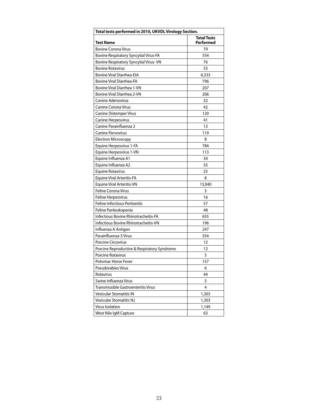| Total tests performed in 2010, UKVDL Virology Section. |                                 |  |  |  |
|--------------------------------------------------------|---------------------------------|--|--|--|
| <b>Test Name</b>                                       | <b>Total Tests</b><br>Performed |  |  |  |
| <b>Bovine Corona Virus</b>                             | 79                              |  |  |  |
| Bovine Respiratory Syncytial Virus-FA                  | 554                             |  |  |  |
| Bovine Respiratory Syncytial Virus-VN                  | 76                              |  |  |  |
| <b>Bovine Rotavirus</b>                                | 55                              |  |  |  |
| <b>Bovine Viral Diarrhea-EIA</b>                       | 6,333                           |  |  |  |
| <b>Bovine Viral Diarrhea-FA</b>                        | 796                             |  |  |  |
| Bovine Viral Diarrhea 1-VN                             | 207                             |  |  |  |
| Bovine Viral Diarrhea 2-VN                             | 206                             |  |  |  |
| Canine Adenovirus                                      | 32                              |  |  |  |
| <b>Canine Corona Virus</b>                             | 42                              |  |  |  |
| <b>Canine Distemper Virus</b>                          | 120                             |  |  |  |
| <b>Canine Herpesvirus</b>                              | 41                              |  |  |  |
| Canine Parainfluenza 2                                 | 13                              |  |  |  |
| <b>Canine Parvovirus</b>                               | 119                             |  |  |  |
| <b>Electron Microscopy</b>                             | 8                               |  |  |  |
| Equine Herpesvirus 1-FA                                | 784                             |  |  |  |
| Equine Herpesvirus 1-VN                                | 113                             |  |  |  |
| Equine Influenza A1                                    | 34                              |  |  |  |
| Equine Influenza A2                                    | 35                              |  |  |  |
| <b>Equine Rotavirus</b>                                | 25                              |  |  |  |
| Equine Viral Arteritis-FA                              | 8                               |  |  |  |
| <b>Equine Viral Arteritis-VN</b>                       | 13,040                          |  |  |  |
| <b>Feline Corona Virus</b>                             | 5                               |  |  |  |
| <b>Feline Herpesvirus</b>                              | 16                              |  |  |  |
| <b>Feline Infectious Peritonitis</b>                   | 57                              |  |  |  |
| Feline Panleukopenia                                   | 48                              |  |  |  |
| Infectious Bovine Rhinotracheitis-FA                   | 655                             |  |  |  |
| Infectious Bovine Rhinotracheitis-VN                   | 196                             |  |  |  |
| Influenza A Antigen                                    | 247                             |  |  |  |
| Parainfluenza-3 Virus                                  | 554                             |  |  |  |
| <b>Porcine Circovirus</b>                              | 12                              |  |  |  |
| Porcine Reproductive & Respiratory Syndrome            | 12                              |  |  |  |
| Porcine Rotavirus                                      | 5                               |  |  |  |
| Potomac Horse Fever                                    | 157                             |  |  |  |
| <b>Pseudorabies Virus</b>                              | 6                               |  |  |  |
| Rotavirus                                              | 44                              |  |  |  |
| Swine Influenza Virus                                  | 5                               |  |  |  |
| Transmissible Gastroenteritis Virus                    | 4                               |  |  |  |
| <b>Vesicular Stomatitis IN</b>                         | 1,303                           |  |  |  |
| <b>Vesicular Stomatitis NJ</b>                         | 1,303                           |  |  |  |
| Virus Isolation                                        | 1,149                           |  |  |  |
| West Nile IgM Capture                                  | 63                              |  |  |  |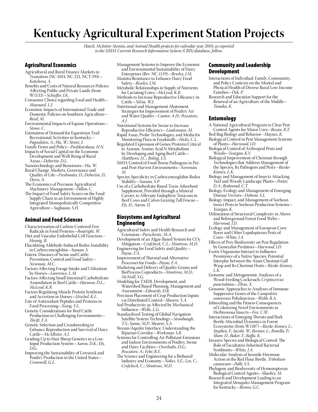# **Kentucky Agricultural Experiment Station Projects**

*Hatch, McIntire-Stennis, and Animal Health projects for calendar year 2010, as reported in the USDA Current Research Information System (CRIS) database, follow.*

### Agricultural Economics

- Agricultural and Rural Finance Markets in Transition (NC-1014, NC-221, NCT-194)— *Katchova, A.*
- Benefits and Costs of Natural Resources Policies Affecting Public and Private Lands (from W1133)—*Schieffer, J.K.*
- Consumer Choice regarding Food and Health— *Maynard, L.J.*
- Economic Impacts of International Trade and Domestic Policies on Southern Agriculture— *Reed, M.*
- Environmental Impacts of Equine Operations— *Stowe, C.*
- Estimation of Demand for Equestrian Trail Recreational Activities in Kentucky— *Pagoulatos, A.; Hu, W.; Stowe, J.*
- Family Firms and Policy—*Pushkarskaya, H.N.*
- Impacts of Social Capital on the Economic Development and Well-Being of Rural Areas—*Debertin, D.L.*
- Nanotechnology and Biosensors—*Hu, W.*
- Rural Change: Markets, Governance and Quality of Life—*Freshwater, D.; Debertin, D.; Davis, A.*
- The Economics of Precision Agricultural Machinery Management—*Dillon, C.*
- The Impact of Food Safety Scares on the Food Supply Chain in an Environment of Highly Integrated Monopolistically Competitive Agriculture—*Saghaian, S.H.*

### Animal and Food Sciences

- Characterization of Carbon-Centered Free Radicals in Food Proteins—*Boatright, W.*
- Diet and Vascular Endothelial Cell Function— *Hennig, B.*
- Elucidating Aldehyde-Induced Redox Instability in Carboxymyoglobin—*Suman, S.*
- Enteric Diseases of Swine and Cattle: Prevention, Control and Food Safety— *Newman, M.C.*
- Factors Affecting Forage Intake and Utilization by Horses—*Lawrence, L.M.*
- Factors Affecting Small Intestinal Carbohydrate Assimilation in Beef Cattle—*Harmon, D.L.; McLeod, K.R.*
- Factors Regulating Muscle Protein Synthesis and Accretion in Horses—*Urschel, K.L.*
- Fate of Antioxidant Peptides and Proteins in Food Processing—*Xiong, Y.L.*
- Genetic Considerations for Beef Cattle Production in Challenging Environments— *Thrift, F.A.*
- Genetic Selection and Crossbreeding to Enhance Reproduction and Survival of Dairy Cattle—*McAllister, A.J.*
- Grading-Up to Hair Sheep Genetics in a Low-Input Production System—*Aaron, D.K.; Ely, D.G.*
- Improving the Sustainability of Livestock and Poultry Production in the United States— *Cromwell, G.L.*
- Management Systems to Improve the Economic and Environmental Sustainability of Dairy
- Enterprises (Rev. NC-1119)—*Bewley, J.M.* Mastitis Resistance to Enhance Dairy Food
- Safety—*Bewley, J.M.* Metabolic Relationships in Supply of Nutrients
- for Lactating Cows—*McLeod, K.R.* Methods to Increase Reproductive Efficiency in Cattle—*Silvia, W.J.*
- Nutritional and Management Abatement Strategies for Improvement of Poultry Air and Water Quality—*Cantor, A.H.; Pescatore, A.J.*
- Nutritional Systems for Swine to Increase Reproductive Efficiency—*Lindemann, M.*
- Rapid Assay, Probe Technologies, and Media for Monitoring Flora in Foodstuffs—*Hicks, C.L.*
- Regulated Expression of Genes/Proteins Critical to Anionic Amino Acid N Metabolism by Developing and Aging Beef Cattle— *Matthews, J.C.; Boling, J.A.*
- S1033: Control of Food-Borne Pathogens in Preand Post-Harvest Environments—*Newman, M.*
- Species-Specificity in Carboxymyoglobin Redox Stability—*Suman, S.P.*
- Use of a Carbohydrate-Based Toxin Adsorbent Supplement, Provided through a Mineral Carrier, to Alleviate Endophyte Toxicosis in Beef Cows and Calves Grazing Tall Fescue— *Ely, D.; Aaron, D.*

### Biosystems and Agricultural Engineering

- Agricultural Safety and Health Research and Extension—*Purschwitz, M.A.*
- Development of an Algae-Based System for CO2 Mitigation—*Crofcheck, C.L.; Montross, M.D.* Engineering for Food Safety and Quality—
- *Payne, F.A.* Improvement of Thermal and Alternative
- Processes for Foods—*Payne, F.A.*
- Marketing and Delivery of Quality Grains and BioProcess Coproducts—*Montross, M.D.; McNeill, S.G.*
- Modeling for TMDL Development, and Watershed Based Planning, Management and Assessment—*Edwards, D.R.*
- Precision Placement of Crop Production Inputs via Distributed Control—*Shearer, S.A.*
- Soil Productivity as Affected by Mechanical Influence—*Wells, L.G.*
- Standardized Testing of Global Navigation Satellite System Technology-Stombaugh, *T.S.; Sama. M.P.; Shearer, S.A.*
- Stream/Aquifer Interface: Understanding the Riparian Corridor—*Workman, S.R.*
- Systems for Controlling Air Pollutant Emissions and Indoor Environments of Poultry, Swine and Dairy Facilities—*Overhults, D.G.; Pescatore, A.; Fehr, R.E.*
- The Science and Engineering for a Biobased Industry and Economy—*Nokes, S.E.; Lee, C.; Crofcheck, C.; Montross, M.D.*

### Community and Leadership Development

- Interactions of Individual, Family, Community, and Policy Contexts on the Mental and Physical Health of Diverse Rural Low-Income Families—*Dyk, P.*
- Research and Education Support for the Renewal of an Agriculture of the Middle— *Tanaka, K.*

### **Entomology**

- A National Agricultural Program to Clear Pest Control Agents for Minor Uses—*Bessin, R.T.*
- Bed Bug Biology and Behavior—*Haynes, K.* Biological Control in Pest Management Systems of Plants—*Harwood, J.D.*
- Biological Control of Arthropod Pests and Weeds—*Yeargan, K.V.*
- Biological Improvement of Chestnut through Technologies that Address Management of the Species, Its Pathogens and Pests—*Rieske-Kinney, L.K.*
- Biology and Management of Insects Attacking Turf and Woody Landscape Plants—*Potter, D.A.; Redmond, C.T.*
- Biology, Ecology and Management of Emerging Disease Vectors—*Dobson, S.L.*
- Biology, Impact, and Management of Soybean Insect Pests in Soybean Production Systems— *Yeargan, K.*
- Delineation of Structural Complexity in Above and Belowground Forest Food Webs— *Harwood, J.D.*
- Ecology and Management of European Corn Borer and Other Lepidopteran Pests of Corn—*White, J.A.*
- Effects of Prey Biodiversity on Pest Regulation by Generalist Predators—*Harwood, J.D.*
- Exotic Organisms Interact to Influence Persistence of a Native Species: Potential Interplay between the Asian Chestnut Gall Wasp and Its Chestnut Hosts—*Rieske-Kinney, L.K.*
- Genomic and Metagenomic Analyses of a Wood-Feeding Cockroach, *Cryptocercus punctulatus*—*Zhou, X.*
- Genomic Approaches to Analyses of Immune-Suppressive Genes of the *Campoletis sonorensis* Polydnavirus—*Webb, B.A.*
- Inbreeding and the Fitness Consequences of Colonizing Novel Environments in Herbivorous Insects—*Fox, C.W.*
- Interactions of Emerging Threats and Bark Beetle-Microbial Dynamics in Forest Ecosystems (from W1187)—*Rieske-Kinney, L.; Stephen, F.; Jacobi, W.; Bernier, L.; Bonello, P.; Shaw, D.; Baker, F.; Raffa, K.*
- Invasive Species and Biological Control: The Role of Facultative Inherited Bacterial Symbionts—*White, J.A.*
- Molecular Analysis of Juvenile Hormone Action in the Red Flour Beetle, *Tribolium cataneum*—*Palli, S.S.*
- Phylogeny and Biodiversity of Hymenopteran Biological Control Agents—*Sharkey, M.*
- Research and Development Leading to an Integrated Mosquito Management Program for Kentucky—*Brown, G.C.*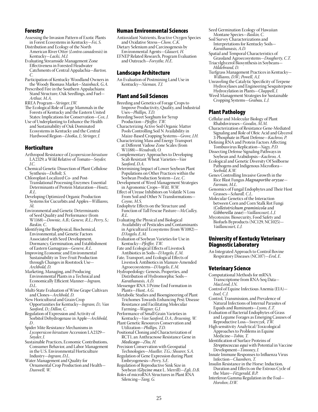### Forestry

- Assessing the Invasion Pattern of Exotic Plants in Forest Ecosystems in Kentucky—*Fei, S.*
- Distribution and Ecology of the North American River Otter (*Lontra canadensis*) in Kentucky—*Lacki, M.J.*

Evaluating Streamside Management Zone Effectiveness in Forested Headwater Catchments of Central Appalachia—*Barton, C.*

Participation of Kentucky Woodland Owners in the Woody Biomass Market—*Stainback, G.A.*

Prescribed Fire in the Southern Appalachians: Stand Structure, Oak Seedlings, and Fuel— *Arthur, M.A.*

RREA Program—*Stringer, J.W.*

- The Ecological Role of Large Mammals in the Forests of Kentucky and the Eastern United States: Implications for Conservation—*Cox, J.*
- Use of Underplanting to Enhance the Health and Sustainability of Oak Dominated Ecosystems in Kentucky and the Central Hardwood Region—*Lhotka, J.; Stringer, J.*

### Horticulture

- Arthropod Resistance of *Lycopersicon hirsutum* LA2329, a Wild Relative of Tomato—*Snyder, J.C.*
- Chemical Genetic Dissection of Plant Cellulose Synthesis—*DeBolt, S.*
- Chloroplast-Localized Co- and Post-Translational Processing Enzymes: Essential Determinants of Protein Maturation—*Houtz, R.L.*

Developing Optimized Organic Production Systems for Cucurbits and Apples—*Williams, M.*

- Environmental and Genetic Determinants of Seed Quality and Performance (from W1168)—*Downie, A.B.; Geneve, R.L.; Perry, S.; Baskin, C.*
- Identifying the Biophysical, Biochemical, Environmental, and Genetic Factors Associated with Seed Development, Dormancy, Germination, and Establishment of Eastern Gamagrass—*Geneve, R.L.*
- Improving Economic and Environmental Sustainability in Tree-Fruit Production through Changes in Rootstock Use— *Archbold, D.*

Marketing, Managing, and Producing Environmental Plants in a Technical and Economically Efficient Manner—*Ingram, D.L.*

Multi-State Evaluation of Wine Grape Cultivars and Clones—*Archbold, D.* New Horicultural and Grain Crop

- Opportunities for Kentucky—*Ingram, D.; Van Sanford, D.; Dillon, C.*
- Regulation of Expression and Activity of Sorbitol Dehydrogenase in Apple—*Archbold, D .*
- Spider Mite Resistance Mechanisms in *Lycopersicon hirsutum* Accession LA2329— *Snyder, J.*
- Sustainable Practices, Economic Contributions, Consumer Behavior, and Labor Management in the U.S. Environmental Horticulture Industry—*Ingram, D.L.*

Water Management and Quality for Ornamental Crop Production and Health— *Dunwell, W.*

### Human Environmental Sciences

- Antioxidant Nutrients, Reactive Oxygen Species and Oxidative Stress—*Chow, C.K.*
- Dietary Selenium and Carcinogenesis by Environmental Agents—*Glauert, H.*

EFNEP Related Research, Program Evaluation and Outreach—*Forsythe, H.E.*

### Landscape Architecture

An Evaluation of Postmining Land Use in Kentucky—*Nieman, T.J.*

### Plant and Soil Sciences

- Breeding and Genetics of Forage Crops to Improve Productivity, Quality, and Industrial Uses—*Phillips, T.D.*
- Breeding Sweet Sorghum for Syrup Production—*Pfeiffer, T.W.*
- Characterizing Active Soil Organic Matter Pools Controlling Soil N Availability in Maize-Based Cropping Systems—*Grove, J.H.*
- Characterizing Mass and Energy Transport at Different Vadose Zone Scales (from W1188)—*Wendroth, O.*
- Complementary Approaches to Developing Scab Resistant Wheat Varieties—*Van Sanford, D.A.*
- Determining Impact of Lower Soybean Plant Populations on Other Practices within the Soybean Production System—*Lee, C.*
- Development of Weed Management Strategies in Agronomic Crops—*Witt, W.W.*
- Effect of Urease Inhibitors on Volatile N Loss From Soil and Other N Transformations— *Coyne, M.S.*
- Endophyte Effects on the Structure and Function of Tall Fescue Pasture—*McCulley, R.L.*
- Evaluating the Physical and Biological Availability of Pesticides and Contaminants in Agricultural Ecosystems (from W1082)— *D'Angelo, E.M.*
- Evaluation of Soybean Varieties for Use in Kentucky—*Pfeiffer, T.W.*
- Fate and Ecological Effects of Livestock Antibiotics in Soils—*D'Angelo, E.M.*
- Fate, Transport, and Ecological Effects of Livestock Antibiotics in Manure-Amended Agroecosystems—*D'Angelo, E.M.*
- Hydropedology: Genesis, Properties, and Distribution of Hydromorphic Soils— *Karathanasis, A.D.*
- Messenger RNA 3 Prime End Formation in Plants—*Hunt, A.G.*
- Metabolic Studies and Bioengineering of Plant Trichomes Towards Enhancing Pest/Disease Resistance and Facilitating Molecular Farming—*Wagner, G.J.*
- Performance of Small Grain Varieties in Kentucky—*Van Sanford, D.A.; Bruening, W.*
- Plant Genetic Resources Conservation and Utilization—*Phillips, T.D.*
- Positional Cloning and Characterization of RCT1, an Anthracnose Resistance Gene in *Medicago*—*Zhu, H.*
- Precision Conservation with Geospatial Technologies—*Mueller, T.G.; Shearer, S.A.*
- Regulation of Gene Expression during Plant Embryogenesis—*Perry, S.E.*
- Regulation of Reproductive Sink Size in Soybean (*Glycine max* L. Merrill)—*Egli, D.B.*
- Roles of microRNA Structures in Plant RNA Silencing—*Tang, G.*
- Seed Germination Ecology of Hawaiian Montane Species—*Baskin, C.*
- Soil Survey Characterizations and Interpretations for Kentucky Soils— *Karathanasis, A.D.*
- Spatial and Temporal Characteristics of
- Grassland Agroecosystems—*Dougherty, C.T.* Triacylglycerol Biosynthesis in Soybeans—
- *Hildebrand, D.* Turfgrass Management Practices in Kentucky—
- *Williams, D.W.; Powell, A.J.*
- Unraveling the Catalytic Specificity of Terpene Hydroxylases and Engineering Sesquiterpene Hydroxylation in Plants—*Chappell, J.*
- Weed Management Strategies for Sustainable Cropping Systems—*Grabau, L.J.*

### Plant Pathology

- Cellular and Molecular Biology of Plant Rhabdoviruses—*Goodin, M.M.*
- Characterization of Resistance Gene-Mediated Signaling and Role of Oleic Acid and Glycerol 3-Phosphate in Plant Defense—*Kachroo, P.*
- Defining RNA and Protein Factors Affecting Tombusvirus Replication—*Nagy, P.D.*
- Dissecting Defense Signaling Pathways in Soybean and Arabidopsis—*Kachroo, A.*
- Ecological and Genetic Diversity Of Soilborne Pathogens and Indigenous Microflora— *Seebold, K.W.*
- Genes Controlling Invasive Growth in the Rice Blast Fungus *Magnaporthe oryzae*— *Farman, M.L.*
- Genomics of Fungal Endophytes and Their Host Grasses—*Schardl, C.L.*
- Molecular Genetics of the Interaction between Corn and Corn Stalk Rot Fungi (*Colletotrichum graminicola* and *Gibberella zeae*)—*Vaillancourt, L.J.*
- Mycotoxins: Biosecurity, Food Safety and Biofuels Byproducts (NC129, NC1025)— *Vaillancourt, L.J.*

# University of Kentucky Veterinary Diagnostic Laboratory

An Integrated Approach to Control Bovine Respiratory Diseases (NC107)—*Erol, E.*

### Veterinary Science

- Computational Methods for mRNA Transcriptome from RNA-Seq Data— *MacLeod, J.N.*
- Control of Equine Infectious Anemia (EIA)— *Issel, C.J.*
- Control, Transmission, and Prevalence of Natural Infections of Internal Parasites of Equids and Ruminants—*Lyons, E.T.*
- Evaluation of Bacterial Endophytes of Grass and Legume Forages as Emerging Casuses of Reproductive Loss—*Swerczek, T.W.*
- High sensitivity Analytical/Toxicological Approaches to Problems in Equine Medicine—*Tobin, T.*
- Identification of Surface Proteins of *Streptococcus equi* with Potential in Vaccine Development—*Timoney, J.*
- Innate Immune Responses to Influenza Virus Infection—*Chambers, T.*
- Insulin Resistance in the Horse: Induction, Duration and Effects on the Estrous Cycle of the Mare—*Fitzgerald, B.P.*
- Interferon Gamma Regulation in the Foal— *Horohov, D.W.*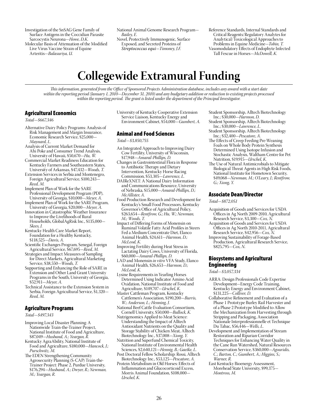Investigation of the SnSAG Gene Family of Surface Antigens in the Coccidian Parasite Sarcocystis Neurona—*Howe, D.K.* Molecular Basis of Attenuation of the Modified

Live Virus Vaccine Strain of Equine Arteritis—*Balasuriya, U.*

National Animal Genome Research Program— *Bailey, E.*

Novel, Protectively Immunogenic, Surface Exposed, and Secreted Proteins of *Streptococcus equi*—*Timoney, J.F.*

Reference Standards, Internal Standards and Critical Reagents/Regulatory Analytes for Analytical/Toxicological Approaches to Problems in Equine Medicine—*Tobin, T.* Vasomodulatory Effects of Endophyte Infected Tall Fescue in Horses—*McDowell, K.*

# **Collegewide Extramural Funding**

*This information, generated from the Office of Sponsored Projects Administration database, includes any award with a start date within the reporting period (January 1, 2010—December 31, 2010) and any budgetary addition or reduction to existing projects processed within the reporting period. The grant is listed under the department of the Principal Investigator.*

# Agricultural Economics

*Total—\$667,346*

- Alternative Dairy Policy Programs: Analysis of Risk Management and Margin Insurance, Economic Research Service, \$25,000— *Maynard, L.*
- Analysis of Current Market Demand for Ahi Poke and Consumer Trend Analysis, University of Hawaii, \$50,670—*Hu, W.*
- Commercial Market Readiness Education for Kentucky Farmers and Southeastern States, University of Arkansas, \$47,432—*Woods, T.*
- Extension Services in Serbia and Montenegro, Foreign Agricultural Service, \$100,243— *Reed, M.*
- Implement Plan of Work for the SARE Professional Development Program (PDP), University of Georgia, \$10,000—*Meyer, A.*
- Implement Plan of Work for the SARE Program, University of Georgia, \$20,000—*Meyer, A.*
- Innovation in Catastrophic Weather Insurance to Improve the Livelihoods of Rural Households, GlobalAgRisk Inc., \$135,000— *Skees, J.*
- Kentucky Health Care Market Report, Foundation for a Healthy Kentucky, \$118,525—*Davis, A.*
- Scientific Exchanges Program, Senegal, Foreign Agricultural Service, \$67,695—*Reed, M.*
- Strategies and Impact Measures of Sampling for Direct Markets, Agricultural Marketing Service, \$38,550—*Woods, T.*
- Supporting and Enhancing the Role of SARE in Extension and Other Land Grant University Programs in the South, University of Georgia, \$52,911—*Meyer, A.*
- Technical Assistance to the Extension System in Serbia, Foreign Agricultural Service, \$1,320— *Reed, M.*

### Agriculture Programs

*Total—\$497,343*

- Improving Local Disaster Planning: A Nationwide Train-the-Trainer Project, National Institute of Food and Agriculture, \$87,049—*Husband, A.; Yeargan, R.*
- Kentucky AgraAbility, National Institute of Food and Agriculture, \$180,000—*Hancock, J.; Purschwitz, M.*
- The EDEN Strengthening Community Agrosecurity Planning (S-CAP) Train-the-Trainer Project: Phase 2, Purdue University, \$176,294—*Husband, A.; Dwyer, R.; Newman, M.; Yeargan, R.*

University of Kentucky Cooperative Extension Service Liaison, Kentucky Energy and Environment Cabinet, \$54,000—*Gumbert, A.*

# Animal and Food Sciences

*Total—\$3,850,755*

- An Integrated Approach to Improving Dairy Cow Fertility, University of Wisconsin, \$17,948—*Amaral-Phillips, D.*
- Changes in Gastrointestinal Flora in Response to Antibiotic Therapy and Dietary Intervention, Kentucky Horse Racing Commission, \$53,305—*Lawrence, L.*
- DAIReXNET: A National Dairy Information and Communications Resource, University of Nebraska, \$15,000—*Amaral-Phillips, D.; McAllister, A.*
- Food Production Research and Development for Kentucky's Small Food Processors, Kentucky Governor's Office of Agricultural Policy, \$263,654—*Rentfrow, G.; Hu, W.; Newman, M.; Woods, T.*
- Impact of Differing Forms of Monensin on Ruminal Volatile Fatty Acid Profiles in Steers Fed a Medium Concentrate Diet, Elanco Animal Health, \$24,611—*Harmon, D.; McLeod, K.*
- Improving Fertility during Heat Stress in Lactating Dairy Cows, University of Florida, \$60,000—*Amaral-Phillips, D.*
- LAD and Monensin *in vitro* VFA Study, Elanco Animal Health, \$26,653—*Harmon, D.; McLeod, K.*
- Lysine Requirements in Yearling Horses Determined Using Indicator Amino Acid Oxidation, National Institute of Food and Agriculture, \$149,707—*Urschel, K.*
- Master Cattleman Program, Kentucky Cattlemen's Association, \$190,200—*Burris, W.; Anderson, L.; Henning, J.*
- National Beef Cattle Evaluation Consortium, Cornell University, \$50,000—*Bullock, K.*
- Nutrigenomics Applied to Meat Science: Understanding the Impact of Alltech Antioxidant Nutrients on the Quality and Storage Stability of Chicken Meat, Alltech Biotechnology Inc., \$37,008—*Xiong, Y.*
- Nutrition and Superfund Chemical Toxicity, National Institute of Environmental Health Sciences, \$2,640,121—*Hennig, B.; Gaetke, L.*
- Post Doctoral Fellow Scholarship: Rossi, Alltech Biotechnology Inc., \$53,125—*Pescatore, A.*
- Protein Metabolism in Old Horses: Effects of Inflammation and Glucocorticoid Excess, Morris Animal Foundation, \$108,000— *Urschel, K.*
- Student Sponsorship, Alltech Biotechnology Inc.; \$30,000—*Harmon, D.*
- Student Sponsorship, Alltech Biotechnology Inc.; \$30,000—*Lawrence, L.*
- Student Sponsorship, Alltech Biotechnology Inc.; \$32,400—*Pescatore, A.*
- The Effects of Creep Feeding Pre-Weaning Foals on Whole Body Protein Synthesis Determined Using Isotope Infusion and Stochastic Analysis, Waltham Centre for Pet Nutrition, \$19,915—*Urschel, K.*
- The Use of Natural Antimicrobials to Mitigate Biological Threat Agents in High Risk Foods, National Institute for Hometown Security, \$49,068—*Newman, M.; O'Leary, J.; Rentfrow, G.; Xiong, Y.*

# Associate Dean/Director

*Total—\$872,051*

- Acquisition of Goods and Services for USDA Offices in Ag North 2009-2010, Agricultural Research Service, \$3,300—*Cox, N.*
- Acquisition of Goods and Services for USDA Offices in Ag North 2010-2011, Agricultural Research Service, \$42,956—*Cox, N.*
- Improving Sustainability of Forage-Based Production, Agricultural Research Service, \$825,795—*Cox, N.*

### Biosystems and Agricultural Engineering

*Total—\$3,057,334*

- ARRA: Design Professionals Code Expertise Development—Energy Code Training, Kentucky Energy and Environment Cabinet, \$131,225—*Colliver, D.*
- Collaborative Refinement and Evaluation of a Phase 1 Prototype Burley Rail Harvester and of a Phase 2 Prototype Modified to Allow the Mechanization from Harvesting through Stripping and Packaging, Association Nationale Interprofessionnelle et Technique Du Tabac, \$56,446—*Wells, L.*
- Development and Implementation of Stream Restoration and Riparian Corridor Techniques for Enhancing Water Quality in the Cane Run Watershed, Natural Resources Conservation Service, \$360,000—*Agouridis, C.; Barton, C.; Gumbert, A.; Higgins, S.; Warner, R.*
- East Kentucky Bioenergy Assessment, Morehead State University, \$99,375— *Montross, M.*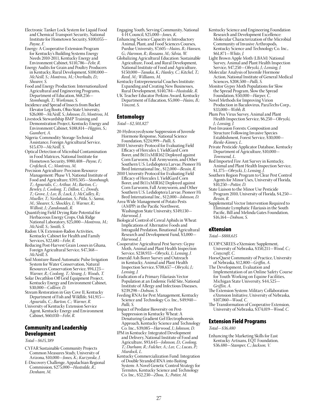- Electronic Tanker Lock System for Liquid Food and Chemical Transport Security, National Institute for Hometown Security, \$100,055— *Payne, F.*
- Energy: A Cooperative Extension Program for Kentucky's Building Systems Energy Needs 2010-2011, Kentucky Energy and Environment Cabinet, \$110,786—*Fehr, R.*
- Energy Audits for Grain and Poultry Producers in Kentucky, Rural Development, \$100,000— *McNeill, S.; Montross, M.; Overhults, D.; Shearer, S.*

Food and Energy Production: Internationalized Agricultural and Engineering Programs, Department of Education, \$68,256— *Stombaugh, T.; Workman, S.*

- Incidence and Spread of Insects from Bucket Elevator Leg Boots, Ohio State University, \$26,000—*McNeill, S.; Johnson, D.; Montross, M.*
- Livestock Stewardship BMP Training and Demonstration Project, Kentucky Energy and Environment Cabinet, \$188,814—*Higgins, S.; Gumbert, A.*

Nigeria: Commodity Storage-Technical Assistance, Foreign Agricultural Service, \$15,470—*McNeill, S.*

Optical Detection of Microbial Contamination in Food Matrices, National Institute for Hometown Security, \$980,408—*Payne, F.; Crofcheck, C.; Montross, M.*

Precision Agriculture: Precision Resource Management: Phase VI, National Institute of Food and Agriculture, \$593,505—*Stombaugh, T.; Agouridis, C.; Arthur, M.; Barton, C.; Bewley, J.; Coolong, T.; Dillon, C.; Dowdy, T.; Grove, J.; Lee, B.; Luck, J.; McCulley, R.; Mueller, T.; Neelakantan, S.; Pitla, S.; Sama, M.; Shearer, S.; Shockley, J.; Warner, R.; Wilhoit, J.; Zandonadi, R.*

Quantifying Field Drying Rate Potential for Herbaceous Energy Crops, Oak Ridge National Laboratory, \$25,000—*Montross, M.; McNeill, S.; Smith, S.*

- Radon: UK Extension-Radon Activities, Kentucky Cabinet for Health and Family Services, \$22,681—*Fehr, R.*
- Reducing Post-Harvest Grain Losses in Ghana, Foreign Agricultural Service, \$47,368— *McNeill, S.*

Soil Moisture-Based Automatic Pulse Irrigation System for Water Conservation, Natural Resources Conservation Service, \$94,123— *Warner, R.; Coolong, T.; Strang, J.; Woods, T.*

Solar Decathlon Off Grid Equipment Project, Kentucky Energy and Environment Cabinet, \$30,000—*Colliver, D.*

Stream Restoration in Guy Cove II, Kentucky Department of Fish and Wildlife, \$41,915— *Agouridis, C.; Barton, C.; Warner, R.*

University of Kentucky Extension Service Agent, Kentucky Energy and Environment Cabinet, \$60,030—*Fehr, R.*

### Community and Leadership Development

### *Total—\$615,389*

- CYFAR Sustainable Community Projects Common Measures Study, University of Arizona, \$10,000—*Jones, K.; Kurzynske, J.*
- E-Discovery Challenge, Appalachian Regional Commission, \$275,000—*Hustedde, R.; Denham, M.*

Engaging Youth, Serving Community, National 4-H Council, \$25,000—*Jones, K.*

- Enhancing Science Capacity in Introductory Animal, Plant, and Food Sciences Courses, Purdue University, \$7,605—*Hains, B.; Hansen, G.; Harmon, R.; Rossano, M.; Silvia, W.*
- Globalizing Agricultural Education: Sustainable Agriculture, Food, and Rural Development, National Institute of Food and Agriculture, \$150,000—*Tanaka, K.; Hanley, C.; Kitchel, T.; Reed, M.; Williams, M.*
- Kentucky Entrepreneurial Coaches Institute: Expanding and Creating New Businesses, Rural Development, \$140,784—*Hustedde, R.*
- UK Teacher Educator Perkins Award, Kentucky Department of Education, \$5,000—*Hains, B.; Vincent, S.*

# Entomology

*Total—\$2,501,827* 

- 20-Hydroxyecdysone Suppression of Juvenile Hormone Response, National Science Foundation, \$224,999—*Palli, S.*
- 2010 University Protocol for Evaluating Field Efficacy of Herculex I, YieldGard Corn Borer, and Bt11xMIR162 Deployed against Corn Earworm, Fall Armyworm, and Other Southern U.S. Ledidoptera Larvae, Pioneer Hi Bred International Inc., \$12,000—*Bessin, R.*
- 2010 University Protocol for Evaluating Field Efficacy of Herculex I, YieldGard Corn Borer, and Bt11xMIR162 Deployed against Corn Earworm, Fall Armyworm, and Other Southern U.S. Ledidoptera Larvae, Pioneer Hi Bred International Inc., \$12,000—*Johnson, D.*
- Area-Wide Management of Potato Pests (AMPP) in the Pacific Northwest, Washington State University, \$349,130— *Harwood, J.*
- Biological Control of Cereal Aphids in Wheat: Implications of Alternative Foods and Intraguild Predation, Binational Agricultural Research and Development Fund, \$3,000— *Harwood, J.*
- Cooperative Agricultural Pest Survey: Gypsy Moth, Animal and Plant Health Inspection Service, \$238,933—*Obrycki, J.; Lensing, J.*
- Emerald Ash Borer Survey and Outreach in Kentucky, Animal and Plant Health Inspection Service, \$708,657—*Obrycki, J.; Lensing, J.*
- Eradication of a Primary Filariasis Vector Population at an Endemic Field Site, National Institute of Allergy and Infectious Diseases, \$239,298—*Dobson, S.*
- Feeding RNAi for Pest Management, Kentucky Science and Technology Co. Inc., \$49,940— *Palli, S.*
- Impact of Predator Bioversity on Pest-Suppression in Kentucky Wheat: A Denaturing Gradient Gel Electrophoresis Approach, Kentucky Science and Technology Co. Inc., \$39,085—*Harwood, J.; Johnson, D.*
- IPM in Kentucky: Integrated Development and Delivery, National Institute of Food and Agriculture, \$93,645—*Johnson, D.; Coolong, T.; Durham, R.; Fulcher, A.; Lee, C.; Lucas, P.; Murdock, L.*
- Kentucky Commercialization Fund: Integration of Double Stranded RNA into Baiting System: A Novel Genetic Control Strategy for Termites, Kentucky Science and Technology Co. Inc., \$52,230—*Zhou, X.; Potter, M.*
- Kentucky Science and Engineering Foundation Research and Development Excellence: Molecular Characterization of the Microbial Community of Invasive Arthropods, Kentucky Science and Technology Co. Inc., \$61,871—*White, J.*
- Light Brown Apple Moth (LBAM) National Survey, Animal and Plant Health Inspection Service, \$47,250—*Obrycki, J.; Lensing, J.*
- Molecular Analysis of Juvenile Hormone Action, National Institute of General Medical Sciences, \$208,500—*Palli, S.*
- Monitor Gypsy Moth Populations for Slow the Spread Program, Slow the Spread Foundation, \$50,000—*Harper, C.*
- Novel Methods for Improving Virion Production in Baculovirus, ParaTechs Corp., \$33,000—*Webb, B.*
- Plum Pox Virus Survey, Animal and Plant Health Inspection Service, \$6,250—*Obrycki, J.; Lensing, J.*
- Post-Invasion Forests: Composition and Structure Following Invasive Species Establishment, Forest Service, \$30,000— *Rieske-Kinney, L.*
- Private Pesticide Applicator Database, Kentucky Department of Agriculture, \$10,000— *Townsend, L.*
- Red Imported Fire Ant Survey in Kentucky, Animal and Plant Health Inspection Service, \$1,375—*Obrycki, J.; Lensing, J.*
- Southern Region Program to Clear Pest Control Agents for Minor Uses, University of Florida, \$10,250—*Potter, D.*
- State Liaison to the Minor Use Pesticide Program 2010, University of Florida, \$4,250— *Bessin, R.*
- Supplemental Vector Intervention Required to Eliminate Lymphatic Filariasis in the South Pacific, Bill and Melinda Gates Foundation, \$16,164—*Dobson, S.*

### eXtension

*Total—\$888,615*

- ECOP/CSREES-eXtension: Supplement, University of Nebraska, \$350,211—*Wood, C.; Craycraft, C.*
- HorseQuest Community of Practice, University of Nebraska, \$12,800—*Griffin, A.*
- The Development, Evaluation and Implementation of an Online Safety Course for Youth Working on Equine Facilities, Michigan State University, \$44,525— *Griffin, A.*
- The Extension System: Military Collaboration eXtension Initiative, University of Nebraska, \$107,060—*Wood, C.*
- The Transformation of Cooperative Extension, University of Nebraska, \$374,019—*Wood, C.*

### Extension Field Programs

*Total—\$36,480*

Enhancing the Marketing Skills for East Kentucky Artisans, EQT Foundation, \$36,480—*Stamper, C.; Jackson, V.*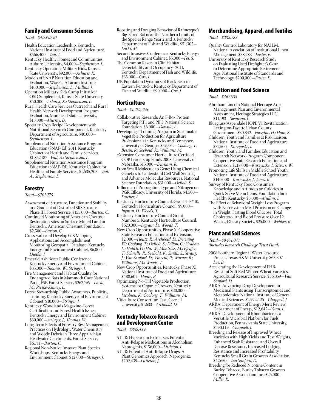### Family and Consumer Sciences

*Total—\$4,259,790*

- Health Education Leadership, Kentucky, National Institute of Food and Agriculture, \$566,400—*Vail, A.*
- Kentucky Healthy Homes and Communities, Auburn University, \$4,000—*Stephenson, L.* Kentucky Operation: Military Kids, Kansas
- State University, \$92,000—*Ashurst, K.* Models of SNAP Nutrition Education and
- Evaluation, Wave 2, Altarum Institute, \$100,000—*Stephenson, L.; Mullins, J.* Operation Military Kids Camp Initiative/
- OSD Supplement, Kansas State University, \$50,000—*Ashurst, K.; Stephenson, L.*
- Rural Health Care Services Outreach and Rural Health Network Development Program Evaluation, Morehead State University, \$15,000—*Murray, D.*
- Specialty Crop Recipe Development with Nutritional Research Component, Kentucky Department of Agriculture, \$40,000— *Stephenson, L.*
- Supplemental Nutrition Assistance Program-Education (SNAP-Ed) 2011, Kentucky Cabinet for Health and Family Services, \$1,857,187—*Vail, A.; Stephenson, L.*
- Supplemental Nutrition Assistance Program: Education (SNAP-Ed), Kentucky Cabinet for Health and Family Services, \$1,535,203—*Vail, A.; Stephenson, L.*

### Forestry

*Total—\$701,275*

- Assessment of Structure, Function and Stability in a Gradient of Disturbed SRS Streams− Phase III, Forest Service, \$155,000—*Barton, C.*
- Continued Monitoring of American Chestnut Restoration Sites on Surface Mined Land in Kentucky, American Chestnut Foundation, \$2,500—*Barton, C.*
- Cross-walk and Develop GIS Mapping Applications and Accomplishment Monitoring Geospatial Database, Kentucky Energy and Environment Cabinet, \$6,000— *Lhotka, J.*
- Emerald Ash Borer Public Conference, Kentucky Energy and Environment Cabinet, \$35,000—*Thomas, W.; Stringer, J.*
- Fire Management and Habitat Quality for Endangered Bats in Mammoth Cave National Park, JFSP, Forest Service, \$262,759—*Lacki, M.; Rieske-Kinney, L.*
- Forest Stewardship Public Awareness, Publicity, Training, Kentucky Energy and Environment Cabinet, \$10,000—*Stringer, J.*
- Kentucky Woodlands Magazine−Forest Certification and Forest Health Issues, Kentucky Energy and Environment Cabinet, \$30,000—*Stringer, J.; Thomas, W.*
- Long-Term Effects of Forestry Best Management Practices on Hydrology, Water Chemistry and Woody Debris in Three Appalachian Headwater Catchments, Forest Service, \$6,711—*Barton, C.*
- Regional Non-Native Invasive Plant Species Workshops, Kentucky Energy and Environment Cabinet, \$12,000—*Stringer, J.*
- Roosting and Foraging Behavior of Rafinesque's Big-Eared Bat near the Northern Limits of the Species Range Year 2 and 3, Kentucky Department of Fish and Wildlife, \$51,305— *Lacki, M.*
- Second Invasives Conference, Kentucky Energy and Environment Cabinet, \$5,000—*Fei, S.*
- The Common Raven in Cliff Habitat: Detectability and Occupancy–2011, Kentucky Department of Fish and Wildlife, \$35,000—*Cox, J.*
- UK Population Dynamics of Black Bear in Eastern Kentucky, Kentucky Department of Fish and Wildlife, \$90,000—*Cox, J.*

### Horticulture

### *Total—\$1,257,266*

- Collaborative Research: An F-Box Protein Targeting PIF1 and PIF3, National Science Foundation, \$6,000—*Downie, A.*
- Developing a Training Program in Sustainable Vegetable Production for Agriculture Professionals in Kentucky and Tennessee, University of Georgia, \$59,532—*Coolong, T.; Bessin, R.; Seebold, K.; Williams, M.*
- eXtension Consumer Horticulture Certified COP Leadership Funds 2008, University of Nebraska, \$15,000—*Durham, R.*
- From Small Molecule to Gene: Using Chemical Genetics to Understand Cell Wall Sensing and Advance Molecular Resources, National Science Foundation, \$31,000—*DeBolt, S.*
- Influence of Propagation Type and Nitrogen on PGR Efficacy, University of Florida, \$4,500— *Fulcher, A.*
- Kentucky Horticulture Council, Grant 4−FY10, Kentucky Horticulture Council, \$9,000— *Ingram, D.; Woods, T.*
- Kentucky Horticulture Council Grant Number 5, Kentucky Horticulture Council, \$620,000—*Ingram, D.; Woods, T.*
- New Crop Opportunities, Phase X, Cooperative State Research Education and Extension, \$2,000—*Houtz, R.; Archbold, D.; Bruening, W.; Coolong, T.; DeBolt, S.; Dillon, C.; Grabau, L.; Halich, G.; Hu, W.; Montross, M.; Pfeiffer, T.; Schnelle, R.; Seebold, K.; Smith, S.; Strang, J.; Van Sanford, D.; Vincelli, P.; Warner, R.; Williams, M.; Woods, T.*
- New Crop Opportunities, Kentucky, Phase XI, National Institute of Food and Agriculture, \$488,601—*Houtz, R.*
- Optimizing No-Till Vegetable Production Systems for Organic Growers, Kentucky Department of Agriculture, \$20,000— *Jacobsen, K.; Coolong, T.; Williams, M.*
- Viticulture Consortium East, Cornell University, \$1,633—*Archbold, D.*

### Kentucky Tobacco Research and Development Center

*Total—\$358,439*

- STTR: Hypericum Extracts as Potential Anti-Relapse Medications in Alcoholism, Naprogenix, \$156,000—*Littleton, J.*
- STTR: Potential Anti-Relapse Drugs: A Plant Genomics Approach, Naprogenix, \$202,439—*Littleton, J.*

### Merchandising, Apparel, and Textiles

*Total—\$238,783*

- Quality Control Laboratory for NAILM, National Association of Institutional Linen Management, \$38,783—*Easter, E.*
- University of Kentucky Research Study on Evaluating Used Firefighter's Gear to Determine Appropriate Retirement Age, National Institute of Standards and Technology, \$200,000—*Easter, E.*

### Nutrition and Food Science

*Total—\$467,535*

- Abraham Lincoln National Heritage Area Management Plan and Environmental Assessment, Heritage Strategies LLC, \$11,193—*Swanson, J.*
- Bluegrass/Aspendale HOPE VI Revitalization, Lexington-Fayette Urban County Government, \$30,842—*Forsythe, H.; Ham, S.*
- Children, Youth and Families at Risk Liaison, National Institute of Food and Agriculture, \$37,500—*Kurzynske, J.*
- Children, Youth, and Families Education and Research Network−Program Component, Cooperative State Research Education and Extension, \$218,000—*Kurzynske, J.; Stivers, W.*
- Promoting Life Skills in Middle School Youth, National Institute of Food and Agriculture, \$140,000—*Kurzynske, J.; Jones, K.*
- Survey of Kentucky Food Consumers' Knowledge and Attitudes on Calories in Quick Serve Menu Items, Foundation for a Healthy Kentucky, \$5,000—*Mullins, J.*
- The Effect of Behavioral Weight Loss Program with Nutrisystem Meal Provision on Change in Weight, Fasting Blood Glucose, Total Cholesterol, and Blood Pressure Over 12 Weeks, Obesity Society, \$25,000—*Webber, K.*

### Plant and Soil Sciences

*Total—\$9,451,077* 

- *(includes Research Challenge Trust Fund)*
- 2008 Southern Regional Water Resource Project, Texas A&M University, \$63,307— *Lee, B.*
- Accelerating the Development of FHB-Resistant Soft Red Winter Wheat Varieties, Agricultural Research Service, \$56,359—*Van Sanford, D.*
- ARRA: Advancing Drug Development in Medicinal Plants using Transcriptomics and Metabolomics, National Institute of General Medical Sciences, \$2,972,425—*Chappell, J.*
- ARRA: Department of Energy Merit Review, Department of Energy, \$12,642—*Yuan, L.*
- ARRA: Development of Rhodobacter as a Versatile Microbial Platform for Fuels Production, Pennsylvania State University, \$290,119—*Chappell, J.*
- Breeding and Release of Improved Wheat Varieties with High Yields and Test Weights, Enhanced Scab Resistance and Overall Disease Resistance, Increased Lodging Resistance and Increased Profitability, Kentucky Small Grain Growers Association, \$47,650—*Van Sanford, D.*
- Breeding for Reduced Nicotine Content in Burley Tobacco, Burley Tobacco Growers Cooperative Association Inc., \$25,000— *Miller, R.*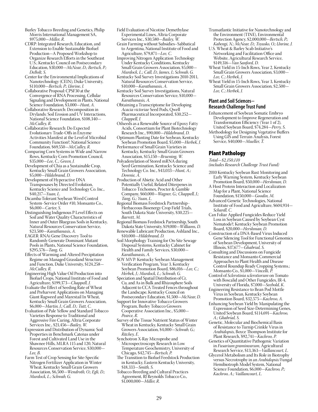- Burley Tobacco Breeding and Genetics, Philip Morris International Management SA, \$975,000—*Miller, R.*
- CDRP: Integrated Research, Education, and Extension to Enable Sustainable Biofuel Production—A Proposed Workshop to Organize Research Efforts in the Southeast U.S.; Kentucky Council on Postsecondary Education, \$30,000*—McNear, D.; Bertsch, P.; DeBolt, S.*
- Center for the Environmental Implications of Nanotechnology (CEIN), Duke University, \$110,000—*Bertsch, P.; Unrine, J.*
- Collaborative Proposal: CPSF30 at the Convergence of RNA Processing, Cellular Signaling and Development in Plants, National Science Foundation, \$3,000—*Hunt, A.*
- Collaborative Research: Decomposition in Drylands: Soil Erosion and UV Interactions, National Science Foundation, \$108,340— *McCulley, R.*
- Collaborative Research: Do Expected Evolutionary Trade-Offs in Enzyme Activities Manifest at the Level of Microbial Community Function?, National Science Foundation, \$69,550—*McCulley, R.*
- Comparing Corn Systems in Wide and Narrow Rows, Kentucky Corn Promotion Council, \$35,000—*Lee, C.; Green, J.*
- Development of Chia as a Sustainable Crop, Kentucky Small Grain Growers Association, \$5,000—*Hildebrand, D.*
- Development of Hyperactive DNA Transposases by Directed Evolution, Kentucky Science and Technology Co. Inc., \$40,217—*Yuan, L.*
- Dicamba-Tolerant Soybean Weed Control System−Service Order #10, Monsanto Co., \$6,000—*Carter, S.*
- Distinguishing Indigenous P Level Effects on Soil and Water Quality Characteristics of Inner and Outer Bluegrass Soils in Kentucky, Natural Resources Conservation Service, \$23,500—*Karathanasis, A.*
- EAGER: RNAi Gene Discovery Tool to Randomly Generate Dominant Mutant Pools in Plants, National Science Foundation, \$295,576—*Tang, G.*
- Effects of Warming and Altered Precipitation Regime on Managed Grassland Structure and Function, Duke University, \$124,258— *McCulley, R.*
- Engineering High Value Oil Production into Biofuel Crops, National Institute of Food and Agriculture, \$199,373—*Chappell, J.*
- Evaluate the Effect of Seeding Rate of Wheat and Preharvest Applications on Managing Giant Ragweed and Marestail In Wheat, Kentucky Small Grain Growers Association, \$6,000—*Martin, J.; Call, D.; Tutt, C.*
- Evaluation of Pale Yellow and Standard Tobacco Varieties Response to Traditional and Aggressive Fire Curing, Altria Corporate Services Inc., \$21,456—*Bailey, W.*
- Expression and Distribution of Dynamic Soil Properties in Benchmark Catenas under Forest and Cultivated Land Use in the Shawnee Hills, MLRA 115 and 120, Natural Resources Conservation Service, \$30,000— *Lee, B.*
- Farm Test of Crop Sensing for Site-Specific Nitrogen Fertilizer Application in Winter Wheat, Kentucky Small Grain Growers Association, \$6,500—*Wendroth, O.; Egli, D.; Murdock, L.; Schwab, G.*
- Field Evaluation of Nicotine Demethylase Experimental Lines, Altria Corporate Services Inc., \$30,580—*Bailey, W.*
- Grain Farming without Subsidies–Sabbatical to Argentina, National Institute of Food and Agriculture, \$79,871—*Lee, C.*
- Improving Nitrogen Application Technology Under Kentucky Conditions, Kentucky Small Grain Growers Association, \$5,000-*Murdock, L.; Call, D.; James, J.; Schwab, G.*
- Kentucky Soil Survey Investigations 2010-2011, Natural Resources Conservation Service, \$10,000—*Karathanasis, A.*
- Kentucky Soil Survey Investigations, Natural Resources Conservation Service, \$10,000— *Karathanasis, A.*
- Obtaining a Transcriptome for Developing *Acacia victoriae* Seed Pods, Qwell Pharmaceutical Incorporated, \$30,252— *Chappell, J.*
- Oilseeds as a Renewable Source of Epoxy Fatty Acids, Consortium for Plant Biotechnology Research Inc., \$90,000—*Hildebrand, D.*
- Optimum Planting Date for Soybean, Kentucky Soybean Promotion Board, \$5,000—*Herbek, J.*
- Performance of Small Grain Varieties in Kentucky, Kentucky Small Grain Growers Association, \$15,150—*Bruening, W.*
- Polyadenylation of Stored mRNA during Seed Germination, Kentucky Science and Technology Co. Inc., \$43,033—*Hunt, A.; Downie, A.*
- Production of Abietic Acid and Other Potentially Useful, Related Diterpenes in Tobacco Trichomes, Procter & Gamble Company, \$60,000—*Wagner, G.; Chappell, J.; Tang, G.; Yuan, L.*
- Regional Biomass Feedstock Partnership− Herbaceous Bioenergy Crop Field Trials, South Dakota State University, \$30,225— *Barrett, M.*
- Regional Biomass Feedstock Partnership, South Dakota State University, \$19,000—*Williams, D.*
- Renewable Lubricant Production, Ashland Inc., \$10,000—*Hildebrand, D.*
- Soil Morphology Training for On-Site Sewage Disposal Systems, Kentucky Cabinet for Health and Family Services, \$30,000— *Karathanasis, A.*
- SOY MVP: Kentucky Soybean Management Verification Program, Year 3, Kentucky Soybean Promotion Board, \$86,016—*Lee, C.; Herbek, J.; Murdock, L.; Schwab, G.*
- Speciation and Spatial Distribution of Cr, Cu, and As in Bulk and Rhizosphere Soils Adjacent to CCA Treated Fences throughout the Landscape, Kentucky Council on Postsecondary Education, \$1,500—*McNear, D.*
- Support for Innovative Tobacco Growers Program, Burley Tobacco Growers Cooperative Association Inc., \$5,000—
- *Pearce, R.* Survey of the Tissue Nutrient Status of Winter Wheat in Kentucky, Kentucky Small Grain Growers Association, \$4,000—*Schwab, G.; Ritchey, E.*
- Synchotron X-Ray Microprobe and Microspectroscopy Research in Low Temperature Geochemistry, University of Chicago, \$42,745—*Bertsch, P.*
- The Transition to Biofuel Feedstock Production in Kentucky, Eastern Kentucky University, \$18,333—*Smith, S.*
- Tobacco Breeding and Cultural Practices Agreement, RJ Reynolds Tobacco Co., \$1,000,000—*Miller, R.*
- Transatlantic Initiative for Nanotechnology and the Environment (TINE), Environmental Protection Agency, \$2,000,000—*Bertsch, P.; Kabengi, N.; McNear, D.; Tsyusko, O.; Unrine, J.*
- U.S. Wheat & Barley Scab Initiative's Networking and Facilitation Office and Website, Agricultural Research Service, \$149,316—*Van Sanford, D.*
- Wheat Yield in 15-Inch Rows, Year 2, Kentucky Small Grain Growers Association, \$3,000— *Lee, C.; Herbek, J.*
- Wheat Yield in 15-Inch Rows, Year 3, Kentucky Small Grain Growers Association, \$2,500— *Lee, C.; Herbek, J.*

### **Plant and Soil Sciences− Research Challenge Trust Fund**

- Enhancement of Soybean Somatic Embryo Development to Improve Regeneration and Transformation Efficiency (Year 1 of 2), United Soybean Board, \$74,284—*Perry, S.*
- Methodology for Designing Vegetative Buffers Using GIS and Terrain Analysis, Forest Service, \$40,000—*Mueller, T.*

# Plant Pathology

*Total—\$2,150,110*

*(includes Research Challenge Trust Fund)*

- 2010 Kentucky Soybean Rust Monitoring and Early Warning System, Kentucky Soybean Promotion Board, \$50,000—*Hershman, D.*
- A Host Protein Interaction and Localization Map for a Plant, National Science Foundation, \$150,000—*Goodin, M.*
- Advanced Genetic Technologies, National Institute of Food and Agriculture, \$604,934— *Schardl, C.*
- Can Foliar Applied Fungicides Reduce Yield Loss in Soybean Caused by Soybean Cyst Nematode?, Kentucky Soybean Promotion Board, \$20,000—*Hershman, D.*
- Construction of a DNA-Based Virus Induced Gene Silencing Tool for Functional Genomics of Soybean Development, University of Illinois, \$37,677—*Ghabrial, S.*
- Consulting and Discussions on Fungicide Resistance and Monsanto Commercial Approaches to Plant Health and Disease Control Roundup Ready Cropping Systems.; Monsanto Co., \$1,000—*Vincelli, P.*
- Control of *Sclerotinia sclerotiorum* on Tomato with Boscalid and Other Fungicides, IR-4, University of Florida, \$7,000—*Seebold, K.*
- Engineering Resistance to Bean Pod Mottle Virus in Soybean, Kentucky Soybean Promotion Board, \$32,575—*Kachroo, A.*
- Enhancing Soybean Yield by Manipulating the Expression of Seed Size-Determining Genes, United Soybean Board, \$114,691—*Kachroo, A.; Ghabrial, S.*
- Genetic, Molecular and Biochemical Basis of Resistance to Turnip Crinkle Virus in *Arabidopsis*, Boyce Thompson Institute for Plant Research, \$92,741—*Kachroo, P.*
- Genetics of Quantitative Pathogenic Variation in *Fusarium graminearum*, Agricultural Research Service, \$13,363—*Vaillancourt, L.*
- Glycerol Metabolism and Its Role in Biotrophy versus Necrotrophy in an *Arabidopsis*/Fungal Hemibiotroph Model System, National Science Foundation, \$6,000—*Kachroo, P.; Kachroo, A.; Vaillancourt, L.*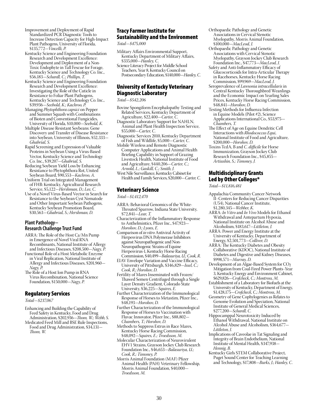- Improvement and Deployment of Rapid Standardized PCR Diagnostic Tools to Increase Detection Capacity for High-Impact Plant Pathogens, University of Florida, \$135,772—*Vincelli, P.*
- Kentucky Science and Engineering Foundation Research and Development Excellence: Development and Deployment of a Non-Toxic Endophyte in Tall Fescue for Forage, Kentucky Science and Technology Co. Inc., \$56,183—*Schardl, C.; Phillips, T.*
- Kentucky Science and Engineering Foundation Research and Development Excellence: Investigating the Role of the Cuticle in Resistance to Foliar Plant Pathogens, Kentucky Science and Technology Co. Inc., \$39,936—*Seebold, K.; Kachroo, P.*
- Managing *Phytophthora capsici* on Pepper and Summer Squash with Combinations of Bioten and Conventional Fungicides, University of Florida, \$10,000—*Seebold, K.*
- Multiple Disease Resistant Soybeans: Gene Discovery and Transfer of Disease Resistance into Soybean, University of Illinois, \$52,333— *Ghabrial, S.*
- Rapid Screening and Expression of Valuable Proteins in Soybean Using a Virus-Based Vector, Kentucky Science and Technology Co. Inc., \$39,207—*Ghabrial, S.*
- Reducing Soybean Yield Loss by Enhancing Resistance to Phytophthora Rot, United Soybean Board, \$90,553—*Kachroo, A.*
- Uniform Trial on Integrated Management of FHB: Kentucky, Agricultural Research Service, \$5,122—*Hershman, D.; Lee, C.*
- Use of a Novel Virus-Based Vector in Search for Resistance to the Soybean Cyst Nematode and Other Important Soybean Pathogens, Kentucky Soybean Promotion Board, \$30,563—*Ghabrial, S.; Hershman, D.*

# **Plant Pathology− Research Challenge Trust Fund**

- ARRA: The Role of the Host Ca/Mn Pump in Emergence of Novel Viral RNA Recombinants, National Institute of Allergy and Infectious Diseases, \$208,500—*Nagy, P.*
- Functional Role of a Host Metabolic Enzyme in Viral Replication, National Institute of Allergy and Infectious Diseases, \$201,960— *Nagy, P.*
- The Role of a Host Ion Pump in RNA Virus Recombination, National Science Foundation, \$150,000—*Nagy, P.*

### Regulatory Services

*Total—\$237,067*

- Enhancing and Building the Capability of Feed Safety in Kentucky, Food and Drug Administration, \$202,936—*Thom, W.; Webb, S.*
- Medicated Feed Mill and BSE Rule Inspections, Food and Drug Administration, \$34,131— *Thom, W.*

# Tracy Farmer Institute for Sustainability and the Environment

*Total—\$475,000*

- Military Affairs Environmental Support, Kentucky Department of Military Affairs, \$335,000—*Hanley, C.*
- Science Literacy Project for Middle School Teachers, Year 8, Kentucky Council on Postsecondary Education, \$140,000—*Hanley, C.*

# University of Kentucky Veterinary Diagnostic Laboratory

*Total—\$542,206*

- Bovine Spongiform Encephalopathy Testing and Related Services, Kentucky Department of Agriculture, \$22,400—*Carter, C.*
- Diagnostic Laboratory Support for NAHLN, Animal and Plant Health Inspection Service, \$55,000—*Carter, C.*
- Diagnostic Services 2010, Kentucky Department of Fish and Wildlife, \$5,000—*Carter, C.*
- Mobile Wireless and Remote Diagnostic Computer Applications and Animal Health Briefing Capability in Support of Grazing Livestock Health, National Institute of Food and Agriculture, \$440,206—*Carter, C.; Arnold, L.; Gaskill, C.; Smith, J.*
- West Nile Surveillance, Kentucky Cabinet for Health and Family Services, \$20,000—*Carter, C.*

# Veterinary Science

*Total—\$1,412,470*

- ARRA: Behavioral Genomics of the White-Throated Sparrow, Indiana State University, \$72,841—*Lear, T.*
- Characterization of the Inflammatory Response to Anthelmintics, Pfizer Inc., \$47,923— *Horohov, D.; Lyons, E.*
- Comparison of *in vitro* Antiviral Activity of Herpesvirus DNA Polymerase Inhibitors against Neuropathogenic and Non-Neuropathogenic Strains of Equine Herpesvirus-1, Kentucky Horse Racing Commission, \$40,499—*Balasuriya, U.; Cook, R.*
- EIAV Envelope Variation and Vaccine Efficacy, University of Pittsburgh, \$346,829—*Issel, C.; Cook, R.; Horohov, D.*
- Fertility of Mares Inseminated with Frozen/ Thawed Semen Centrifuged through a Single Layer Density Gradient, Colorado State University, \$36,225—*Squires, E.*
- Further Characterization of the Immunological Response of Horses to Metastim, Pfizer Inc., \$48,193—*Horohov, D.*
- Further Characterization of the Immunological Response of Horses to Vaccination with Fluvac Innovator, Pfizer Inc., \$88,802— *Chambers, T.; Horohov, D.*
- Methods to Suppress Estrus in Race Mares, Kentucky Horse Racing Commission, \$48,092—*Squires, E.; Troedsson, M.*
- Molecular Characterization of Neurovirulent EHV1 Strains, Grayson Jockey Club Research Foundation Inc., \$46,653—*Balasuriya, U.; Cook, R.; Timoney, P.*
- Morris Animal Foundation (MAF) Pfizer Animal Health (PAH) Veterinary Fellowship, Morris Animal Foundation, \$40,000— *Troedsson, M.*
- Orthopaedic Pathology and Genetic Associations in Cervical Stenotic Myelopathy, Morris Animal Foundation, \$100,000—*MacLeod, J.*
- Orthopaedic Pathology and Genetic Associations with Cervical Stenotic Myelopathy, Grayson Jockey Club Research Foundation Inc., \$47,773—*MacLeod, J.*
- Safety and Anti-Inflammatory Efficacy of Glucocorticoids for Intra-Articular Therapy in Racehorses, Kentucky Horse Racing Commission, \$99,969—*MacLeod, J.*
- Seroprevalence of *Lawsonia intracellularis* in Central Kentucky Thoroughbred Weanlings and the Economic Impact on Yearling Sales Prices, Kentucky Horse Racing Commission, \$48,841—*Horohov, D.*
- Testing Methods for Influenza Infection in Equine Models (Pilot #2), Science Applications International Co., \$53,975— *Chambers, T.*
- The Effect of Age on Equine Dendritic Cell Interactions with *Rhodococcus Equi*, National Institute of Food and Agriculture, \$200,000—*Horohov, D.*
- Toxins TcdA, B and *C. difficile* for Horse Immunization, Grayson Jockey Club Research Foundation Inc., \$45,855— *Artiushin, S.; Timoney, J.*

# Multidisciplinary Grants Led by Other Colleges\*

*Total—\$11,816,481*

- Appalachia Community Cancer Network II−Centers for Reducing Cancer Disparities (U54), National Cancer Institute, \$1,280,345—*Webber, K.*
- ARRA: *In Vitro* and *In Vivo* Models for Ethanol Withdrawal and Antepartum Hypoxia, National Institute on Alcohol Abuse and Alcoholism, \$183,617—*Littleton, J.*
- ARRA: Power and Energy Institute at the University of Kentucky, Department of Energy, \$2,501,773—*Colliver, D.*
- ARRA: The Kentucky Diabetes and Obesity Collaborative (KDOC), National Institute of Diabetes and Digestive and Kidney Diseases, \$998,571—*Murray, D.*
- Development of an Algae-Based System for CO2 Mitigation from Coal-Fired Power Plants−Year 3, Kentucky Energy and Environment Cabinet, \$629,826—*Crofcheck, C.; Montross, M.*
- Establishment of a Laboratory for Biofuels at the University of Kentucky, Department of Energy, \$1,428,175—*Crofcheck, C.; Montross, M.*
- Geometry of Gene Cophylogenies as Relates to Genome Evolution and Speciation, National Institute of General Medical Sciences, \$277,200—*Schardl, C.*
- Hippocamppal Neurotoxicity Induced by Ethanol Withdrawal, National Institute on Alcohol Abuse and Alcoholism, \$364,677— *Littleton, J.*
- Implications of Caveolae in Tat Signaling and Integrity of Brain Endothelium, National Institute of Mental Health, \$347,938— *Hennig, B.*
- Kentucky Girls STEM Collaborative Project, Puget Sound Center for Teaching Learning and Technology, \$17,808—*Burks, J.; Hanley, C.*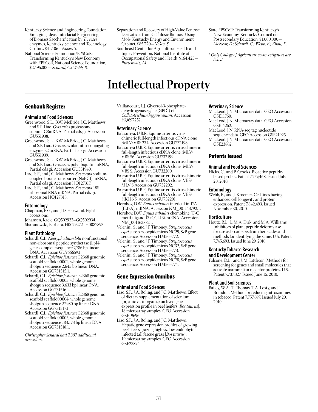- Kentucky Science and Engineering Foundation Emerging Ideas: Interfacial Engineering of Biomass Saccharification by *T. reesei* enzymes, Kentucky Science and Technology Co. Inc., \$41,406—*Nokes, S.*
- National Science Foundation/EPSCoR: Transforming Kentucky's New Economy with EPSCoR, National Science Foundation, \$2,495,000—*Schardl, C.; Webb, B.*

# Genbank Register

### **Animal and Food Sciences**

- Greenwood, S.L., B.W. McBride, J.C. Matthews, and S.F. Liao. *Ovis aries* proteasome subunit C8mRNA, Partial cds gi. Accession GU551938
- Greenwood, S.L., B.W. McBride, J.C. Matthews, and S.F. Liao. *Ovis aries* ubiquitin-conjugating enzyme E2 mRNA, Partial cds gi. Accession GU551939.
- Greenwood, S.L., B.W. McBride, J.C. Matthews, and S.F. Liao. *Ovis aries* polyubiquitin mRNA, Partial cds gi. Accession GU551940.
- Liao, S.F., and J.C. Matthews. *Sus scrofa* sodiumcoupled borate transporter (NaBC1) mRNA, Partial cds gi. Accession HQ127317.
- Liao, S.F., and J.C. Matthews. *Sus scrofa* 18S ribosomal RNA mRNA, Partial cds gi. Accession HQ127318.

### **Entomology**

- Chapman, E.G., and J.D. Harwood. Eight accessions.
- Johansen, Kacie. GQ502922–GQ502934. Sharanowski, Barbara. H0079272–H0087893.

### **Plant Pathology**

- Schardl, C.L. *Neotyphodium lolii* nonfunctional non-ribosomal peptide synthetase (Lp14) gene, complete sequence 7,786 bp linear DNA. Accession GU966659.1.
- Schardl, C.L. *Epichloe festucae* E2368 genomic scaffold scaffold00002, whole genome shotgun sequence 2,645 bp linear DNA. Accession GG731515.1.
- Schardl, C.L. *Epichloe festucae* E2368 genomic scaffold scaffold00003, whole genome shotgun sequence 3,633 bp linear DNA. Accession GG731516.1.
- Schardl, C.L. *Epichloe festucae* E2368 genomic scaffold scaffold00004, whole genome shotgun sequence 27,980 bp linear DNA. Accession GG731517.1.
- Schardl, C.L. *Epichloe festucae* E2368 genomic scaffold scaffold00005, whole genome shotgun sequence 183,173 bp linear DNA. Accession GG731518.1.

*Christopher Schardl had 7,307 additional accessions.*

- Separation and Recovery of High-Value Pentose Derivatives from Cellulosic Biomass Using Mol+, Kentucky Energy and Environment Cabinet, \$85,720—*Nokes, S.*
- Southeast Center for Agricultural Health and Injury Prevention, National Institute of Occupational Safety and Health, \$164,425— *Purschwitz, M.*
- State EPSCoR: Transforming Kentucky's New Economy, Kentucky Council on Postsecondary Education, \$1,000,000— *McNear, D.; Schardl, C.; Webb, B.; Zhou, X.*
- \* *Only College of Agriculture co-investigators are listed*.

# **Intellectual Property**

Vaillancourt, L.J. Glycerol-3-phosphatedehydrogenase gene (GPD1) of *Colletotrichum higginsianum*. Accession HQ697252.

#### **Veterinary Science**

- Balasuriya, U.B.R. Equine arteritis virus chimeric full-length infectious cDNA clone rMLV/VBS 234. Accession GU732198.
- Balasuriya U.B.R. Equine arteritis virus chimeric full-length infectious cDNA clone rMLV/ VBS 56. Accession GU732199.
- Balasuriya U.B.R. Equine arteritis virus chimeric full-length infectious cDNA clone rMLV/ VBS S. Accession GU732200.
- Balasuriya U.B.R. Equine arteritis virus chimeric full-length infectious cDNA clone rVBS/ MLV S Accession GU732202.
- Balasuriya U.B.R. Equine arteritis virus chimeric full-length infectious cDNA clone rVBS/ HK116 S. Accession GU732201.
- Horohov, D.W. *Equus caballus* interleukin 17A (IL17A), mRNA. Accession NM\_001143792.1.
- Horohov, D.W. *Equus caballus* chemokine (C-C motif) ligand 13 (CCL13), mRNA. Accession NM\_001163887.1.
- Velenini, S., and J.F. Timoney. *Streptococcus equi* subsp. zooepidemicus NC29, SzP gene sequence. Accession HM565772.
- Velenini, S., and J.F. Timoney. *Streptococcus equi* subsp. zooepidemicus NC32, SzP gene sequence. Accession HM565773.
- Velenini, S., and J.F. Timoney. *Streptococcus equi* subsp. zooepidemicus NC78, SzP gene sequence. Accession HM565774.

### Gene Expression Omnibus

### **Animal and Food Sciences**

- Liao, S.F., J.A. Boling, and J.C. Matthews. Effect of dietary supplementation of selenium (organic vs. inorganic) on liver gene expression profile in beef heifers [*Bos taurus*], 18 microarray samples. GEO Accession GSE19696.
- Liao, S.F., J.A. Boling, and J.C. Matthews. Hepatic gene expression profiles of growing beef steers grazing high vs. low endophyteinfected tall fescue grass [*Bos taurus*], 19 microarray samples. GEO Accession GSE23894.

#### **Veterinary Science**

- MacLeod, J.N. Microarray data. GEO Accession GSE11760.
- MacLeod, J.N. Microarray data. GEO Accession GSE14252.
- MacLeod, J.N. RNA-seq tag nucleotide
- sequence data. GEO Accession GSE21925. MacLeod, J.N. Microarray data. GEO Accession GSE23862.

### Patents Issued

### **Animal and Food Sciences**

Hicks, C., and P. Crooks. Bioactive peptidebased probes. Patent 7,759,468. Issued July 20, 2010.

#### **Entomology**

Webb, B., and J. Kroemer. Cell lines having enhanced cell longevity and protein expression. Patent 7,842,493. Issued November 30, 2010.

### **Horticulture**

Houtz, R.L., L.M.A. Dirk, and M.A. Williams. Inhibitors of plant peptide deformylase for use as broad-spectrum herbicides and methods for identifying the same. U.S. Patent 7,745,693. Issued June 29, 2010.

### **Kentucky Tobacco Research and Development Center**

Falcone, D.L., and J. M. Littleton. Methods for screening for genes and small molecules that activate mammalian receptor proteins. U.S. Patent 7,737,327. Issued June 15, 2010.

### **Plant and Soil Sciences**

Bailey, W.A., T. Thomas, T.A. Losty, and J. Brandon. Method for reducing nitrosamines in tobacco. Patent 7,757,697. Issued July 20, 2010.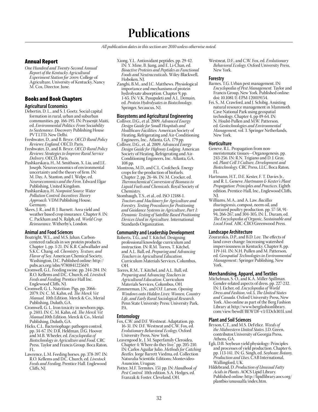# **Publications**

*All publication dates in this section are 2010 unless otherwise noted.*

### Annual Report

*One Hundred and Twenty-Second Annual Report of the Kentucky Agricultural Experiment Station for 2009.* College of Agriculture, University of Kentucky, Nancy M. Cox, Director. June.

# Books and Book Chapters

### **Agricultural Economics**

- Debertin, D. L., and S. J. Goetz. Social capital formation in rural, urban and suburban communities. pp. 166-195. IN: Prasenjit Maiti, ed. *Environmental Politics: From Sociability to Sustenance*. Discovery Publishing House PVT.LTD, New Delhi.
- Freshwater, D., and B. Bryce. *OECD Rural Policy Reviews: England*. OECD, Paris.
- Freshwater, D., and B. Bryce. *OECD Rural Policy Reviews: Strategies to Improve Rural Service Delivery*. OECD, Paris.
- Pushkarskaya, H., M. Smithson, X. Liu, and J.E. Joseph. Neuroeconomics of environmental uncertainty and the theory of firm. IN: M. Day, A. Stanton, and I. Welpe, ed. *Neuroeconomics and the Firm*. Edward Elgar Publishing, United Kingdom.
- Pushkarskaya, H. *Nonpoint Source Water Pollution Control: Incentives Theory Approach.* VDM Publishing House, Germany.
- Skees, J. R., and B. J. Barnett. Area yield and weather based crop insurance. Chapter 8. IN: C. Packham and N. Ralph, ed. *World Crop Reinsurance*. Witherby's, London.

### **Animal and Food Sciences**

- Boatright, W.L., and M.S. Jahan. Carboncentered radicals in soy protein products. Chapter 1, pp. 3-21. IN: K.R. Cadwallader and S.K.C. Chang. ed. *Chemistry, Texture, and Flavor of Soy*. American Chemical Society, Washington, D.C. Published online: http:// pubs.acs.org/isbn/9780841225619.
- Cromwell, G.L. Feeding swine. pp. 244-284. IN: R.O. Kellems and D.C. Church, ed. *Livestock Feeds and Feeding.* Prentice Hall Inc. Englewood Cliffs, NJ.
- Cromwell, G. L. Nutrition: Pigs. pp. 2066- 2079. IN: C. M. Kahn, ed. *The Merck Vet Manual.* 10th Edition. Merck & Co., Merial Publishing, Duluth, GA.
- Cromwell, G. L. Iron toxicity in newborn pigs. p. 2403. IN: C. M. Kahn, ed. *The Merck Vet Manual*.10th Edition. Merck & Co., Merial Publishing, Duluth, GA.
- Hicks, C.L. Bacteriophage: pathogen control. pp. 34-67. IN: D.R. Heldman, D.G. Hoover and M.B. Wheeler, ed. *Encyclopedia of Biotechnology in Agriculture and Food*. CRC Press. Taylor and Francis Group. Boca Raton, FL.
- Lawrence, L.M. Feeding horses. pp. 378-397. IN: R.O. Kellems and D.C. Church, ed. *Livestock Feeds and Feeding*, Prentice Hall. Englewood Cliffs, NJ.
- Xiong, Y.L. Antioxidant peptides. pp. 29-42. IN: Y. Mine, B. Jiang, and E. Li-Chan, ed. *Bioactive Proteins and Peptides as Functional Foods and Neutraceuticals*. Wiley-Blackwell, Hoboken, NJ.
- Zanghi, B.M., and J.C. Matthews. Physiological importance and mechanisms of protein hydrolysate absorption. Chapter 9, pp. 1-65. IN: V.K. Pasupuleti and A.L. Demain, ed. *Protein Hydrolysates in Biotechnology*. Springer, Secaucus, NJ.

### **Biosystems and Agricultural Engineering**

- Colliver, D.G., et al. 2009. *Advanced Energy Design Guide for Small Hospitals and Healthcare Facilities*. American Society of Heating, Refrigerating and Air-Conditioning Engineers, Inc., Atlanta, GA. 179 pp.
- Colliver, D.G., et. al. 2009. *Advanced Energy Design Guide for Highway Lodging*. American Society of Heating, Refrigerating and Air-Conditioning Engineers, Inc. Atlanta, GA. 108 pp.
- Montross, M.D., and C.L. Crofcheck. Energy crops for the production of biofuels. Chapter 2, pp. 26-46. IN: M. Crocker, ed. *Thermochemical Conversion of Biomass to Liquid Fuels and Chemicals*. Royal Society of Chemistry.
- Stombaugh, T.S., et al., ed. ISO 12188-1. *Tractors and Machinery for Agriculture and Forestry. Testing Procedures for Positioning and Guidance Systems in Agriculture*, *Part 1: Dynamic Testing of Satellite Based Positioning Devices Used in Agriculture.* International Standards Organization.

### **Community and Leadership Development**

- Roberts, T.G., and T. Kitchel. Designing professional knowledge curriculum and instruction. IN: R.M. Torres, T. Kitchel, and A.L. Ball, ed. *Preparing and Advancing Teachers in Agricultural Education*. Curriculum Materials Services, Columbus, OH.
- Torres, R.M., T. Kitchel, and A.L. Ball, ed. *Preparing and Advancing Teachers in Agricultural Education*. Curriculum Materials Services, Columbus, OH.
- Zimmerman, J.N., and O.F. Larson. *Opening Windows onto Hidden Lives: Women, Country Life, and Early Rural Sociological Research*. Penn State University Press: University Park, PA.

### **Entomology**

- Fox, C.W. and D.F. Westneat. Adaptation. pp. 16-31. IN: D.F. Westneat and C.W. Fox, ed. *Evolutionary Behavioral Ecology*. Oxford University Press, New York.
- Leavengood Jr., J. M. Superfamily Cleroidea, Chapter 4: Where do they live." pp. 205-210. IN: Carlos Aguilar Julio. *Methods for Catching Beetles*. Jorge Barrett Viedma, ed. Collection Naturalia Scientific Editions; Montevideo-Asunción, Uruguay.
- Potter, M.F. Termites. 151 pp. IN: *Handbook of Pest Control*. 10th edition. S.A. Hedges, ed. Franzak & Foster. Cleveland, OH.

Westneat, D.F., and C.W. Fox, ed. *Evolutionary Behavioral Ecology*. Oxford University Press, New York.

### **Forestry**

- Barnes, T.G. Urban pest management. IN: *Encyclopedia of Pest Management*. Taylor and Francis Group, New York. Published online: doi: 10.1081/E-EPM-120019154.
- Fei, S., M. Crawford, and J. Schibig. Assisting natural resource management in Mammoth Cave National Park using geospatial technology. Chapter 4, pp 49-64. IN: N. Hoalst-Pullen and M.W. Patterson, ed. *Geotechnologies and Environmental Management*, vol. 3. Springer Netherlands, New York.

### **Horticulture**

- Geneve, R.L. Propagation from nonmeristematic tissues—Organogenesis. pp. 243-256. IN: R.N. Trigiano and D. J. Gray, ed. *Plant Cell 3 Culture, Development and Biotechnology.* CRC Press, LLC, Boca Raton, FL.
- Hartmann, H.T., D.E. Kester, F. T. Davies Jr., and R. L. Geneve. *Hartmann & Kester's Plant Propagation: Principles and Practices*. Eighth edition. Prentice-Hall, Inc., Englewood Cliffs, NJ.
- Williams, M.A., and A. Law. *Bacillus thuringiensis*, compost, neem oil, and pastured poultry production. pp. 57-58, 91- 94, 266-267, and 304-305, IN: L. Duram, ed. *The Encyclopedia of Organic, Sustainable and Local Food.* ABC-ClIO/Greenwood Press.

### **Landscape Architecture**

Zourarakis, D.P., and B.D. Lee. The effects of land cover change: Increasing watershed imperviousness in Kentucky. Chapter 8, pp. 119-141. IN: N.H. Pullen and M. Patterson, ed. *Geospatial Technologies in Environmental Management*.: Springer Publishing, New York.

### **Merchandising, Apparel, and Textiles**

Michelman, S. O., and K.A. Miller-Spillman. Gender-related aspects of dress. pp. 227-232. IN: J. Eicher, ed. *Encyclopedia of World Dress and Fashion*, vol.3, *The United States and Canada*. Oxford University Press, New York. Also online as part of the Berg Fashion Library at http://www.bergfashionlibrary. com/view/bewdf/BEWDF-v3/EDch3031.xml

### **Plant and Soil Sciences**

- Bryson, C.T., and M.S. DeFelice. *Weeds of the Midwestern United States*. J.D. Green, contributor.University of Georgia Press, Athens, GA.
- Egli, D.B. Soybean yield physiology: Principles and processes of yield production. Chapter 6, pp. 113-141. IN: G. Singh, ed. *Soybean: Botany, Production and Uses*. CAB International, Wallingford, UK.
- Hildebrand, D. *Production of Unusual Fatty Acids in Plants*. AOCS Lipid Library. Published online: http://lipidlibrary.aocs.org/ plantbio/unusualfa/index.htm.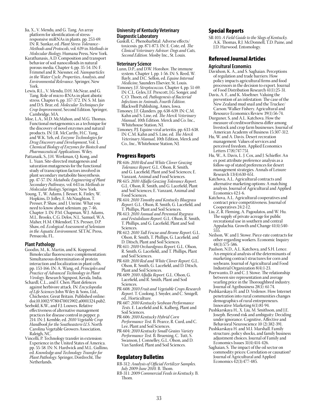- Jia, X., V. Mendu, and G. Tang. An array platform for identification of stressresponsive miRNAs in plants. pp. 253-69. IN: R. Sunkar, ed. *Plant Stress Tolerance− Methods and Protocols*, vol. 639 in *Methods in Molecular Biology*. Humana Press, New York.
- Karathanasis, A.D. Composition and transport behavior of soil nanocolloids in natural porous media. Chapter 4, pp. 35-54. IN: F. Frimmel and R. Niessner, ed. *Nanoparticles in the Water Cycle. Properties, Analysis, and Environmental Relevance*. Springer, New York.
- Lewis, R.L., V. Mendu, D.H. McNear, and G. Tang. Role of micro-RNAs in plant abiotic stress. Chapter 6, pp. 357-372. IN: S. M. Jain and D.S. Brar, ed. *Molecular Techniques for Crop Improvement*, Second Edition. Springer, Cambridge, MA.
- Moe, L.A., M.D. McMahon, and M.G. Thomas. Functional metagenomics as a technique for the discovery of novel enzymes and natural products. IN: J.R. McCarthy, H.C. Yang, and W.K. Yeh, ed. *Enzyme Technologies for Drug Discovery and Development*, Vol. 1, *Chemical Biology of Enzymes for Biotech and Pharmaceutical Applications*. Wiley.
- Pattanaik, S., J.H. Werkman, Q. Kong, and L. Yuan. Site-directed mutagenesis and saturation mutagenesis for the functional study of transcription factors involved in plant secondary metabolite biosynthesis. pp. 47-57. IN: *Metabolic Engineering of Plant Secondary Pathways,* vol. 643 in *Methods in Molecular Biology*, Springer, New York.
- Young, T., W. Adams, J. Besser, K. Finley, W. Hopkins, D. Jolley, E. McNaughton, T. Presser, P. Shaw, and J. Unrine. What you need to know about selenium. pp. 7-46, Chapter 3. IN: P.M. Chapman, W.J. Adams, M.L. Brooks, C.G. Delos, N.L. Samuel, W.A. Maher, H.M. Ohlendorf, T.S. Presser, D.P. Shaw, ed. *Ecological Assessment of Selenium in the Aquatic Environment*. SETAC Press, Pensacola, FL.

### **Plant Pathology**

- Goodin, M., K. Martin, and K. Kopperud. Bimolecular fluorescence complementation: Simultaneous determination of protein interaction and localization in plant cells. pp. 153-166. IN: A. Wang, ed. *Principles and Practice of Advanced Technology in Plant Virology*. Research Signpost, Kerala, India.
- Schardl, C.L., and F. Chen. Plant defences against herbivore attack. IN: *Encyclopedia of Life Sciences* John Wiley & Sons, Ltd., Chichester, Great Britain. Published online: doi:10.1002/9780470015902.a0001324.pub2.
- Seebold, K.W., and F.J. Louwes. Relative effectiveness of alternative management practices for disease control in pepper. p. 214. IN: J. Kemble, ed. *2010 Vegetable Crop Handbook for the Southeastern U.S*. North Carolina Vegetable Growers Association, Raleigh, NC.
- Vincelli, P. Technology transfer in extension: Experience in the United States of America. pp. 55-58. IN: N. Hardwick and M.L. Gullino, ed. *Knowledge and Technology Transfer for Plant Pathology*. Springer, Dordrecht, The Netherlands.

### **University of Kentucky Veterinary Diagnostic Laboratory**

Gaskill, C. Phenobarbital: Adverse effects/ toxicosis. pp. 871-873. IN: E. Cote, ed. *The Clinical Veterinary Advisor: Dogs and Cats, Second Edition*. Mosby Inc., St. Louis.

#### **Veterinary Science**

- Lunn, D.P., and D.W. Horohov. The immune system. Chapter 1, pp. 1-56. IN: S. Reed, W. Bayly, and D.C. Sellon, ed. *Equine Internal Medicine*, Saunders Elsevier, St. Louis.
- Timoney, J.F. *Streptococcus*. Chapter 4, pp. 51-69. IN: C.L. Gyles, J.F. Prescott, J.G. Songer, and C.O. Thoen, ed. *Pathogenesis of Bacterial Infections in Animals*, *Fourth Edition*. Blackwell Publishing, Ames, Iowa.
- Timoney, J.F. Glanders. pp. 638-639. IN: C.M. Kahn and S. Line, ed. *The Merck Veterinary Manual*, 10th Edition. Merck and Co. Inc., Whitehouse Station, NJ.
- Timoney, P.J. Equine viral arteritis. pp. 633-638. IN: C.M. Kahn and S. Line, ed. *The Merck Veterinary Manual*, 10th Edition, Merck and Co., Inc., Whitehouse Station, NJ.

### Progress Reports

- PR-616: *2010 Red and White Clover Grazing Tolerance Report*. G.L. Olson, R. Smith, and G. Lacefield, Plant and Soil Sciences; E. Vanzant, Animal and Food Sciences.
- PR-615: *2010 Alfalfa Grazing Tolerance Report.* G.L. Olson, R. Smith, and G. Lacefield, Plant and Soil Sciences; E. Vanzant, Animal and Food Sciences.
- PR-614: *2010 Timothy and Kentucky Bluegrass Report*. G.L. Olson, R. Smith, G. Lacefield, and T. Phillips, Plant and Soil Sciences.
- PR-613: *2010 Annual and Perennial Ryegrass and Festulolium Report.* G.L. Olson, R. Smith, T. Phillips, and G. Lacefield, Plant and Soil Sciences.
- PR-612: *2010 Tall Fescue and Brome Report*. G.L. Olson, R. Smith, T. Phillips, G. Lacefield, and D. Ditsch, Plant and Soil Sciences.
- PR-611: *2010 Orchardgrass Report*. G.L. Olson, R. Smith, G. Lacefield;, and T. Phillips, Plant and Soil Sciences.
- PR-610: *2010 Red and White Clover Report*. G.L. Olson, R. Smith, G. Lacefield, and D. Ditsch, Plant and Soil Sciences.
- PR-609: *2010 Alfalfa Report*. G.L. Olson, G. Lacefield, and R. Smith, Plant and Soil Sciences.
- PR-608: *2010 Fruit and Vegetable Crops Research Report*. T. Coolong, J. Snyder, and C. Smigell, ed., Horticulture.
- PR-607: *2010 Kentucky Soybean Performance Tests*. E. Lacefield and K. Kalberg, Plant and Soil Sciences.
- PR-606: *2010 Kentucky Hybrid Corn Performance Test*. B. Pearce, R. Curd, and C. Lee, Plant and Soil Sciences.
- PR-604: *2010 Kentucky Small Grains Variety Performance Test*. B. Bruening, C. Tutt, S. Swanson, J. Connelley, G.L. Olson, and D. Van Sanford, Plant and Soil Sciences.

### Regulatory Bulletins

- RB-312: *Analysis of Official Fertilizer Samples. July 2009-June 2010.* B. Thom.
- RB-311: *2009 Commercial Feeds in Kentucky.* B. Thom.

### Special Reports

SR-103: *A Field Guide to the Slugs of Kentucky.* A.K. Thomas, R.J. McDonnell, T.D. Paine, and J.D. Harwood. Entomology.

### Refereed Journal Articles

### **Agricultural Economics**

- Davidson, K. A., and S. Saghaian. Perceptions of regulation and trade barriers: How policy impacts agricultural firms and food processors in the decision to export. Journal of Food Distribution Research 41(1):25-31.
- Davis, A. F., and K. Moeltner. Valuing the prevention of an infestation: The case of the New Zealand mud snail and the Truckee/ Carson/Walker Fishery. Agricultural and Resource Economics Review 39(1):56-74.
- Durguner, S, and A.L. Katchova. How the measure of creditworthiness differ among livestock and crop farm businesses. Journal of American Academy of Business 15:307-312.
- Hu, W. and A. Davis. Desert recreation management: Values of services and perceived freedom. Applied Economics Letters 17(8):747-751.
- Hu, W., A. Davis, L. J. Cox, and J. Schieffer. An ex post attribute preference analysis as a follow-up of stated preferences for desert management strategies. Annals of Leisure Research 13(4):630-651.
- Katchova, A.L. Agricultural contracts and alternative marketing options: A matching analysis. Journal of Agricultural and Applied Economics 42:1-6.
- Katchova, A.L. Agricultural cooperatives and contract price competitiveness. Journal of Cooperatives 24:2-12.
- Liu, Z, R. Fleming, A. Pagoulatos, and W. Hu. The supply of private acreage for public recreational use in southern and central Appalachia. Growth and Change 41(4):540- 555.
- Neilson, W. and J. Stowe. Piece-rate contracts for other-regarding workers. Economic Inquiry 48(3):575-586.
- Paulson, N.D., A.L. Katchova, and S.H. Lence. An empirical analysis of the determinants of marketing contract structures for corn and soybeans. Journal of Agricultural and Food Industrial Organization 8(4):1-23.
- Poerwanto, D. and C. J. Stowe. The relationship between sire representation and average yearling price in the Thoroughbred industry. Journal of Agribusiness 28(1): 61-74.
- Pushkarskaya H. and D. Vedenov. How Internet penetration into rural communities changes demographics of rural entrepreneurs. Innovative Marketing 6(1):81-94.
- Pushkarskaya H., X. Liu, M. Smithson, and J.E. Joseph. Beyond risk and ambiguity: Deciding under ignorance. Cognitive, Affective and Behavioral Neuroscience 10 (2):382-391.
- Pushkarskaya H. and M.I. Marshall. Family structure, policy shocks, and family business adjustment choices. Journal of Family and Economics Issues 31(4):414-426.
- Saghaian, S. The impact of the oil sector on commodity prices: Correlation or causation? Journal of Agricultural and Applied Economics 42(3):477-485.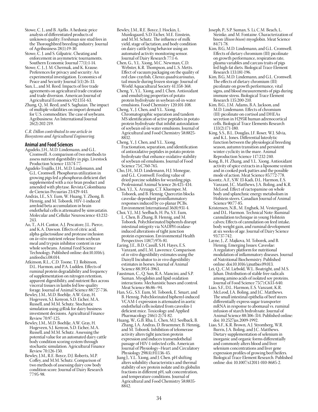- Stowe, C. J., and B. Ajello. A hedonic price analysis of differentiated products of unknown quality: Freshman sire stud fees in the Thoroughbred breeding industry. Journal of Agribusiness 28(1):19-30.
- Stowe, C. J. and S. Gilpatric. Cheating and enforcement in asymmetric tournaments. Southern Economic Journal 77(1):1-14.
- Stowe, C. J., J. M. Chermak, and K. Krause. Preferences for privacy and security: An experimental investigation. Economics of Peace and Security Journal 5(1):26-33.
- Sun, L., and M. Reed. Impacts of free trade agreements on agricultural trade creation and trade diversion. American Journal of Agricultural Economics 92:1351-63.
- Zhang, Q., M. Reed, and S. Saghaian. The impact of multiple volatilities on import demand for U.S. commodities: The case of soybeans. Agribusiness: An International Journal 26(2):202-219.

*C.R. Dillon contributed to one article in Biosystems and Agricultural Engineering.* 

### **Animal and Food Sciences**

- Agudelo, J.H., M.D. Lindemann, and G.L. Cromwell. A comparison of two methods to assess nutrient digestibility in pigs. Livestock Production Science 133:74-77.
- Agudelo-Trujillo, J.H., M.D. Lindemann, and G.L. Cromwell. Phosphorus utilization in growing pigs fed a phosphorus deficient diet supplemented with a rice bran product and amended with phytase. Revista Colombiana de Ciencias Pecuarias 23:429-443.
- András, I.E., S.Y. Eum, W. Huang, Y. Zhong, B. Hennig, and M. Toborek. HIV-1-induced amyloid beta accumulation in brain endothelial cells is attenuated by simvastatin. Molecular and Cellular Neuroscience 43:232- 243.
- Ao, T., A.H. Cantor, A.J. Pescatore, J.L. Pierce, and K.A. Dawson. Effects of citric acid, alpha-galactosidase and protease inclusion on *in vitro* nutrient release from soybean meal and trypsin inhibitor content in raw whole soybeans. Animal Feed Science Technology. Published online: doi:10.1016/j. anifeedsci.08.014.
- Atkinson, R.L., C.D. Toone, T.J. Robinson, D.L. Harmon, and P.A. Ludden. Effects of ruminal protein degradability and frequency of supplementation on nitrogen retention, apparent digestibility, and nutrient flux across visceral tissues in lambs fed low-quality forage. Journal of Animal Science 88:727-736.
- Bewley, J.M., M.D. Boehlje, A.W. Gray, H. Hogeveen, S.J. Kenyon, S.D. Eicher, M.A. Russell, and M.M. Schutz. Stochastic simulation using @Risk for dairy business investment decisions. Agricultural Finance Review 70:97-125.
- Bewley, J.M., M.D. Boehlje, A.W. Gray, H. Hogeveen, S.J. Kenyon, S.D. Eicher, M.A. Russell, and M.M. Schutz. Assessing the potential value for an automated dairy cattle body condition scoring system through stochastic simulation. Agricultural Finance Review 70:126-150.
- Bewley, J.M., R.E. Boyce, D.J. Roberts, M.P. Coffey, and M.M. Schutz. Comparison of two methods of assessing dairy cow body condition score. Journal of Dairy Research 77:95-98.
- Bewley, J.M., R.E. Boyce, J. Hockin, L. Munksgaard, S.D. Eicher, M.E. Einstein, and M.M. Schutz. The influence of milk yield, stage of lactation, and body condition on dairy cattle lying behavior using an automated activity monitoring sensor. Journal of Dairy Research 77:1-6.
- Chen, G., Y.L. Xiong, M.C. Newman, C.D. Webster, K.R. Thompson, and L.S. Metts. Effect of vacuum packaging on the quality of red claw crayfish, *Cherax quadricarinatus*, tail muscle during frozen storage. Journal of World Aquacultural Society 41:358-368.
- Cheng, Y., Y.L. Xiong, and J. Chen. Antioxidant and emulsifying properties of potato protein hydrolysate in soybean oil-in-water emulsions. Food Chemistry 120:101-108.
- Cheng, Y., J. Chen, and Y.L. Xiong. Chromatographic separation and tandem MS identification of active peptides in potato protein hydrolysate that inhibit autoxidation of soybean oil-in-water emulsions. Journal of Agricultural and Food Chemistry 58:8825- 8832.
- Cheng, Y., J. Chen, and Y.L. Xiong. Fractionation, separation, and identification of antioxidative peptides in potato protein hydrolysate that enhance oxidative stability of soybean oil emulsions. Journal of Food Science 75:C760-765.
- Cho, J.H., M.D. Lindemann, H.J. Monegue, and G.L. Cromwell. Feeding value of dried porcine solubles for weanling pigs. Professional Animal Science 26:425-434.
- Choi, Y.J., X. Arzuaga, C.T. Kluemper, M. Toborek, and B. Hennig. Quercetin blocks caveolae-dependent proinflammatory responses induced by co-planar PCBs. Environment International 36(8):931-4.
- Choi, Y.J., M.J. Seelbach, H. Pu, S.Y. Eum, L. Chen, B. Zhang, B. Hennig, and M. Toborek. Polychlorinated biphenyls disrupt intestinal integrity via NADPH oxidaseinduced alterations of tight junction protein expression. Environmental Health Perspectives 118(7):976-81.
- Earing, J.E., B.D. Cassill, S.H. Hayes, E.S. Vanzant, and L.M. Lawrence. Comparison of *in vitro* digestibility estimates using the DaisyII Incubator to *in vivo* digestibility estimates in horses. Journal of Animal Science 88:3954-3963.
- Faustman, C., Q. Sun, R.A. Mancini, and S.P. Suman. Myoglobin and lipid oxidation interactions: Mechanistic bases and control. Meat Science 86:86–94.
- Han, S.G., S.Y. Eum, M. Toborek, E. Smart, and B. Hennig. Polychlorinated biphenyl-induced VCAM-1 expression is attenuated in aortic endothelial cells isolated from caveolin-1 deficient mice. Toxicology and Applied Pharmacology 246(1-2):74-82.
- Huang, W., G.B. Rha, L. Chen, M.J. Seelback, B. Zhang, I.A. Andras, D. Bruemmer, B. Hennig, and M. Toborek. Inhibition of telomerase activity alters tight junction protein expression and induces transendothelial passage of HIV-1-infected cells. American Journal of Physiology–Heart and Circulatory Physiology 298(4):H1136-45.
- Jiang J., Y.L. Xiong, and J. Chen. pH shifting alters solubility characteristics and thermal stability of soy protein isolate and its globulin fractions in different pH, salt concentration, and temperature conditions. Journal of Agricultural and Food Chemistry 58:8835- 8842.
- Joseph, P., S.P. Suman, S. Li, C.M. Beach, L. Steinke, and M. Fontaine. Characterization of bison (*Bison bison*) myoglobin. Meat Science 84:71-78.
- Kim, B.G, M.D. Lindemann, and G.L. Cromwell. Effects of dietary chromium (III) picolinate on growth performance, respiration rate, plasma variables and carcass traits of pigs fed high-fat diets. Biological Trace Element Research 133:181-196.
- Kim, B.G, M.D. Lindemann, and G.L. Cromwell. The effects of dietary chromium (III) picolinate on growth performance, vital signs, and blood measurements of pigs during immune stress. Biological Trace Element Research 135:200-210.
- Kim, B.G., J.M. Adams, B.A. Jackson, and M.D. Lindemann. Effects of chromium (III) picolinate on cortisol and DHEAs secretion in H295R human adrenocortical cells. Biological Trace Elements Research 133(2):171-180.
- King, S.S., B.L. Douglas, J.F. Roser, W.J. Silvia, and K.L. Jones. Differential luteolytic function between the physiological breeding season, autumn transition and persistent winter cyclicity in the mare. Animal Reproduction Science 117:232-240.
- Kong, B., H. Zhang, and Y.L. Xiong. Antioxidant activity of spice extracts in a liposome system and in cooked pork patties and the possible mode of action. Meat Science 85:772-778.
- Koontz, A.F., S.W. El-Kadi, D.L. Harmon, E.S. Vanzant, J.C. Matthews, J.A. Boling, and K.R. McLeod. Effect of ractopamine on whole body and splanchnic energy metabolism in Holstein steers. Canadian Journal of Animal Science 90:77-85.
- Kristensen, N.B., M. Engbæk, M. Vestergaard, and D.L. Harmon. Technical Note: Ruminal cannulation technique in young Holstein calves; Effects of cannulation on feed intake, body weight gain, and ruminal development at six weeks of age. Journal of Dairy Science 93:737-742.
- Layne, J., Z. Majkova, M. Toborek, and B. Hennig. Emerging Issues: Caveolae: A regulatory platform for nutritional modulation of inflammatory diseases. Journal of Nutritional Biochemistry. Published online: doi:10.1016/j.jnutbio.09.013.
- Lei, Q., C.M. Liebold, W.L. Boatright, and M.S. Jahan. Distribution of stable free radicals among amino acids of isolated soy proteins. Journal of Food Science 75(7):C633-640.
- Liao, S.F., D.L. Harmon, E.S. Vanzant, K.R. McLeod, J.A. Boling, and J.C. Matthews. The small intestinal epithelia of beef steers differentially express sugar transporter mRNA in response to abomasal vs. ruminal infusion of starch hydrolysate. Journal of Animal Science 88:306-314. Published online: doi: 10.2527jas.2009-1992.
- Liao, S.F., K.R. Brown, A.J. Stromberg, W.R. Burris, J.A. Boling, and J.C. Matthews. Dietary supplementation of selenium in inorganic and organic forms differentially and commonly alters blood and liver selenium concentrations and liver gene expression profiles of growing beef heifers. Biological Trace Element Research. Published online: doi: 10.1007/s12011-010-8685-2.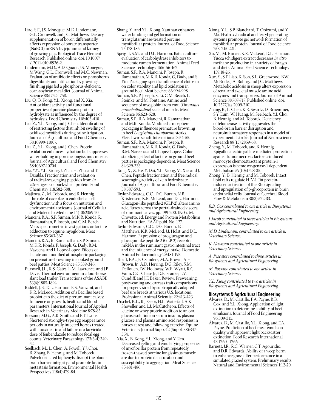- Liao, S.F., J.S. Monegue, M.D. Lindemann, G.L. Cromwell, and J.C. Matthews. Dietary supplementation of boron differentially affects expression of borate transporter (NaBC1) mRNA by jejunum and kidney of growing pigs. Biological Trace Element Research. Published online: doi: 10.1007/ s12011-010-8936-2.
- Lindemann, M.D., A.D. Quant, J.S. Monegue, M.Wang, G.L. Cromwell, and M.C. Newman. Evaluation of antibiotic effects on phosphorus digestibility and utilization by growingfinishing pigs fed a phosphorus-deficient, corn-soybean meal diet. Journal of Animal Science 88:1752-1758.
- Liu, Q., B. Kong, Y.L. Xiong, and X. Xia. Antioxidant activity and functional properties of porcine plasma protein hydrolysate as influenced by the degree of hydrolysis. Food Chemistry 118:403-410.
- Liu, Z., Y.L. Xiong, and J. Chen. Identification of restricting factors that inhibit swelling of oxidized myofibrils during brine irrigation. Journal of Agricultural and Food Chemistry 58:10999-11007.
- Liu, Z., Y.L. Xiong, and J. Chen. Protein oxidation enhances hydration but suppresses water-holding in porcine longissimus muscle. Journal of Agricultural and Food Chemistry 58:10697-10704.
- Ma, Y.Y., Y.L. Xiong, J. Zhai, H. Zhu, and T. Dziubla. Fractionation and evaluation of radical-scavenging peptides from *in vitro* digests of buckwheat protein. Food Chemistry 118:582-588.
- Majkova, Z., M. Toborek, and B. Hennig. The role of caveolae in endothelial cell dysfunction with a focus on nutrition and environmental toxicants. Journal of Cellular and Molecular Medicine 14(10):2359-70.
- Mancini, R.A., S.P. Suman, M.K.R. Konda, R. Ramanathan, P. Joseph, and C.M. Beach. Mass spectrometric investigations on lactate adduction to equine myoglobin. Meat Science 85:363-367.
- Mancini, R.A., R. Ramanathan, S.P. Suman, M.K.R. Konda, P. Joseph, G. Dady, B.M. Naveena, and I. Lopez-Lopez. Effects of lactate and modified atmospheric packaging on premature browning in cooked ground beef patties. Meat Science 85:339-346.
- Purswell, J.L., R.S. Gates, L.M. Lawrence, and J.P. Davis. Thermal environment in a four-horse slant load trailer. Transactions of the ASABE 53(6):1885-1894.
- Riddell, J.B., D.L. Harmon, E.S. Vanzant, and K.R. McLeod. Addition of a Bacillus based probiotic to the diet of preruminant calves: Influence on growth, health, and blood parameters. International Journal of Applied Research in Veterinary Medicine 8:78-85.
- Rossano, M.G., A.R. Smith, and E.T. Lyons. Shortened stronglye-type egg reappearance periods in naturally infected horses treated with moxidectin and failure of a larvicidal dose of fenbendazole to reduce fecal egg counts. Veterinary Parasitology 173(3-4):349- 52.
- Seelbach, M., L. Chen, A. Powell, Y.J. Choi, B. Zhang, B. Hennig, and M. Toborek. Polychlorinated biphenyls disrupt the bloodbrain barrier integrity and promote brain metastasis formation. Environmental Health Perspectives 118(4):479-84.
- Shang, Y., and Y.L. Xiong. Xanthan enhances water binding and gel formation of transglutaminase-treated porcine myofibrillar protein. Journal of Food Science 75:178-185.
- Speight, S.M., and D.L. Harmon. Batch culture evaluation of carbohydrase inhibitors to moderate rumen fermentation. Animal Feed Science Technology 155:156-162.
- Suman, S.P., R.A. Mancini, P. Joseph, R. Ramanathan, M.K.R. Konda, G, Dady, and S. Yin. Packaging-specific influence of chitosan on color stability and lipid oxidation in ground beef. Meat Science 86:994-998.
- Suman, S.P., P. Joseph, S. Li, C.M. Beach, L. Steinke, and M. Fontaine. Amino acid sequence of myoglobin from emu (*Dromaius novaehollandiae*) skeletal muscle. Meat Science 86:623-628.
- Suman, S.P., R.A. Mancini, R. Ramanathan, and M.R. Konda. Modified atmosphere packaging influences premature browning in beef *Longissimus lumborum* steaks. Fleischwirtschaft International 3:54-55.
- Suman, S.P., R.A. Mancini, P. Joseph, R. Ramanathan, M.K.R. Konda, G. Dady, B.M. Naveena, and I. Lopez-Lopez. Color stabilizing effect of lactate on ground beef patties is packaging-dependent. Meat Science 84:329-333.
- Tang, X., Z. He, Y. Dai, Y.L. Xiong, M. Xie, and J. Chen. Peptide fractionation and free radical scavenging activity of zein hydrolysate. Journal of Agricultural and Food Chemistry 58:587-593.
- Taylor-Edwards, C.C., D.G. Burrin, N.B. Kristensen, K.R. McLeod, and D.L. Harmon. Glucagon-like peptide-2 (GLP-2) alters amino acid fluxes across the portal-drained viscera of ruminant calves. pp. 199-200. IN: G. M. Crovetto, ed. Energy and Protein Metabolism and Nutrition, EAAP publ. No. 127.
- Taylor-Edwards, C.C., D.G. Burrin, J.C. Matthews, K.R. McLeod, J.J. Holst, and D.L. Harmon. Expression of proglucagon and glucagon-like peptide-2 (GLP-2) receptor mRNA in the ruminant gastrointestinal tract and the influence of energy intake. Domestic Animal Endocrinology 29:181-193.
- Thrift, F.A., J.O. Sanders, M.A. Brown, A.H. Brown, Jr., A.D. Herring, D.G. Riley, S.M. DeRouen, J.W. Holloway, W.E. Wyatt, R.C. Vann, C.C. Chase Jr., D.E. Franke, L.V. Cundiff, and J.F. Baker. Review: Preweaning, postweaning and carcass trait comparisons for progeny sired by subtropically adapted beef sire breeds at various U.S. locations. Professional Animal Scientist 22:413-423.
- Urschel, K.L., R.J. Geor, H.L. Waterfall, A.K. Shoveller, and L.J. McCutcheon. Effects of leucine or whey protein addition to an oral glucose solution on serum insulin, plasma glucose and plasma amino acid responses in horses at rest and following exercise. Equine Veterinary Journal Supp, 42 (Suppl. 38):347- 354.
- Xia, X., B. Kong, Y.L. Xiong, and Y. Ren. Decreased gelling and emulsifying properties of myofibrillar protein from repeatedly frozen-thawed porcine longissimus muscle are due to protein denaturation and susceptibility to aggregation. Meat Science 85:481-486.
- Xiong, Y.L., S.P. Blanchard, T. Ooizumi, and Y. Ma. Hydroxyl radical and ferryl-generating systems promote gel network formation of myofibrillar protein. Journal of Food Science 75:C215-221.
- Xu, M., M. Rinker, K.R. McLeod, D.L. Harmon. Yucca schidigera extract decreases *in vitro* methane production in a variety of forages and diets. Animal Feed Science Technology 159:18-26.
- Xue, Y., S.F. Liao, K. Son, S.L. Greenwood, B.W. McBride, J.A. Boling, and J.C. Matthews. Metabolic acidosis in sheep alters expression of renal and skeletal muscle amino acid enzymes and transporters. Journal of Animal Science 88:707-717; Published online: doi: 10.2527/jas.2009-2101.
- Zhang, B., L. Chen, K.R. Swartz, D. Bruemmer, S.Y. Eum, W. Huang, M. Seelbach, Y.J. Choi, B. Hennig, and M. Toborek. Deficiency of telomerase activity aggravates the blood-brain barrier disruption and neuroinflammatory responses in a model of experimental stroke. Journal of Neuroscience Research 88(13):2859-68.
- Zheng, Y., M. Toborek, and B. Hennig. Epigallocatechin gallate-mediated protection against tumor necrosis factor-α-induced monocyte chemoattractant protein-1 expression is heme oxygenase-1 dependent. Metabolism 59(10):1528-35.
- Zhong, Y., B. Hennig, and M. Toborek. Intact lipid rafts regulate HIV-1 Tat proteininduced activation of the Rho signaling and upregulation of p-glycoprotein in brain endothelial cells. Journal of Cerebral Blood Flow & Metabolism 30(3):522-33.

*R.B. Cox contributed to one article in Biosystems and Agricultural Engineering.*

*J. Jacob contributed to three articles in Biosystems and Agricultural Engineering.*

*M.D. Lindemann contributed to one article in Veterinary Science.*

*K. Newman contributed to one article in Veterinary Science.*

*A. Pescatore contributed to three articles in Biosystems and Agricultural Engineering.*

*M. Rossano contributed to one article in Veterinary Science.*

*Y.L. Xiong contributed to two articles in Biosystems and Agricultural Engineering.*

### **Biosystems & Agricultural Engineering**

- Álvarez, D., M. Castillo, F.A. Payne, R.B. Cox, and Y.L. Xiong. Application of light extinction to determine stability of beef emulsions. Journal of Food Engineering 96:309-315.
- Álvarez, D., M. Castillo, Y.L. Xiong, and F.A. Payne. Prediction of beef meat emulsion quality with apparent light backscatter extinction. Food Research International 43:1260–1266.
- Barnett, J.R., R.C. Warner, C.T. Agouridis, and D.R. Edwards. Ability of a weep berm to enhance grass filter performance in a simulated grazed system: Preliminary results. Natural and Environmental Sciences 1:12-20.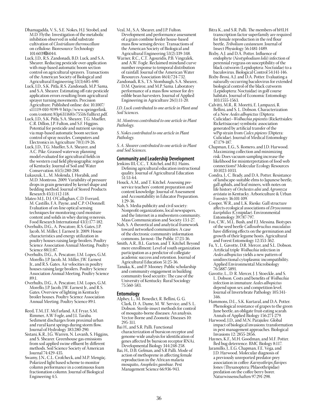- Dhamagadda, V. S., S.E. Nokes, H.J. Strobel, and M.D. Flythe. Investigation of the metabolic inhibition observed in solid substrate cultivation of *Clostridium thermocellum*  on cellulose. Bioresource Technology 101:6039‐6044.
- Luck, J.D., R.S. Zandonadi, B.D. Luck, and S.A. Shearer. Reducing pesticide over-application with map-based automatic boom section control on agricultural sprayers. Transactions of the American Society of Biological and Agricultural Engineering 53(3):685-690.
- Luck, J.D., S.K. Pitla, R.S. Zandonadi, M.P. Sama, and S.A. Shearer. Estimating off-rate pesticide application errors resulting from agricultural sprayer turning movements. Precision Agriculture. Published online: doi: 10.1007/ s11119-010-9199-9. http://www.springerlink. com/content/83p6311681v75516/fulltext.pdf.
- Luck, J.D., S.K. Pitla, S.A. Shearer, T.G. Mueller, C.R. Dillon, J.P. Fulton, and S.F. Higgins. Potential for pesticide and nutrient savings via map-based automatic boom section control of spray nozzles. Computers and Electronics in Agriculture 70(1):19-26.
- Luck, J.D., T.G. Mueller, S.A. Shearer, and A.C. Pike. Grassed waterway planning model evaluated for agricultural fields in the western coal field physiographic region of Kentucky. Journal of Soil and Water Conservation. 65(5):280-288.
- Łukaszuk, L., M. Molenda, J. Horabik, and M.D. Montross. 2009. Variability of pressure drops in grain generated by kernel shape and bedding method. Journal of Stored Products Research 45(1):112-118.
- Mateo M.J., D.J. O'Callaghan, C.D. Everard, M. Castillo, F.A. Payne, and C.P. O›Donnell. Evaluation of on-line optical sensing techniques for monitoring curd moisture content and solids in whey during syneresis. Food Research International 43(1):177-182.
- Overhults, D.G., A. Pescatore, R.S. Gates, J.P. Jacob, M. Miller, J. Earnest Jr. 2009. House characteristics and energy utilization in poultry houses raising large broilers. Poultry Science Association Annual Meeting. Poultry Science 88(1):87.
- Overhults, D.G., A. Pescatore, I.M. Lopes, G.M. Morello, J.P. Jacob, M. Miller, J.W. Earnest Jr., and R.S. Gates. Air velocities in poultry houses raising large broilers. Poultry Science Association Annual Meeting. Poultry Science 89:1.
- Overhults, D.G., A. Pescatore, I.M. Lopes, G.M. Morello, J.P. Jacob, J.W. Earnest Jr., and R.S. Gates. Overview of lighting in Kentucky broiler houses. Poultry Science Association Annual Meeting. Poultry Science 89:1.
- Reed, T.M, J.T. McFarland, A.E Fryar, S.M. Rimmer, A.W Fogle, and J.L Taraba. Sediment discharges from proximal urban and rural karst springs during storm flow. Journal of Hydrology 383:280-290.
- Sistani, K.R., J.G. Warren, N. Lovanh, S. Higgins, and S. Shearer. Greenhouse gas emissions from soil applied swine effluent by different methods. Soil Science Society of American Journal 74:429-435.
- Swamy, J.N., C.L. Crofcheck, and M.P. Mengüç. Polarized light based scheme to monitor column performance in a continuous foam fractionation column. Journal of Biological Engineering 4:5.
- Veal, M., S.A. Shearer, and J.P. Fulton. Development and performance assessment of a grain combine feeder house-based mass flow sensing device. Transactions of the American Society of Biological and Agricultural Engineering 53(2):339-348.
- Warner, R.C., C.T. Agouridis, P.B. Vingralek, and A.W. Fogle. Reclaimed mineland curve number response to temporal distribution of rainfall. Journal of the American Water Resources Association 46(4):724-732.
- Zandonadi, R.S., T.S. Stombaugh, S.A. Shearer, D.M. Queiroz, and M.P. Sama. Laboratory performance of a mass flow sensor for dry edible bean harvesters. Journal of Applied Engineering in Agriculture 26(1):11-20.

*J.D. Luck contributed to one article in Plant and Soil Sciences.*

*M. Montross contributed to one article in Plant Pathology.*

*S. Nokes contributed to one article in Plant Pathology.*

*S. A. Shearer contributed to one article in Plant and Soil Sciences.*

### **Community and Leadership Development**

- Jenkins III, C.C., T. Kitchel, and B.J. Hains. Defining agricultural education instructional quality. Journal of Agricultural Education 51:53-64.
- Houck, A.M., and T. Kitchel. Assessing preservice teachers' content preparation and content knowledge. Journal of Assessment and Accountability in Educator Preparation. 1:29-36.
- Nah, S. Media publicity and civil society: Nonprofit organizations, local newspapers, and the Internet in a midwestern community. Mass Communication and Society 13:1-27.
- Nah, S. A theoretical and analytical framework toward networked communities: A case of the electronic community information commons. Javnost–The Public 17:23-36.
- Smith, A.R., B.L. Garton, and T. Kitchel. Beyond mere enrollment: Level of youth organization participation as a predictor of collegiate academic success and retention. Journal of Agricultural Education 51:25-36.
- Tanaka, K., and P. Mooney. Public scholarship and community engagement in building community food security: The case of the University of Kentucky. Rural Sociology 75:560-583.

### **Entomology**

- Alphey, L., M. Benedict, R. Bellini, G. G. Clark, D. A. Dame, M. W. Service, and S. L. Dobson. Sterile-insect methods for control of mosquito-borne diseases: An analysis. Vector-Borne and Zoonotic Diseases 10: 295-311.
- Bai H., and S.R. Palli. Functional characterization of bursicon receptor and genome-wide analysis for identification of genes affected by bursicon receptor RNAi. Developmental Biology 344:248-258.
- Bai, H., D.B. Gelman, and S.R Palli. Mode of action of methoprene in affecting female reproduction in the African malaria mosquito, *Anopheles gambiae*. Pest Management Science 66:936-943.
- Bitra K., and S.R. Palli. The members of bHLH transcription factor superfamily are required for female reproduction in the red flour beetle, *Tribolium castaneum*. Journal of Insect Physiology 56:1481-1489.
- Bixby, A.J. and D.A. Potter. Influence of endophyte (*Neotyphodium lolii*) infection of perennial ryegrass on susceptibility of the black cutworm (Lepidoptera: Noctuidae) to a baculovirus. Biological Control 54:141-146.
- Bixby-Brosi, A.J. and D.A. Potter. Evaluating a naturally-occurring baculovirus for extended biological control of the black cutworm (Lepidoptera: Noctuidae) in golf course habitats. Journal of Economic Entomology 103:1555-1563.
- Calvitti, M.R., R. Moretti, E. Lampazzi, R. Bellini, and S. L. Dobson. Characterization of a New *Aedes albopictus* (Diptera: Culicidae)–*Wolbachia pipientis* (Rickettsiales: Rickettsiaceae) symbiotic association generated by artificial transfer of the wPip strain from *Culex pipiens* (Diptera: Culicidae). Journal of Medical Entomology 47:179-187.
- Chapman, E.G., S. Romero, and J.D. Harwood. Maximizing collection and minimizing risk: Does vacuum sampling increase the likelihood for misinterpretation of food web connections? Molecular Ecology Resources 10:1023-1033.
- Condra, J., C. Brady, and D.A. Potter. Resistance of landscape-suitable elms to Japanese beetle, gall aphids, and leaf miners, with notes on life history of *Orchestes alni* and *Agromyza aristata* in Kentucky. Arboriculture & Urban Forestry 36:101-109.
- Cooper, W.R., and L.K. Rieske. Gall structure affects ecological associations of *Dryocosmus kuriphilus* (Cynipidae). Environmental Entomology 39:787-797.
- Fox, C.W., M.L. Bush, and F.J. Messina. Biotypes of the seed beetle *Callosobruchus maculatus* have differing effects on the germination and growth of their legume hosts. Agricultural and Forest Entomology 12:353-362.
- Fu, Y., L. Gavotte, D.R. Mercer, and S.L. Dobson. Artificial triple *Wolbachia* infection in *Aedes albopictus* yields a new pattern of unidirectional cytoplasmic incompatibility. Applied Environmental Microbiology 76:5887-5891.
- Gavotte, L., D. R. Mercer, J. J. Stoeckle, and S. L. Dobson. Costs and benefits of *Wolbachia* infection in immature *Aedes albopictus* depend upon sex and competition level. Journal of Invertebrate Pathology 105:341- 346.
- Hammons, D.L., S.K. Kurtaral, and D.A. Potter. Phenological resistance of grapes to the green June beetle, an obligate fruit-eating scarab. Annals of Applied Biology 156:271-279.
- Harwood, J.D., and M.N. Parajulee. Global impact of biological invasions: transformation in pest management approaches. Biological Invasions 12: 2855-2856.
- Haynes, K.F., M.H. Goodman, and M.F. Potter. Bed bug deterrence. BMC Biology 8:117.
- Jaramillo, J., E.G. Chapman, F.E. Vega, and J.D. Harwood. Molecular diagnosis of a previously unreported predator-prey association in coffee: *Karnyothrips flavipes* Jones (Thysanoptera: Phlaeothripidae) predation on the coffee berry borer. Naturwissenschaften 97:291-298.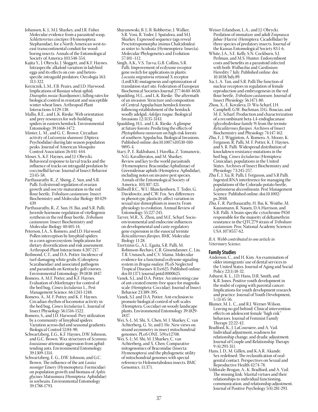- Johansen, K. J., M.J. Sharkey, and J.R. Fisher. Molecular evidence from a parasitoid wasp, *Schlettererius cinctipes* (Hymenoptera: Stephanidae), for a North American west-toeast transcontinental conduit for woodboring insects. Annals of the Entomological Society of America 103:548-554.
- Kajita Y., J. Obrycki, J. Sloggett, and K.F. Haynes. Intraspecific alkaloid variation in ladybird eggs and its effects on con- and heterospecific intraguild predators. Oecologia 163: 313-322.
- Kerzicnik, L.M., F.B. Peairs, and J.D. Harwood. Implications of Russian wheat aphid, *Diuraphis noxia* (Kurdjumov), falling rates for biological control in resistant and susceptible winter wheat lines. Arthropod-Plant Interactions 4:129-138.
- Mallis, R.E., and L.K. Rieske. Web orientation and prey resources for web-building spiders in eastern hemlock. Environmental Entomology 39:1466-1472.
- Minter, L. M., and G. C. Brown. Circadian activity of *Lutzomyia shannoni* (Diptera: Psychodidae) during late season population peaks. Journal of American Mosquito Control Association 26:441-444.
- Moser, S., K.F. Haynes, and J.J. Obrycki. Behavioral response to larval tracks and the influence of tracks on intraguild predation by coccinellid larvae. Journal of Insect Behavior 23:45-58.
- Parthasarathy R., Z. Sheng, Z. Sun, and S.R. Palli. Ecdysteroid regulation of ovarian growth and oocyte maturation in the red flour beetle, *Tribolium castaneum*. Insect Biochemistry and Molecular Biology 40:429- 439.
- Parthasarathy, R., Z. Sun, H. Bai, and S.R. Palli. Juvenile hormone regulation of vitellogenin synthesis in the red flour beetle, *Tribolium castaneum*. Insect Biochemistry and Molecular Biology 40:405-14.
- Peterson, J.A., S. Romero, and J.D. Harwood. Pollen interception by linyphiid spiders in a corn agroecosystem: Implications for dietary diversification and risk assessment. Arthropod-Plant Interactions 4:207-217.
- Redmond, C.T., and D.A. Potter. Incidence of turf-damaging white grubs (Coleoptera: Scarabaeidae) and associated pathogens and parasitoids on Kentucky golf courses. Environmental Entomology 39:1838-1847.
- Romero, A. M.F. Potter, and K.F. Haynes. Evaluation of chlorfenapyr for control of the bed bug, *Cimex lectularius* L., Pest Management Science. 66:1243-1248.
- Romero, A., M. F. Potter, and K. F. Haynes. Circadian rhythm of locomotor activity in the bed bug, *Cimex lectularius* L. Journal of Insect Physiology 56:1516-1522.
- Romero, S., and J.D. Harwood. Prey utilization by a community of linyphiid spiders: Variation across diel and seasonal gradients. Biological Control 52:84-90.
- Schwartzberg, E.G., K.F. Haynes, D.W. Johnson, and G.C. Brown. Wax structures of *Scymnus louisianae* attenuate aggression from aphidtending ants. Environmental Entomology. 39:1309-1314.
- Schwartzberg, E. G., D.W. Johnson, and G.C. Brown. The influence of the ant *Lasius neoniger* Emery (Hymenoptera: Formicidae) on population growth and biomass of *Aphis glycines* Matsumura (Hemiptera: Aphididae) in soybeans. Environmental Entomology 39:1788-1793.
- Sharanowski, B. J.; B. Robbertse, J. Walker, S.R. Voss, R. Yoder, J. Spatafora, and M.J. Sharkey. Expressed sequence tags reveal Proctotrupomorpha (minus Chalcidoidea) as sister to Aculeata (Hymenoptera: Insecta). Molecular Phylogenetics and Evolution 57:101–112.
- Singh, A.K., V.S. Tavva, G.B. Collins, S.R. Palli. Improvement of ecdysone receptor gene switch for applications in plants: *Locusta migratoria* retinoid X receptor (LmRXR) mutagenesis and optimization of translation start site. Federation of European Biochemical Societies Journal 277:4640-4650.
- Spaulding, H.L., and L.K. Rieske. The aftermath of an invasion: Structure and composition of Central Appalachian hemlock forests following establishment of the hemlock woolly adelgid, *Adelges tsugae*. Biological Invasions 12:3135-3143.
- Spaulding, H.L. and L.K. Rieske. A glimpse at future forests: Predicting the effects of *Phytophthora ramorum* on high-risk forests of southern Appalachia. Biological Invasions. Published online: doi:10.1007/s10530-010- 9895-4.
- Starý, P., E. Rakhshani, J. Havelka, Z. Tomanovic, N.G. Kavallieratos, and M. Sharkey. Review and key to the world parasitoids (Hymenoptera: Braconidae:Aphidiinae) of Greenideinae aphids (Hemiptera: Aphididae), including notes on invasive pest species. Annals of the Entomological Society of America. 103:307-321.
- Stillwell R.C., W.U. Blanckenhorn, T. Teder, G. Davidowitz, and C.W. Fox. Sex differences in phenotypic plasticity affect variation in sexual size dimorphism in insects: From physiology to evolution. Annual Review of Entomology 55:227-245.
- Tarver, M.R., X. Zhou, and M.E. Scharf. Socioenvironmental and endocrine influences on developmental and caste-regulatory gene expression in the eusocial termite *Reticulitermes flavipes*. BMC Molecular Biology 11:28.
- Tzertzinis G., A.L. Egaña, S.R. Palli, M. Robinson-Rechavi, C.R. Gissendanner, C. Liu, T.R. Unnasch, and C.V. Maina. Molecular evidence for a functional ecdysone signaling system in *Brugia malayi*. PLoS Neglected Tropical Diseases 4(3):e625. Published online: doi:10.1371/journal.pntd.0000625.
- Vanek, S.J., and D.A. Potter. An interesting case of ant-created enemy-free space for magnolia scale (Hemiptera: Coccidae). Journal of Insect Behavior 23:389-395.
- Vanek, S.J. and D.A. Potter. Ant-exclusion to promote biological control of soft scales (Hemiptera: Coccidae) on woody landscape plants. Environmental Entomology 39:1829- 1837.
- Wei, S.-J., M. Shi, X. Chen, M. J. Sharkey, C. van Achterberg, G. Ye, and J. He. New views on strand asymmetry in insect mitochondrial genomes. PLoS ONE. 5(9):e12708.
- Wei, S.-J.; M. Shi, M. J.Sharkey, C. van Achterberg, and X. Chen. Comparative mitogenomics of Braconidae (Insecta: Hymenoptera) and the phylogenetic utility of mitochondrial genomes with special reference to Holometabolous insects. BMC Genomics. 11:371.
- Weiser-Erlandson, L.A., and J.J. Obrycki. Predation of immature and adult *Empoasca fabae* (Harris) (Hemiptera: Cicadellidae) by three species of predatory insects. Journal of the Kansas Entomological Society 83:1-6.
- White, J.A., S.E. Kelly, S.N. Cockburn, S.J. Perlman, and M.S. Hunter. Endosymbiont costs and benefits in a parasitoid infected with both *Wolbachia* and *Cardinium*. Heredity 7 July. Published online: doi: 10.1038/hdy.89.
- Xu, J., A. Tan, and S.R. Palli.The function of nuclear receptors in regulation of female reproduction and embryogenesis in the red flour beetle, *Tribolium castaneum*. Journal of Insect Physiology 56:1471-80.
- Zhou, X., E. Kovaleva, D. Wu-Scharf, J.H. Campbell, G.W. Buchman, D.G. Boucias, and M. E. Scharf. Production and characterization of a recombinant beta-1,4-endoglucanase (glycohydrolase family 9) from the termite *Reticulitermes flavipes*. Archives of Insect Biochemistry and Physiology 74:147-162.
- Zhu, F., J. Wigginton, A. Romero, A. Moore, K. Ferguson, R. Palli, M. F. Potter, K. F. Haynes, and S. R. Palli. Widespread distribution of knockdown resistance mutations in the bed bug, *Cimex lectularius* (Hemiptera: Cimicidae), populations in the United States. Archives of Insect Biochemistry and Physiology 73:245-257.
- Zhu F., J. Xu, R. Palli, J. Ferguson, and S.R Palli. Ingested RNA interference for managing the populations of the Colorado potato beetle, *Leptinotarsa decemlineata*. Pest Management Science. Published online: doi:10.1002/ ps.2048.
- Zhu, F., R. Parthasarathy, H. Bai, K. Woithe, M. Kaussmann, R. Nauen, D.A.Harrison, and S.R. Palli. A brain-specific cytochrome P450 responsible for the majority of deltamethrin resistance in the QTC279 strain of *Tribolium castaneum*. Proc National Academy Sciences USA 107:8557-62.
- *B.A. Webb contributed to one article in Veterinary Science.*

### **Family Studies**

- Anderson, C., and H. Kim. An examination of older immigrants' use of dental services in the United States. Journal of Aging and Social Policy 22(1):18-32.
- Ashurst, K. L., J.D. Hans, D.R. Smith, and K.R. Jones. Positive youth development in the midst of coping with parental cancer: Implications for youth development research and practice. Journal of Youth Development, 5 (3):45-56.
- Blumer, M. L. C., and R.J. Werner-Wilson. Leaving no girl behind: Clinical intervention effects on adolescent female "high risk" behaviors. Journal of Feminist Family Therapy 22:22-42.
- Bradford, K., J. LaCoursiere, and A. Vail. Individual adjustment, readiness for relationship change, and dyadic adjustment. Journal of Couple and Relationship Therapy 9 (4):293-311.
- Hans, J. D., M. Gillen, and K.A.R. Akande. Sex redefined: The reclassification of oralgenital contact. Perspectives on Sexual and Reproductive Health 42:74-78.
- Veldorale-Brogan, A., K. Bradford, and A. Vail. The missing link: Marital virtues and their relationships to individual functioning, communication, and relationship adjustment. Journal of Positive Psychology 5(4):281-293.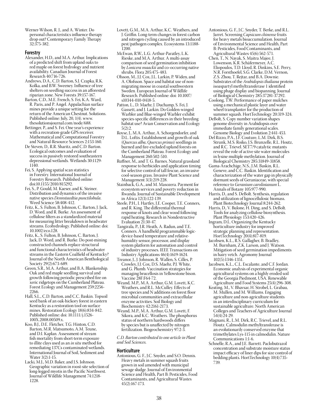Werner-Wilson, R. J., and A. Winter. Do personal characteristics influence therapy drop out? Contemporary Family Therapy 32:375-382.

### **Forestry**

- Alexander, H.D., and M.A. Arthur. Implications of a predicted shift from upland oaks to red maple on forest hydrology and nutrient availability. Canadian Journal of Forest Research 40:716-726.
- Andrews, D.A., C.D. Barton, S.J. Czapka, R.K. Kolka, and B.W. Sweeney. Influence of tree shelters on seedling success in an afforested riparian zone. New Forests 39:157-167.
- Barton, C.D., M.E. French, S. Fei, K.A. Ward, R. Paris, and P. Angel. Appalachian surface mines provide a unique setting for the return of the American Chestnut. Solutions. Published online: July, 20, 1(4). www. thesolutionsjournal.com/node/688.
- Bettinger, P., and S. Fei. One year's experience with a recreation-grade GPS receiver. Mathematical and Computational Forestry and Natural-Resource Sciences 2:153-160.
- De Steven, D., R.R. Sharitz, and C.D. Barton. Ecological outcomes and evaluation of success in passively restored southeastern depressional wetlands. Wetlands 30:1129- 1140.
- Fei, S. Applying spatial scan statistics in Forestry. International Journal of Forestry Research. Published online: doi:10.1155/2010/815292.
- Fei, S., P. Gould, M. Kaeser, and K. Steiner. Distribution and dynamics of the invasive native species *Dennstaedtia punctilobula*. Weed Science 58:408-412.
- Fritz, K., S. Fulton, B. Johnson, C. Barton, J. Jack, D. Word, and R. Burke. An assessment of cellulose filters as a standardized material for measuring litter breakdown in headwater streams. Ecohydrology. Published online: doi: 10.1002/eco.128.
- Fritz, K., S. Fulton, B. Johnson, C. Barton, J. Jack, D. Word, and R. Burke. Do post-mining constructed channels replace structural and functional characteristics of headwater streams in the Eastern Coalfield of Kentucky? Journal of the North American Benthological Society 29(2):673-689.
- Green, S.R., M.A. Arthur, and B.A. Blankenship. Oak and red maple seedling survival and growth following periodic prescribed fire on xeric ridgetops on the Cumberland Plateau. Forest Ecology and Management 259:2256- 2266.
- Hall, S.L., C.D. Barton, and C.C. Baskin. Topsoil seed bank of an oak-hickory forest in eastern Kentucky as a restoration tool on surface mines. Restoration Ecology 18(6):834-842. Published online: doi: 10.1111/j.1526-100X.2008.00509.x.
- Koo, B.J., D.E. Fletcher, T.G. Hinton, C.D. Barton, M.R. Matsumoto, A.M. Teune, and D.I. Kaplan. Assessment of stream fish mortality from short-term exposure to illite clays used as an *in situ* method for remediating 137Cs contaminated wetlands. International Journal of Soil, Sediment and Water 3(2):1-15.
- Lacki, M.J., M.D. Baker, and J.S. Johnson. Geographic variation in roost-site selection of long-legged myotis in the Pacific Northwest. Journal of Wildlife Management 74:1218- 1228.
- Lovett, G.M., M.A. Arthur, K.C. Weathers, and J. Griffin. Long-term changes in forest carbon and nitrogen cycling caused by an introduced pest/pathogen complex. Ecosystems 13:1188- 1200.
- McEwan, R.W., L.G. Arthur-Paratley, L.K. Rieske, and M.A. Arthur. A multi-assay comparison of seed germination inhibition by *Lonicera maackii* and co-occurring native shrubs. Flora 205:475-483.
- Olsson, M., J.J. Cox, J.L. Larkin, P. Widen, and A. Olofsson. Space and habitat use of nonmigrating moose in coastal southwestern Sweden. European Journal of Wildlife Research. Published online: doi: 10.1007/ s10344-010-0418-5.
- Patton, L., D. Maehr, J. Duchamp, S. Fei, J. Gassett, and J. Larkin. Do Golden-winged Warbler and Blue-winged Warbler exhibit species-specific differences in their breeding habitat use? Avian Conservation and Ecology 5(2):2.
- Royse, J., M.A. Arthur, A. Schorgendorfer, and D.L. Loftis. Establishment and growth of oak (*Quercus alba*, *Quercus prinus*) seedlings in burned and fire-excluded upland forests on the Cumberland Plateau. Forest Ecology and Management 260:502-510.
- Ruffner, M., and T. G. Barnes. Natural grassland response to herbicides and application timing for selective control of tall fescue, an invasive cool-season grass. Invasive Plant Science and Management 3(3):219-228.
- Stainback, G.A., and M. Masozera. Payment for ecosystem services and poverty reduction in Rwanda. Journal of Sustainable Development in Africa 12(3):122-139.
- Steele, P.H., I. Hartley, J.E. Cooper, T.E. Conners, and R. King. The differential thermal response of knots and clear wood following rapid heating. Research in Nondestructive Evaluation 21:30-47.
- Tangirala, P., J.R. Heath, A. Radun, and T.E. Conners. A handheld programmable logicdevice-based temperature and relativehumidity sensor, processor, and display system platform for automation and control of industry processes. IEEE Transactions on Industry Applications 46(4):1619-1624.
- Treanor, J., J. Johnson, R. Wallen, S. Cilles, P. Crowley, J.J. Cox, D.S. Maehr, P.J. White, and G. Plumb. Vaccination strategies for managing brucellosis in Yellowstone bison. Vaccine 28F:F64-72.
- Weand, M.P., M.A. Arthur, G.M. Lovett, K.C. Weathers, and R.L. McCulley. Effects of tree species and N additions on forest floor microbial communities and extracellular enzyme activities. Soil Biology and Biochemistry 42:2161-2173.
- Weand, M.P., M.A. Arthur, G.M. Lovett, F. Sikora, and K.C. Weathers. The phosphorus status of northern hardwoods differs by species but is unaffected by nitrogen fertilization. Biogeochemistry 97:2-3.

*C.D. Barton contributed to one article in Plant and Soil Sciences.*

### **Horticulture**

Antonious, G. F., J.C. Snyder, and S.O. Dennis. Heavy metals in summer squash fruits grown in soil amended with municipal sewage sludge. Journal of Environmental Science and Health, Part B: Pesticides, Food Contaminants, and Agricultural Wastes 45(2):167-173.

- Antonious, G. F., J.C. Snyder, T. Berke, and R.L. Jarret. Screening *Capsicum chinense* fruits for heavy metals bioaccumulation. Journal of Environmental Science and Health, Part B: Pesticides, Food Contaminants, and Agricultural Wastes 45(6):562-571.
- Chen, T., N. Nayak, S. Maitra Majee, J. Lowenson, K.R. Schäfermeyer, A.C. Eliopoulos, T.D. Lloyd, R. Dinkins, S.E. Perry, N.R. Forsthoefel, S.G. Clarke, D.M. Vernon, Z.S. Zhou, T. Rejtar, and B.A. Downie. Substrates of the *Arabidopsis thaliana* protein isoaspartyl methyltransferase 1 identified using phage display and biopanning. Journal of Biological Chemistry 285:37281-37292.
- Coolong, T.W. Performance of paper mulches using a mechanical plastic layer and water wheel transplanter for the production of summer squash. HortTechnology 20:319-324.
- DeBolt, S. Copy number variation shapes genome diversity in Arabidopsis over immediate family generational scales. Genome Biology and Evolution 2:441-453.
- Del Rizzo, P.A., J.F. Couture, L.M. Dirk, B.S. Strunk, M.S. Roiko, J.S. Brunzelle, R.L. Houtz, and R.C. Trievel. SET7/9 catalytic mutants reveal the role of active site water molecules in lysine multiple methylation. Journal of Biological Chemistry 285:31849-31858.
- Gama-Arachchige, N.S., J.M. Baskin, R.L. Geneve, and C.C. Baskin. Identification and characterization of the water gap in physically dormant seeds of Geraniaceae, with special reference to *Geranium carolinianum* L. Annals of Botany 105:977-990.
- Harris, D., and S. DeBolt. Synthesis, regulation and utilization of lignocellulosic biomass. Plant Biotechnology Journal 8:244-262.
- Harris, D., V. Bulone, H. Ding, and S. DeBolt. Tools for analyzing cellulose biosynthesis. Plant Physiology 153:420-426.
- Ingram, D.L. Organizing the Kentucky horticulture industry for improved strategic planning and representation. HortTechnology 20(4):817-819.
- Jacobsen, K.L., R.S. Gallagher, B. Bradley, M. Burnham, Z.K. Larson, and J. Watson. Mitigation of seed germination impediments in hairy vetch. Agronomy Journal 102(5):1346-1351.
- Jacobsen, K.L., C.L. Escalante, and C.F. Jordan. Economic analysis of experimental organic agricultural systems on a highly eroded soil of the Georgia Piedmont, USA. Renewable Agriculture and Food Systems 25(4):296-308.
- Keating, M., V. Bhavsar, H. Strobel, L. Grabau, M. Mullen, and M. Williams. Engaging agriculture and non-agriculture students in an interdisciplinary curriculum for sustainable agriculture. North American Colleges and Teachers of Agriculture Journal 54(4):24-29.
- Magnani, R., L.M. Dirk, R.C. Trievel, and R.L. Houtz. Calmodulin methyltransferase is an evolutionarily conserved enzyme that trimethylates Lys-115 in calmodulin. Nature Communications 1:1-6.
- Schnelle, R.A., and J.E. Barrett. Paclobutrazol concentration and substrate moisture status impact efficacy of liner dips for size control of bedding plants. HortTechnology 10(4):735- 739.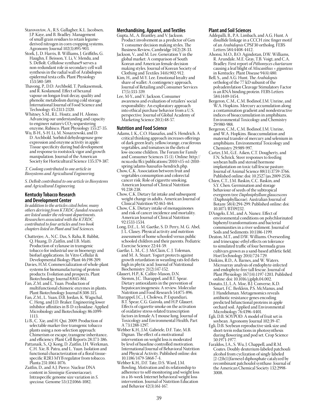- Starovoytov, A., R.S. Gallagher, K.L. Jacobsen, J.P. Kaye, and B. Bradley. Management of small grain residues to retain legumederived nitrogen in corn cropping systems. Agronomy Journal 102(3):895-903.
- Stork, J., D. Harris, B. Williams, J. Griffiths, G. Haughn, F. Beisson, Y. Li, V. Mendu, and S. DeBolt. Cellulose synthase9 serves a non-redundant role in secondary cell wall synthesis in the radial wall of Arabidopsis epidermal testa cells. Plant Physiology 153:580-589.
- Thavong, P., D.D. Archbold, T. Pankasemsuk, and  $\breve{R}$ . Koslanund. Effect of hexanal vapour on longan fruit decay, quality and phenolic metabolism during cold storage. International Journal of Food Science and Technology 45:2313-2320.
- Whitney, S.M., R.L. Houtz, and H. Alonso. Advancing our understanding and capacity to engineer nature's CO<sub>2</sub> sequestering enzyme, Rubisco. Plant Physiology 155:27-35.
- Wu, B-H., S-H. Li, M. Nosarzewski, and D. D. Archbold. Sorbitol dehydrogenase gene expression and enzyme activity in apple: Tissue specificity during bud development and response to rootstock vigor and growth manipulation. Journal of the American Society for Horticultural Science 135:379-387.

### *T. Coolong contributed to one article in Biosystems and Agricultural Engineering.*

*S. DeBolt contributed to one article in Biosystems and Agricultural Engineering.*

### **Kentucky Tobacco Research and Development Center**

*In addition to the articles cited below, many others deriving from KTRDC-funded research are listed under the relevant departments. Researchers associated with the KTRDC contributed to four articles and two book chapters listed in Plant and Soil Sciences.*

- Chatterjee, A., N.C. Das, S. Raha, R. Babbit, Q. Huang, D. Zaitlin, and I.B. Maiti. Production of xylanase in transgenic tobacco for industrial use in bioenergy and biofuel applications. In Vitro Cellular & Developmental Biology-Plant 46:198-209.
- Davies, H.M. Commercialization of whole-plant systems for biomanufacturing of protein products: Evolution and prospects. Plant Biotechnology Journal 8:845-861.
- Fan, Z.M. and L. Yuan. Production of multifunctional chimeric enzymes in plants. Plant Biotechnology Journal 8:308-315.
- Fan, Z.M., L. Yuan, D.B. Jordan, K. Wagschal, C. Heng, and J.D. Braker. Engineering lower inhibitor affinities in B-D-xylosidase. Applied Microbiology and Biotechnology 86:1099-1113.
- Li B., C. Xie, and H. Qui. 2009. Production of selectable marker-free transgenic tobacco plants using a non-selection approach: Chimerism or escape, transgene inheritance, and efficiency. Plant Cell Reports 28:373-386.
- Pattanaik, S., Q. Kong, D. Zaitlin, J.H. Werkman, C.H. Xie, B. Patra, and L. Yuan. Isolation and functional characterization of a floral tissuespecific R2R3 MYB regulator from tobacco. Planta 231:1061-1076.
- Zaitlin, D., and A.J. Pierce. Nuclear DNA content in *Sinningia* (Gesneriaceae); Intraspecific genome size variation in *S. speciosa.* Genome 53:(12)1066-1082.

### **Merchandising, Apparel, and Textiles**

- Gupta, M., A. Brantley, and V. Jackson. Product involvement as a predictor of Gen Y consumer decision making styles. The Business Review, Cambridge 14(2):28-33.
- Jackson, V., and M. Lee. Generation Y in the global market: A comparison of South Korean and American female decision making styles. Journal of Korean Society of Clothing and Textiles 34(6):902-912.
- Kim, H., and M-Y. Lee. Emotional loyalty and share of wallet: A contingency approach, Journal of Retailing and Consumer Services 17(5):333-339.
- Lee, M-Y., and V. Jackson. Consumer awareness and evaluation of retailers' social responsibility: An exploratory approach into ethical purchase behavior from a U.S. perspective. Journal of Global Academy of Marketing Science 20(1):48-57.

### **Nutrition and Food Science**

- Adams, I. K., C.O. Hausafus, and S. Hendrich. A critical thinking approach increases offerings of dark green leafy, yellow/orange, cruciferous vegetables, and tomatoes in the diets of low-income children. The Forum for Family and Consumer Sciences 15 (1). Online: http:// ncsu.edu/ffci/publications/2010/v15-n1-2010 spring/adams-hausafus-hendrich.php.
- Chow, C.K. Association between fruit and vegetables consumption and colorectal cancer risk: Role of cigarette smoking. American Journal of Clinical Nutrition 91:238-238.
- Chow, C.K. Dietary fat intake and subsequent weight change in adults. American Journal of Clinical Nutrition 92:463-464.
- Chow, C.K. Dietary intake of menaquinones and risk of cancer incidence and mortality. American Journal of Clinical Nutrition 92:1533-1534.
- Long, D.E., L. M. Gaetke, S. D. Perry, M. G. Abel, J. L. Clasey. Physical activity and nutrition assessment of home schooled versus public schooled children and their parents. Pediatric Exercise Science 22:44-59.
- Gaetke, L. M., C. J. McClain, C. J. Toleman, and M. A. Stuart. Yogurt protects against growth retardation in weanling rats fed diets high in phytic acid. Journal of Nutritional Biochemistry 21(2):147-152.
- Glauert, H.P., K. Calfee-Mason, D.N. Stemm, J.C. Tharappel, and B.T. Spear. Dietary antioxidants in the prevention of hepatocarcinogenesis: A review. Molecular Nutrition and Food Research 54:875-896.
- Tharappel, J.C., J. Cholewa, P. Espandiari, B.T. Spear, C.G. Gairola, and H.P. Glauert. Effects of cigarette smoke on the activation of oxidative stress-related transcription factors in female A/J mouse lung. Journal of Toxicology and Environmental Health, Part A 73:1288-1297.
- Webber K.H., J.M. Gabriele, D.F. Tate, M.B. Dignan. The effect of a motivational intervention on weight loss is moderated by level of baseline controlled motivation. International Journal of Behavioral Nutrition and Physical Activity. Published online: doi: 10.1186/1479-5868-7-4.
- Webber K.H., D.F. Tate, D.S. Ward, J.M. Bowling. Motivation and its relationship to adherence to self-monitoring and weight loss in a 16-week Internet behavioral weight loss intervention. Journal of Nutrition Education and Behavior 42(3):161-167.

### **Plant and Soil Sciences**

- Addepalli, B., P.A. Limbach, and A.G. Hunt. A disulfide linkage in a CCCH zinc finger motif of an *Arabidopsis* CPSF30 ortholog. FEBS Letters 584:4408-4412.
- Ahonsi, M.O., B.O. Agindotan, D.W. Williams, R. Arundale, M.E. Gray, T.B. Voigt, and C.A. Bradley. First report of *Pithomyces chartarum* causing a leaf blight of *Miscanthus × giganteus* in Kentucky. Plant Disease 94(4):480.
- Bell, S., and A.G. Hunt. The *Arabidopsis* ortholog of the 77 kD subunit of the polyadenylation Cleavage Stimulatory Factor is an RNA binding protein. FEBS Letters 584:1449-1454.
- Bergeron, C.M., C.M. Bodinof, J.M. Unrine, and W.A. Hopkins. Mercury accumulation along a contamination gradient and nondestructive indices of bioaccumulation in amphibians. Environmental Toxicology and Chemistry 29:980-988.
- Bergeron, C.M., C.M. Bodinof, J.M. Unrine, and W.A. Hopkins. Bioaccumulation and maternal transfer of mercury and selenium in amphibians. Environmental Toxicology and Chemistry 29:989-997.
- Carter, J.M., G.E. Aiken, C.T. Dougherty, and F.N. Schrick. Steer responses to feeding soybean hulls and steroid hormone implantation on toxic tall fescue pasture. Journal of Animal Science 88(11):3759-3766. Published online: doi: 10.2527/jas.2009-2536.
- Chien, C.T., J.M. Baskin, C.C. Baskin, and S.Y. Chen. Germination and storage behaviour of seeds of the subtropical evergreen tree *Daphniphyllum glaucescens* (Daphniphyllaceae). Australian Journal of Botany 58(4):294-299. Published online: doi: 10.1071/BT09232.
- D'Angelo, E.M., and A. Nunez. Effect of environmental conditions on polychlorinated biphenyl transformations and bacterial communities in a river sediment. Journal of Soils and Sediments 10:1186-1199.
- Deaton, M.T., and D.W. Williams. Overseeding and trinexapac-ethyl effects on tolerance to simulated traffic of four bermuda grass cultivars grown as a sand-based athletic field. HortTechnology 20(4):724-729.
- Dinkins, R.D., A. Barnes, and W. Waters. Microarray analysis of endophyte-infected and endophyte-free tall fescue. Journal of Plant Physiology 167(14):1197-1203. Published online: doi: 10.1016/j.jplph.04.002.
- Donato, J.J., L.A. Moe, B.J. Converse, K.D. Smart, F.C. Berklein, P.S. McManus, and J. Handelsman. Metagenomics reveals antibiotic resistance genes encoding predicted bifunctional proteins in apple orchard soil. Applied and Environmental Microbiology 76:4396-4401.
- Egli, D.B. SOYPOD: A model of fruit set in soybean. Agronomy Journal 102:39-47.
- Egli, D.B. Soybean reproductive sink size and short-term reductions in photosynthesis during flowering and pod set. Crop Science 50:1971-1977.
- Faraldos, J.A., S. Wu, J. Chappell, and R.M. Coates. Doubly deuterium-labeled patchouli alcohol from cyclization of singly labeled [2-(2)h(1)]farnesyl diphosphate catalyzed by recombinant patchoulol synthase. Journal of the American Chemical Society 132:2998- 3008.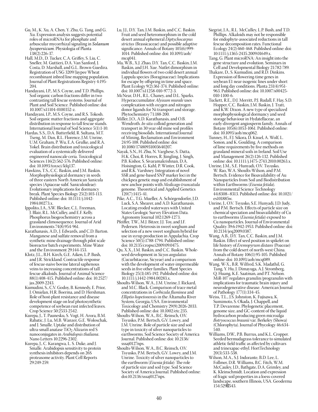- Gu, M., K. Xu, A. Chen, Y. Zhu, G. Tang, and G. Xu. Expression analysis suggests potential roles of microRNAs for phosphate and arbuscular mycorrhizal signaling in *Solanum lycopersicum*. Physiologia of Planta 138(2):226-37.
- Hall, M.D., D. Tucker, C.A. Griffey, S. Liu, C. Sneller, M. Guttieri, D.A. Van Sanford, J. Costa, D. Marshall, and G.L. Brown-Guedira. Registration of USG 3209/Jaypee Wheat recombinant inbred line mapping population. Journal of Plant Registrations Registry 4:195- 204.
- Handayani, I.P., M.S. Coyne, and T.D. Phillips. Soil organic carbon fractions differ in two contrasting tall fescue systems. Journal of Plant and Soil Science. Published online: doi: 10.1007/s11104-0100352-z.
- Handayani, I.P., M.S. Coyne, and R.S. Tokosh. Soil organic matter fractions and aggregate distribution in response to tall fescue stands. International Journal of Soil Science 5(1):1-10.
- Hardas, S.S., D.A. Butterfield, R. Sultana, M.T. Tseng, M. Dan, R.L. Florence, J.M. Unrine, U.M. Graham, P. Wu, E.A. Grulke, and R.A. Yokel. Brain distribution and toxicological evaluation of a systemically delivered engineered nanoscale ceria. Toxicological Sciences 116(2):562-576. Published online: doi: 10.1093/toxsci/kfq137.
- Hawkins, T.S., C.C. Baskin, and J.M. Baskin. Morphophysiological dormancy in seeds of three eastern North American Sanicula species (Apiaceae subf. Saniculoideae): Evolutionary implications for dormancy break. Plant Species Biology 25(2):103-113. Published online: doi: 10.1111/j.1442- 1984.00273.x.
- Ippolito, J.A., S.W. Blecker, C.L. Freeman, J. Blair, R.L. McCulley, and E.F. Kelly. Phosphorus biogeochemistry across a grassland climosequence. Journal of Arid Environments 74(8):954-961.
- Karathanasis, A.D., J. Edwards, and C.D. Barton. Manganese and sulfate removal from a synthetic mine drainage through pilot scale bioreactor batch experiments. Mine Water and the Environment 29:144-153.
- Klotz, J.L., B.H. Kirch, G.E. Aiken, L.P. Bush, and J.R. Strickland. Contractile response of fescue-naive bovine lateral saphenous veins to increasing concentrations of tall fescue alkaloids. Journal of Animal Science 88(1):408-415. Published online: doi: 10.2527/ jas.2009-2243.
- Kumudini, S., C.V. Godoy, B. Kennedy, E. Prior, J. Omielan, H.R. Boerma, and D. Hershman. Role of host-plant resistance and disease development stage on leaf photosynthetic competence of soybean rust infected leaves. Crop Science 50:2533-2542.
- Kurepa, J., T. Paunesku, S. Vogt, H. Arora, B.M. Rabatic, J. Lu, M.B. Wanzer, G.E. Woloschak, and J. Smalle. Uptake and distribution of ultra-small anatase TiO2 Alizarin red S nanoconjugates in *Arabidopsis thaliana*. Nano Letters 10:2296-2302.
- Kurepa, J., C. Karangwa, L. S. Duke, and J. Smalle. Arabidopsis sensitivity to protein synthesis inhibitors depends on 26S proteasome activity. Plant Cell Reports 29:249-259.
- Lu, J.J., D.Y. Tan, J.M. Baskin, and C.C. Baskin. Fruit and seed heteromorphism in the cold desert annual ephemeral *Diptychocarpus strictus* (Brassicaceae) and possible adaptive significance. Annals of Botany 105(6):999- 1014. Published online: doi: 10.1093/aob/ mcq041.
- Ma, W.B., X.J. Zhao, D.Y. Tan, C.C. Baskin, J.M. Baskin, and J.H. Xue. Nutlet dimorphism in individual flowers of two cold desert annual Lappula species (Boraginaceae): Implications for escape by offspring in time and space. Plant Ecology 9(2):361-374. Published online: doi: 10.1007/s11258-010-9772-3.
- McNear, D.H., R.L. Chaney, and D.L. Sparks. Hyperaccumulator *Alyssum murale* uses complexation with oxygen and nitrogen donor ligands for Ni transport and storage. Phytochemistry 71:188-200.
- Miller, J.O., A.D. Karathanasis, and O.B. Wendroth. *In-situ* colloid generation and transport in 30 year old mine soil profiles receiving biosolids. International Journal of Mining, Reclamation and Environment 24:95-108. Published online: doi: 10.1080/17480931003640207.
- Nayak, S.N., H. Zhu, N. Varghese, S. Datta, H.K. Choi, R. Horres, R. Jüngling, J. Singh, P.B. Kishor, S. Sivaramakrishnan, D.A. Hoisington, G. Kahl, P. Winter, D.R. Cook, and R.K. Varshney. Integration of novel SSR and gene-based SNP marker loci in the chickpea genetic map and establishment of new anchor points with *Medicago truncatula* genome. Theoretical and Applied Genetics 120(7):1415-41.
- Pike, A.C., T.G. Mueller, A. Schörgendorfer, J.D. Luck, S.A. Shearer, and A.D. Karathanasis. Locating eroded waterways with United States Geologic Survey Elevation Data. Agronomy Journal 102:1269-1273.
- Pfeiffer, T.W., M.J. Bitzer, J.J. Toy, and J.F. Pedersen. Heterosis in sweet sorghum and selection of a new sweet sorghum hybrid for use in syrup production in Appalachia. Crop Science 50(5):1788-1794. Published online: doi: 10.2135/cropsci2009.09.0475.
- Qu, X.X., J.M. Baskin, and C.C. Baskin. Wholeseed development in *Sicyos angulatus* (Cucurbitaceae, Sicyeae) and a comparison with the development of water-impermeable seeds in five other families. Plant Species Biology 25(3):185-192. Published online: doi: 10.1111/j.1442-1984.00283.x.
- Shoults-Wilson, W.A., J.M. Unrine, J. Rickard, and M.C. Black. Comparison of trace metal concentrations in *Corbicula fluminea* and *Elliptio hopetonensis* in the Altamaha River System, Georgia, USA. Environmental Toxicology and Chemistry 29(9):2026-2033. Published online: doi: 10.1002/etc.235.
- Shoults-Wilson, W.A., B.C. Reinsch, O.V. Tsyusko, P.M. Bertsch, G.V. Lowry, and J.M. Unrine. Role of particle size and soil type in toxicity of silver nanoparticles to earthworms. Soil Science Society of America Journal. Published online: doi: 10.2136/ sssaj0127nps.
- Shoults-Wilson, W.A., B.C. Reinsch, O.V. Tsyusko, P.M. Bertsch, G.V. Lowry, and J.M. Unrine. Toxicity of silver nanoparticles to the earthworm (*Eisenia fetida*): The role of particle size and soil type. Soil Science Society of America Journal. Published online: doi:10.2136/sssaj0127nps.
- Siegrist, J.A., R.L. McCulley, L.P. Bush, and T.D. Phillips. Alkaloids may not be responsible for endophyte-associated reductions in tall fescue decomposition rates. Functional Ecology 24(2):460-468. Published online: doi: 10:1111/j.1365-2435.2009.01649.x.
- Tang, G. Plant microRNA: An insight into the gene structure and evolution. Seminars in Cell and Developmental Biology 21:782-789.
- Thakare, D., S. Kumudini, and R.D. Dinkins. Expression of flowering-time genes in soybean E1 near-isogenic lines under short and long day conditions. Planta 231(4):951- 963. Published online: doi: 10.1007/s00425- 010-1100-6.
- Tuckett, R.E., D.J. Merritt, P.J. Rudall, F. Hay, S.D. Hopper, C.C. Baskin, J.M. Baskin, J. Tratt, and K.W. Dixon. A new type of specialized morphophysiological dormancy and seed storage behaviour in Hydatellaceae, an early-divergent angiosperm family. Annals of Botany 105(6):1053-1061. Published online: doi: 10.1093/aob/mcq062.
- Tunney, H., F.J. Sikora, D. Kissel, A. Wolf, L. Sonon, and K. Goulding. A comparison of lime requirements by five methods on grassland mineral soils in Ireland. Soil Use and Management 26(2):126-132. Published online: doi: 10.1111/j.1475-2743.2010.00263.x.
- Unrine, J.M., S.E. Hunyadi, O.V. Tsyusko, W. Rao, W.A. Shoults-Wilson, and P.M. Bertsch. Evidence for Bioavailability of Au Nanoparticles from Soil and Biodistribution within Earthworms (*Eisenia fetida*). Environmental Science Technology 44:8308–8313. Published online: doi: 10.1021/ es101885w.
- Unrine, J., O.V. Tsyusko, S.E. Hunyadi, J.D. Judy, and P.M. Bertsch. Effects of particle size on chemical speciation and bioavailability of Cu to earthworms (*Eisenia fetida*) exposed to Cu nanoparticles. Journal of Environmental Quality 39:6:1942-1953. Published online: doi: 10.2134/jeq2009.0387.
- Wang, A.B., D.Y. Tan, C.C. Baskin, and J.M. Baskin. Effect of seed position in spikelet on life history of *Eremopyrum distans* (Poaceae) from the cold desert of north-west China. Annals of Botany 106(1):95-105. Published online: doi: 10.1093/aob/mcq089.
- Wang, W-X., B.R. Wilfred, S.K. Madathil, G. Tang, Y. Hu, J. Dimayuga, A.J. Stromberg, Q. Huang, K.E. Saatman, and P.T. Nelson. MiR-107 regulates granulin/progranulin with implications for traumatic brain injury and neurodegenerative disease. American Journal of Pathology 177(1):334-45.
- Weiss, T.L., J.S. Johnston, K. Fujisawa, K. Sumimoto, S. Okada, J. Chappell, and T.P. Devarenne. Phylogenetic placement, genome size, and GC-content of the liquid hydrocarbon producing green microalga *Botryococcus braunii* var. Berkeley (Showa) (Chlorophyta). Journal of Phycology 46:634- 540.
- Williams, D.W., P.B. Burrus, and K.L. Cropper. Seeded bermudagrass tolerance to simulated athletic field traffic as affected by cultivars and trinexapac-ethyl. HortTechnology 20(3):533-538.
- Wilson, M.A., S.J. Indorante, B.D. Lee, L. Follmer, D.R. Williams, B.C. Fitch, W.M. McCauley, J.D., Bathgate, D.A. Grimley, and K. Kleinschmidt. Location and expression of fragic soil properties in a loess-covered landscape, southern Illinois, USA. Geoderma 154:529‐543.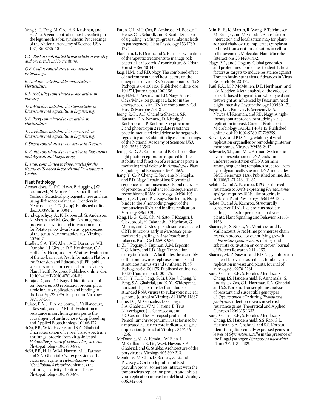Yang S., F. Tang, M. Gao, H.B. Krishnan, and H. Zhu. *R* gene-controlled host specificity in the legume-rhizobia symbiosis. Proceedings of the National Academy of Science, USA 107(43):18735-40.

*C.C. Baskin contributed to one article in Forestry and one article in Horticulture.*

*G.B. Collins contributed to one article in Entomology.*

*R. Dinkins contributed to one article in Horticulture.*

*R.L. McCulley contributed to one article in Forestry.*

*T.G. Mueller contributed to two articles in Biosystems and Agricultural Engineering.*

*S.E. Perry contributed to one article in Horticulture.*

*T. D. Phillips contributed to one article in Biosystems and Agricultural Engineering.*

*F. Sikora contributed to one article in Forestry.* 

*R. Smith contributed to one article in Biosystems and Agricultural Engineering.*

*L. Yuan contributed to three articles for the Kentucky Tobacco Research and Development Center.*

### **Plant Pathology**

- Arnaoudova, E., D.C. Haws, P. Huggins, J.W. Jaromczyk, N. Moore, C.L. Schardl, and R. Yoshida. Statistical phylogenetic tree analysis using differences of means. Frontiers in Neuroscience 4:47 (12 pp). Published online: doi:10.3389/fnins.00047.
- Bandyopadhyay, A., K. Kopperud, G. Anderson, K. Martin, and M. Goodin. An integrated protein localization and interaction map for Potato yellow dwarf virus, type species of the genus Nucleorhabdovirus. Virology 402:61-71.
- Bradley, C.A., T.W. Allen, A.E. Dorrance, W.J. Dunphy, L.J. Giesler, D.E. Hershman, C.A. Hollier, V. Horn, and J.A. Wrather. Evaluation of the soybean rust Pest Information Platform for Extension and Education (PIPE) public website's impact on certified crop advisers. Plant Health Progress. Published online: doi: 10.1094/PHP-2010-0701-01-RS.
- Barajas, D., and P.D. Nagy. Ubiquitination of tombusvirus p33 replication protein plays a role in virus replication and binding to the host Vps23p ESCRT protein. Virology 397:358-368.
- Buiate, E.A.S., E.A. de Souza, L. Vaillancourt, I. Resende, and U.P. Klink. Evaluation of resistance in sorghum genotypes to the causal agent of anthracnose. Crop Breeding and Applied Biotechnology 10:166-172.
- deSá, P.B., W.M. Havens, and S.A. Ghabrial. Characterization of a novel broad-spectrum antifungal protein from virus-infected *Helminthosporium (Cochliobolus) victoriae*. Phytopathology 100:880-889.
- deSá, P.B., H. Li, W.M. Havens, M.L. Farman, and S.A. Ghabrial. Overexpression of the victoriocin gene in *Helminthosporium (Cochliobolus) victoriae* enhances the antifungal activity of culture filtrates. Phytopathology 100:890-896.
- Eaton, C.J., M.P. Cox, B. Ambrose, M. Becker, U. Hesse, C.L. Schardl, and B. Scott. Disruption of signaling in a fungal-grass symbiosis leads to pathogenesis. Plant Physiology 153:1780- 1794.
- Hartman, J., E. Dixon, and S. Bernick. Evaluation of therapeutic treatments to manage oak bacterial leaf scorch. Arboriculture & Urban Forestry 36:140-146.
- Jaag, H.M., and P.D. Nagy. The combined effect of environmental and host factors on the emergence of viral RNA recombinants. PLoS Pathogens 6:e1001156. Published online: doi: 10.1371/journal.ppat.1001156.
- Jaag, H.M., J. Pogany, and P.D. Nagy. A host Ca2+/Mn2+ ion pump is a factor in the emergence of viral RNA recombinants. Cell Host & Microbe 7:74-81.
- Jeong, R.-D., A.C. Chandra-Shekara, S.R. Barman, D.A. Navarre, D. Klessig, A. Kachroo, and P. Kachroo. Cryptochrome 2 and phototropin 2 regulate resistance protein-mediated viral defense by negatively regulating an E3 ubiquitin ligase. Proceedings of the National Academy of Sciences USA 107:13538-13543.
- Jeong, R.-D., A. Kachroo, and P. Kachroo. Blue light photoreceptors are required for the stability and function of a resistance protein mediating viral defense in *Arabidopsis*. Plant Signaling and Behavior 5:1504-1509.
- Jiang, Y., C.-P. Cheng, E. Serviene, N. Shapka, and P.D. Nagy. Repair of lost 5' terminal sequences in tombusviruses: Rapid recovery of promoter and enhancer-like sequences in recombinant RNAs. Virology 404:96-105.
- Jiang, Y., Z. Li, and P.D. Nagy. Nucleolin/Nsr1p binds to the 3' noncoding region of the tombusvirus RNA and inhibits replication. Virology 396:10-20.
- Kang, H.-G., C.-K. Oh, M. Sato, F. Katagiri, J. Glazebrook, H. Takahashi, P. Kachroo, G. Martin, and D. Klessig. Endosome-associated CRT1 functions early in *Resistance* genemediated signaling in *Arabidopsis* and tobacco. Plant Cell 22:918-936.
- Li, Z., J. Pogany, S. Tupman, A.M. Esposito, T.G. Kinzy, and P.D. Nagy. Translation elongation factor 1A facilitates the assembly of the tombusvirus replicase complex and stimulates minus-strand synthesis. PLoS Pathogens 6:e1001175. Published online: doi: 10.1371/journal.ppat.1001175.
- Liu, H., Y. Fu, D. Jiang, G. Li, J. Xie, J. Cheng, Y. Peng, S.A. Ghabrial, and X. Yi. Widespread horizontal gene transfer from doublestranded RNA viruses to eukaryotic nuclear genome. Journal of Virology 84:11876-11887.
- Luque, D., J.M. González, D. Garriga, S.A. Ghabrial, W.M. Havens, B. Trus, N. Verdaguer, J.L. Carrascosa, and J.R. Castón. The T=1 capsid protein of Penicilliumchrysogenumvirus is formed by a repeated helix-rich core indicative of gene duplication. Journal of Virology 84:7256- 7266.
- McDonald, M., A. Kendall, W. Bian, I. McCullough, E. Lio, W.M. Havens, S.A. Ghabrial, and G. Stubbs. Architecture of the potyviruses. Virology 405:309-313.
- Mendu, V., M. Chiu, D. Barajas, Z. Li, and P.D. Nagy. Cpr1 cyclophilin and Ess1 parvulin prolyl isomerases interact with the tombusvirus replication protein and inhibit viral replication in yeast model host. Virology 406:342-351.
- Min, B.-E., K. Martin, R. Wang, P. Tafelmeyer, M. Bridges, and M. Goodin. A host-factor interaction and localization map for plantadapted rhabdovirus implicates cytoplasmtethered transcription activators in cell-tocell movement. Molecular Plant-Microbe Interactions 23:1420-1432.
- Nagy, P.D., and J. Pogany. Global genomics and proteomics approaches to identify host factors as targets to induce resistance against Tomato bushy stunt virus. Advances in Virus Research 76:123-177.
- Paul, P.A., M.P. McMullen, D.E. Hershman, and L.V. Madden. Meta-analysis of the effects of triazole-based fungicides on wheat yield and test weight as influenced by Fusarium head blight intensity. Phytopathology 100:160-171.
- Pogany, J., T. Panavas, E. Serviene, M.S. Nawaz-Ul-Rehman, and P.D. Nagy. A highthroughput approach for studying virus replication in yeast. Current Protocols in Microbiology 19:16J.1.1-16J.1.15. Published online: doi: 10.1002/9780471729259.
- Sasvari, Z., and P.D. Nagy. Making of viral replication organelles by remodeling interior membranes. Viruses 2:2436-2442.
- Schwartz, S.L., and M.L. Farman. Systematic overrepresentation of DNA ends and underrepresentation of DNA termini among sequencing templates prepared from hydrodynamically sheared DNA molecules. BMC Genomics 11:87. Published online: doi: 10.1186/1471-2164-11-87.
- Selote, D., and A. Kachroo. RPG1-B-derived resistance to AvrB-expressing *Pseudomonas syringae* requires RIN4-like proteins in soybean. Plant Physiology 153:1199-1211.
- Selote, D., and A. Kachroo. Structurally conserved RIN4-like proteins mediate pathogen effector perception in diverse plants. Plant Signaling and Behavior 5:1453- 1456.
- Sharma, B., S. Nokes, M. Montross, and L. Vaillancourt. A real-time polymerase chain reaction protocol for quantifying growth of *Fusarium graminearum* during solid substrate cultivation on corn stover. Journal of Biotech Research 2:144-155.
- Sharma, M., Z. Sasvari, and P.D. Nagy. Inhibition of sterol biosynthesis reduces tombusvirus replication in yeast and plants. Journal of Virology 84:2270-2281.
- Soria-Guerra, R.E., S. Rosales-Mendoza, S. Chang, J.S. Haudenshield, P. Annamalai, S. Rodriguez-Zas, G.L. Hartman, S.A. Ghabrial, and S.S. Korban. Transcriptome analysis of resistant and susceptible genotypes of *Glycinetomentella* during *Phakopsora pachyrhizi* infection reveals novel rust resistance genes. Theoretical and Applied Genetics 120:1315-1333.
- Soria-Guerra, R.E., S. Rosales-Mendoza, S. Chang, J.S. Haudenshield, S.S. Rao, G.L. Hartman, S.A. Ghabrial, and S.S. Korban. Identifying differentially expressed genes in leaves of *Glycinetomentella* in the presence of the fungal pathogen *Phakopsora pachyrhizi*. Planta 232:1181-1189.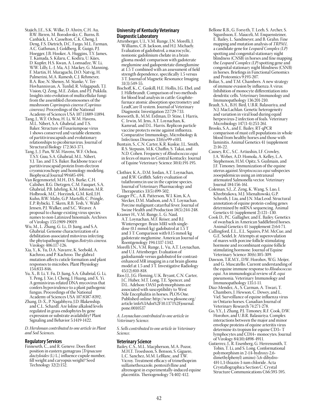- Stajich, J.E., S.K. Wilke, D. Ahrén, C.H. Au, B.W. Birren, M. Borodovsky, C. Burns, B. Canbäck, L.A. Casselton, C.K. Cheng, J. Deng, F.S. Dietrich, D.C. Fargo, M.L. Farman, A.C. Gathman, J. Goldberg, R. Guigó, P.J. Hoegger, J.B. Hooker, A. Huggins, T.Y. James, T. Kamada, S. Kilaru, C. Kodira, U. Kües, D. Kupfer, H.S. Kwan, A. Lomsadze, W. Li, W.W. Lilly, L.-J. Ma, A.J. Mackey, G. Manning, F. Martin, H. Muraguchi, D.O. Natvig, H. Palmerini, M.A. Ramesh, C.J. Rehmeyer, B.A. Roe, N. Shenoy, M. Stanke, V. Ter-Hovhannisyan, A. Tunlid, R. Velagapudi, T.J. Vision, Q. Zeng, M.E. Zolan, and P.J. Pukkila. Insights into evolution of multicellular fungi from the assembled chromosomes of the mushroom *Coprinopsis cinerea (Coprinus cinereus)*. Proceedings of the National Academy of Sciences USA 107:11889-11894.
- Tang, J., W.F. Ochoa, H. Li, W.M. Havens, M.L. Nibert, S.A. Ghabrial, and T.S. Baker. Structure of Fusariumpoae virus 1 shows conserved and variable elements of partitiviruscapsids and evolutionary relationships to picobirnavirus. Journal of Structural Biology 172:363-371.
- Tang, J., J. Pan, W.M. Havens, W.F. Ochoa, T.S.Y. Guu, S.A. Ghabrial, M.L. Nibert, Y.J. Tao, and T.S. Baker. Backbone trace of partitiviruscapsid protein from electron cryomicroschopy and homology modeling. Biophysical Journal 99:685-694.
- Van Regenmortel, M.H., D.S. Burke, C.H. Calisher, R.G. Dietzgen, C.M. Fauquet, S.A. Ghabrial, P.B. Jahrling, K.M. Johnson, M.R. Holbrook, M.C. Horzinek, G.M. Keil, J.H. Kuhn, B.W. Mahy, G.P. Martelli, C. Pringle, E.P. Rybicki, T. Skern, R.B. Tesh, V. Wahl-Jensen, P.J. Walker, and S.C. Weaver. A proposal to change existing virus species names to non-Latinized binomials. Archives of Virology 155:1909-19019.
- Wu, M., L. Zhang, G. Li., D. Jiang, and S.A. Ghabrial. Genome characterization of a debilitation-associated mitovirus infecting the phytopathogenic fungus *Botrytis cinerea*. Virology 406:117-126.
- Xia, Y., K. Yu, D.A. Navarre, K. Seebold, A. Kachroo, and P. Kachroo. The glabra1 mutation affects cuticle formation and plant responses to microbes. Plant Physiology 154:833-846.
- Yu, X., B. Li, Y. Fu, D. Jiang, S.A. Ghabrial, G. Li, Y. Peng, J. Xie, J. Cheng, J. Huang, and X. Yi. A geminivirus-related DNA mycovirus that confers hypovirulence to a plant pathogenic fungus. Proceedings of the National Academy of Sciences USA 107:8387-8392.
- Zhang, D.-X., P. Nagabhyru, J.D. Blakenship, and C.L. Schardl. Are loline alkaloid levels regulated in grass endophytes by gene expression or substrate availability? Plant Signaling and Behavior 5:1419-1422.

*D. Hershman contributed to one article in Plant and Soil Sciences.*

### **Regulatory Services**

Finneseth, C., and R. Geneve. Does floret position in eastern gamagrass [*Tripsacum dactyloides* (L) L.] influence cupule number, fill weight and caryopsis weight? Seed Technology 32(2):152.

### **University of Kentucky Veterinary Diagnostic Laboratory**

- Attenberger, U.I., V.M. Runge, J.N. Morelli, J. Williams, C.B. Jackson, and H.J. Michaely. Evaluation of gadobutrol, a macrocyclic, nonionic gadolinium chelate in a brain glioma model: comparison with gadoterate meglumine and gadopentetate dimeglumine at 1.5 T combined with an assessment of field strength dependence, specifically 1.5 versus 3 T. Journal of Magnetic Resonance Imaging 31(3):549-55.
- Bischoff, K., C. Gaskill, H.E. Hollis, J.G. Ebel, and J. Hillebrandt. Comparison of two methods for blood lead analysis in cattle: Graphitefurnace atomic absorption spectrometry and LeadCare II system. Journal of Veterinary Diagnostic Investigation 22:729-733.
- Bosworth, B., M.M. Erdman, D. Stine, I. Harris, C. Irwin, M. Jens, A.T. Loynachan, K. Kamrud, and D.L. Harris. Replicon particle vaccine protects swine against influenza. Comparative Immunology, Microbiology & Infectious Diseases 33(6):e99-e103.
- Buntain, S., C.N. Carter, K.R. Kuskie, J.L. Smith, R.S. Stepusin, M.K. Chaffin, S. Takai, and N.D. Cohen. Frequency of *Rhodococcus equi*  in feces of mares in Central Kentucky. Journal of Equine Veterinary Science 30(4):191-195.
- Clothier, K.A., D.M. Jordan, A.T. Loynachan, and R.W. Griffith. Safety evaluation of tulathromycin use in the caprine species. Journal of Veterinary Pharmacology and Therapeutics 33(5):499-502.
- Gauger P.C., A.R. Patterson, W.I. Kim, K.A. Stecker, D.M. Madson, and A.T. Loynachan. Porcine malignant catarrhal fever. Journal of Swine Health and Production 18(5):244-248. Kramer H., V.M. Runge, L. G. Naul,
- A.T. Loynachan, M.F. Reiser, and B.J. Wintersperger. Brain MRI with singledose (0.1 mmol/kg) gadobutrol at 1.5 T and 3 T: Comparison with 0.15 mmol/kg gadoterate meglumine. American Journal of Roentgenology 194:1337-1342.
- Morelli J.N., V.M. Runge, L. Vu, A.T. Loynachan, and U.I. Attenberger. Evaluation of gadodiamide versus gadobutrol for contrastenhanced MR imaging in a rat brain glioma model at 1.5 and 3 T. Investigative Radiology 45(12):810-818.
- Rios J.J., J.G. Fleming, U.K. Bryant, C.N. Carter, J.C. Huber, M.T. Long, T.E. Spencer, and D.L. Adelson: OAS1 polymorphisms are associated with susceptibility to West Nile Encephalitis in horses. PLOS One. Published online: http://www.plosone.org/ article/info%3Adoi%2F10.1371%2Fjournal. pone.0010537

*A. Loynachan contributed to one article in Veterinary Science.*

*S. Sells contributed to one article in Veterinary Science.*

### **Veterinary Science**

Bailey, C.S., M.L. Macpherson, M.A. Pozor, M.H.T. Troedsson, S. Benson, S. Giguere, L.C. Sanchez, M.M. LeBlanc, and T.W. Vicroy. Treatment efficacy of trimethoprim sulfamethoxazole, pentoxifylline and altrenogest in experimentally-induced equine placentitis. Theriogenology 74:402-412.

- Bellone R.B., G. Forsyth, T. Leeb, S. Archer, S. Sigurdsson, E. Mauceli, M. Enquensteiner, E. Bailey, L. Sandmeyer, and B. Grahn. Fine mapping and mutation analysis of *TRPM1*, a candidate gene for *Leopard Complex (LP)* spotting and congenital stationary night blindness (CNSB) in horses and fine mapping the *Leopard Complex (LP)* spotting gene and congenital stationary night blindness (CSNB) in horses. Briefings in Functional Genomics and Proteomics 9:193-207.
- Boliar, S., and T.M. Chambers. A new strategy of immune evasion by influenza A virus: Inhibition of monocyte differentiation into dendritic cells. Veterinary Immunology and Immunopathology 136:201-210.
- Brault, S.A., B.H. Bird, U.B.R. Balasuriya, and N.J. MacLachlan. Genetic heterogeneity and variation in viral load during equid herpesvirus-2 infection of foals. Veterinary Microbiology 147(3-4):253-261.
- Brooks, S.A., and E. Bailey. RT-qPCR comparison of mast cell populations in whole blood from healthy horses and those with laminitis. Animal Genetics 41 (supplement 2):16-22.
- Causey, R.C., S.C. Artiushin, I.F. Crowley, J.A. Weber, A.D. Homola, A. Kelley, L.A. Stephenson, H.M. Opitz, S. Guilmain, and J.F. Timoney. Immunization of the equine uterus against *Streptococcus equi* subspecies zooepidemicus using an intranasal attenuated Salmonella vector. Veterinary Journal 184:156-161.
- Coleman, S.J., Z. Zeng, K. Wang, S. Luo, I. Khrebtukova, M.J. Mienaltowski, G.P. Schroth, J. Liu, and J.N. MacLeod. Structural annotation of equine protein-coding genes determined by mRNA sequencing. Animal Genetics 41 (supplement  $2$ ):121–130.
- Cook D., P.C. Gallagher, and E. Bailey. Genetics of swayback in American Saddlebred horses. Animal Genetics 41 (supplement 2):64-71.
- Cullingford, E.L., E.L. Squires, P.M. McCue, and G.E. Seidel, Jr. Attempts at superovulation of mares with porcine follicle stimulating hormone and recombinant equine follicle stimulating hormone. Journal of Equine Veterinary Science 30(6):305-309.
- Dawson, T.R.M.Y., D.W. Horohov, W.G. Meijer, and G. Muscatello. Current understanding of the equine immune response to *Rhodococcus equi*. An immunological review of *R. equi*  pneumonia. Veterinary Immunology and Immunopathology 135:1-11.
- Diaz-Mendez, A., S. Carman, A. Tiwari, T. Chambers, J. Hewson, C. Dewey, and L. Viel. Surveillance of equine influenza virus in Ontario horses. Canadian Journal of Veterinary Research 74:271-278.
- Go, Y.Y., J. Zhang, P.J. Timoney, R.F. Cook, D.W. Horohov, and U.B.R. Balasuriya. Complex interactions between the major and minor envelope proteins of equine arteritis virus determine its tropism for equine CD3+ T lymphocytes and CD14+ monocytes. Journal of Virology 84(10):4898-4911.
- Gutierrez, J., R. Eisenberg, G. Herrensmith, T. Tobin, T. Li, and S. Long. Conformational polymorphism in 2-((4-hydroxy-2,6 dimethylphenyl) amino)-5,6-dihydro-4H-1,3-thiazin-3-ium chloride. Acta Crystallographica Section C: Crystal Structure Communications C66:593-595.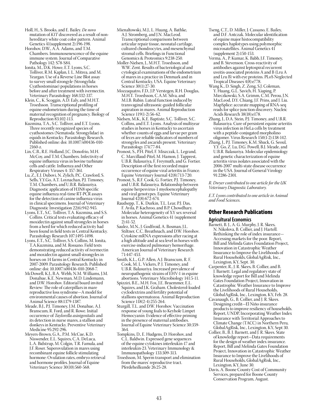- Holl, H., S. Brooks, and E. Bailey. *De novo* mutation of *KIT* discovered as a result of nonhereditary white coat color pattern. Animal Genetics 41(supplement 2):196-198.
- Horohov, D.W., A.A. Adams, and T.M. Chambers. Immunosenescence of the equine immune system. Journal of Comparative Pathology 142: S78-S84.
- Ionita, M., D.K. Howe, E.T. Lyons, S.C. Tolliver, R.M. Kaplan, I. L. Mitrea, and M. Yeargan. Use of a Reverse Line Blot assay to survey small strongyle (Strongylida: Cyathostominae) populations in horses before and after treatment with ivermectin. Veterinary Parasitology 168:332-337.
- Klein, C., K. Scoggin, A.D. Ealy, and M.H.T. Troedsson. Transcriptional profiling of equine endometrium during the time of maternal recognition of pregnancy. Biology of Reproduction 83:102-113.
- Kuzmina, T.A., S.C. Tolliver, and E.T. Lyons. Three recently recognized species of cyathostomes (Nematoda: Strongylidae) in equids in Kentucky. Parasitology Research. Published online: doi: 10.1007/s00436-010- 2160-z.
- Lin, C.B., R.E. Holland, J.C. Donofrio, M.H. McCoy, and T.M. Chambers. Infectivity of equine influenza virus in bovine turbinate cells and cattle. Influenza and Other Respiratory Viruses 4: 357-361.
- Lu, Z., E.J. Dubovi, N. Zylich, P.C. Crawford, S. Sells, Y.Y.Go, A.T. Loynachan, P.J. Timoney, T.M. Chambers, and U.B.R. Balasuriya. Diagnostic application of H3N8 specific equine influenza real-time RT-PCR assays for the detection of canine influenza virus in clinical specimens. Journal of Veterinary Diagnostic Investigation 22(6):942-945.
- Lyons, E.T., S.C. Tolliver, T.A. Kuzmina, and S.S. Collins. Critical tests evaluating efficacy of moxidectin against small strongyles in horses from a herd for which reduced activity had been found in field tests in Central Kentucky. Parasitology Research 107:1495-1498.
- Lyons, E.T., S.C. Tolliver, S.S. Collins, M. Ionita, T.A.Kuzmina, and M. Rossano. Field tests demonstrating reduced activity of ivermectin and moxidectin against small strongyles in horses on 14 farms in Central Kentucky in 2007-2009. Parasitology Research. Published online: doi: 10.1007/s00436-010-2068-7.
- McDowell, K.J., B.A. Webb, N.M. Williams, J.M. Donahue, K.E. Newman, M.D. Lindemann, and D.W. Horohov. Editorial board invited Review: The role of caterpillars in mare reproductive loss syndrome—A model for environmental causes of abortion. Journal of Animal Science 88:1379-1387.
- Meade, B.J., P.J. Timoney, J.M. Donahue, A.J. Branscum, R. Ford, and R. Rowe. Initial occurrence of *Taylorella asinigenitalis* and its detection in nurse mares, a stallion and donkeys in Kentucky. Preventive Veterinary Medicine 95:292-296.
- Meyers-Brown, G.A., P.M. McCue, K.D. Niswender, E.L. Squires, C.A. DeLuca, L.A. Bidstrup, M. Colgin, T.R. Famula, and J.F. Roser. Superovulation in mares using recombinant equine follicle stimulating hormone: Ovulation rates, embryo retrieval and hormone profiles. Journal of Equine Veterinary Science 30(10):560-568.
- Mienaltowski, M.J., L. Huang, A. Bathke, A.J. Stromberg, and J.N. MacLeod. Transcriptional comparisons between articular repair tissue, neonatal cartilage, cultured chondrocytes, and mesenchymal stromal cells. Briefings in Functional Genomics & Proteomics 9:238-250.
- Moller-Nielsen, J., M.H.T. Troedsson, and W.W. Zent. Results of bacteriological and cytological examinations of the endometrium of mares in a practice in Denmark and in Central Kentucky, USA. Equine Veterinary Science 30(1):27-30.
- Mozzaquatro, F.D., J.P. Verstegen, R.H. Douglas, M.H.T. Troedsson, C.A.M. Silva, and M.I.B. Rubin. Luteal function induced by transvaginal ultrasonic-guided follicular aspiration in mares. Animal Reproduction Science 119(1-2):56-62.
- Nielsen, M.K., K.E. Baptiste, S.C. Tolliver, S.C. Collins, and E.T. Lyons. Analysis of multiyear studies in horses in Kentucky to ascertain whether counts of eggs and larvae per gram of feces are reliable indicators of numbers of strongyles and ascarids present. Veterinary Parasitology 174:77-84.
- Pronost, S., P.H. Pitel, F. Miszczak, L. Legrand, C. Marcillaud-Pitel, M. Hamon, J. Tapprest, U.B.R. Balasuriya, F. Freymuth, and G. Fortier. Description of the first recorded major occurrence of equine viral arteritis in France. Equine Veterinary Journal 42(8):713-720.
- Pronost, S., R.F. Cook, G. Fortier, P.J. Timoney, and U.B.R. Balasuriya. Relationship between equine herpesvirus-1 myeloencephalopathy and viral genotypes. Equine Veterinary Journal 42(8):672-674.
- Raudsepp, T., K. Durkin, T.L. Lear, P.J. Das, F. Avila, P. Kachroo, and B.P. Chowdhary. Molecular heterogeneity of XY sex reversal in horses. Animal Genetics 41 (supplement 2):41-52.
- Saulez, M.N., J. Godfroid, A. Bosman, J.L. Stiltner, C.C. Breathnach, and D.W. Horohov. Cytokine mRNA expressions after racing at a high altitude and at sea level in horses with exercise-induced pulmonary hemorrhage. American Journal of Veterinary Research 71:447-453.
- Smith, K.L., G.P. Allen, A.J. Branscum, R. F. Cook, M. L. Vickers, P. J. Timoney, and U.B.R. Balasuriya. Increased prevalence of neuropathogenic strains of EHV-1 in equine abortions. Veterinary Microbiology 141:5-11.
- Spizziri, B.E., M.H. Fox, J.E. Bruemmer, E.L. Squires, and J.K. Graham. Cholesterol-loaded cyclodextrins and fertility potential of stallions spermatozoa. Animal Reproduction Science 118(2-4):255-264.
- Sturgill, T.L. and D.W. Horohov. Vaccination response of young foals to Keyhole Limpet Hemocyanin: Evidence of effective priming in the presence of maternal antibodies. Journal of Equine Veterinary Science 30:359- 364.
- Tompkins, D., E. Hudgens, D. Horohov, and C.L. Baldwin. Expressed gene sequences of the equine cytokines interleukin-17 and interleukin-23. Veterinary Immunology & Immunopathology 133:309-313.
- Troedsson, M. Sperm transport and elimination from the mares' reproductive tract. Pferdeheilkunde 26:25-28.
- Tseng, C.T., D. Miller, J. Cassano, E. Bailey, and D.F. Antczak. Molecular identification of equine major histocompatibility complex haplotypes using polymorphic microsatellites. Animal Genetics 41 (supplement 2):150-153.
- Verma, A., P. Kumar, K. Babb, J.F. Timoney, and B. Stevenson. Cross-reactivity of antibodies against leptospiral recurrent uveitis-associated proteins A and B (Lru A and Lru B) with eye proteins. PLoS Neglected Tropical Diseases 4(8):e778.
- Wang K., D. Singh, Z. Zeng, S.J. Coleman, Y. Huang, G.L. Savich, H. Xiaping, P. Mieczkowski, S.A. Grimm, C.M. Perou, J.N. MacLeod, D.Y. Chiang, J.F. Prins, and J. Liu. MapSplice: accurate mapping of RNA-seq reads for splice junction discovery. Nucleic Acids Research 38(18):e178.
- Zhang, J., D.A. Stein, P.J. Timoney, and U.B.R. Balasuriya. Cure of persistent equine arteritis virus infection in HeLa cells by treatment with a peptide-conjugated morpholino oligomer. Virus Research 150(1-2):138-142.
- Zhang, J., P.J. Timoney, K.M. Shuck, G. Seoul, Y.Y. Go, Z. Lu, D.G. Powell, B.J. Meade, and U.B.R. Balasuriya. Molecular epidemiology and genetic characterization of equine arteritis virus isolates associated with the 2006-2007 multi-state disease occurrence in the USA. Journal of General Virology 91:2286-2301.

*R. Dwyer contributed to one article for the UK Veterinary Diagnostic Laboratory.*

*E.T. Lyons contributed to one article in Animal and Food Sciences.*

### Other Research Publications

### **Agricultural Economics**

- Barnett, B. J., A. G. Murphy, J. R. Skees, N. Nikolova, B. Collier, and J. Hartell. Rethinking the role of index insurance— Accessing markets for the poor. Report, Bill and Melinda Gates Foundation Project, Innovation in Catastrophic Weather Insurance to Improve the Livelihoods of Rural Households, GlobalAgRisk, Inc., Lexington, KY, Sept. 30*.*
- Carpenter, R., J. R. Skees, B. Collier, and B. J. Barnett. Legal and regulatory state of knowledge report for Bill and Melinda Gates Foundation Project, Innovation in Catastrophic Weather Insurance to Improve the Livelihoods of Rural Households, GlobalAgRisk, Inc., Lexington, KY, Feb. 28.
- Cavanaugh, G., B. Collier, and J. R. Skees. Designing credit—El Niño insurance products to improve resiliency of households. Report, UNDP, Incorporating Weather Index Insurance with Territorial Approaches to Climate Change (TACC) in Northern Peru, GlobalAgRisk, Inc., Lexington, KY, Sept 30.
- Collier, B., B. J. Barnett, and J. R. Skees. State of knowledge report—Data requirements for the design of weather index insurance. Report, Bill and Melinda Gates Foundation Project, Innovation in Catastrophic Weather Insurance to Improve the Livelihoods of Rural Households, GlobalAgRisk, Inc., Lexington, KY, June 30.
- Davis, A. Boone County Cost of Community Services, prepared for Boone County Conservation Program, August.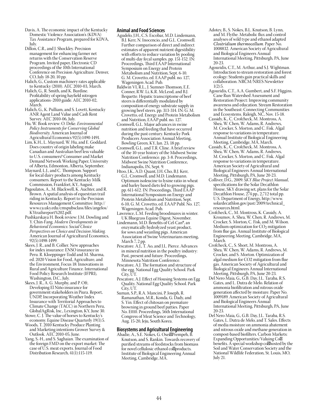- Davis, A. The economic impact of the Kentucky Domestic Violence Association's (KDVA) Tax Assistance Program, prepared for KDVA, July.
- Dillon, C.R., and J. Shockley. Precision management for enhancing farmer net returns with the Conservation Reserve Program. Invited paper, Electronic CD proceedings of the 10th International Conference on Precision Agriculture. Denver, CO, July 18-20, 10 pp.
- Halich, G., Custom machinery rates applicable to Kentucky (2010). AEC 2010-03, March.
- Halich, G., R. Smith, and K. Burdine. Profitability of spring hayfield nitrogen applications−2010 guide. AEC 2010-02, March.
- Halich, G., K. Pulliam, and S. Lovett, Kentucky ANR Agent Land Value and Cash Rent Survey. AEC 2010-06, July.
- Hu, W. Book review: O. Deke. *Environmental Policy Instruments for Conserving Global Biodiversity.* American Journal of Agricultural Economics 92(5):1490-1491.
- Lim, K.H., L. Maynard, W. Hu, and E. Goddard. Does country of origin labeling make Canadian and Australian beef less valuable to U.S. consumers? Consumer and Market Demand Network Working Paper, University of Alberta, Edmonton, Alberta, September.
- Maynard, L.J., and C. Thompson. Support for local dairy products among Kentucky consumers. Report to the Kentucky Milk Commission, Frankfort, KY, August.
- Pagoulatos, A., M. Blackwell, K. Auchter, and R. Brown. A spatial analysis of equestrian trail riding in Kentucky. Report to the Precision Resources Management Committee. http:// www.ca.uky.edu/cmspubsclass/files/angelos/ KYtrailsreport%202.pdf.
- Pushkarskaya H. Book review: J.M. Dowling and Y. Chin-Fang. *Modern Developments in Behavioral Economics: Social Choice Perspectives on Choice and Decision Making.*  American Journal of Agricultural Economics, 92(5):1498-1499.
- Skees, J. R., and B. Collier. New approaches for index insurance: ENSO insurance in Peru. R. Kloeppinger-Todd and M. Sharma, ed. 2020 Vision for Food, Agriculture, and the Environment, Focus 18: Innovations in Rural and Agriculture Finance. International Food Policy Research Institute (IFPRI), Washington, D.C., July.
- Skees, J. R., A. G. Murphy, and P. Oft. Developing El Niño insurance for government stakeholders in Piura. Report, UNDP, Incorporating Weather Index Insurance with Territorial Approaches to Climate Change (TACC) in Northern Peru, GlobalAgRisk, Inc., Lexington, KY, June 30.
- Stowe, C. J. The value of horses to Kentucky's economy. Equine Disease Quarterly 19(1):5.
- Woods, T. 2010 Kentucky Produce Planting and Marketing intentions Grower Survey & Outlook. AEC 2010-05, June.
- Yang, S.-H., and S. Saghaian. The examination of the foreign FMD on the export market: The case of U.S. meat exports. Journal of Food Distribution Research, 41(1):115-119.

### **Animal and Food Sciences**

- Agudelo, J.H., C.S. Escobar, M.D. Lindemann, B.J. Kerr, N. Inocencio, and G.L. Cromwell. Further comparison of direct and indirect estimates of apparent nutrient digestibility with efforts to reduce variation by pooling of multi-day fecal samples. pp. 151-152. IN: Proceedings, Third EAAP International Symposium on Energy and Protein Metabolism and Nutrition, Sept. 6-10. G. M. Crovetto, ed. EAAP publ. no. 127, Wageningen Acad. Pub.
- Baldwin VI, R.L., J. Sumner-Thomson, E.E. Conner, R.W. Li, K.R. McLeod, and B.J. Bequette. Hepatic transcriptome of beef steers is differentially modulated by composition of energy substrate supply in growing beef steers. pp. 313-314. IN: G. M. Crovetto, ed. Energy and Protein Metabolism and Nutrition, EAAP publ. no. 127.
- Cromwell, G.L. Major advances in swine nutrition and feeding that have occurred during the past century. Kentucky Pork Producers Association Annual Meeting, Bowling Green, KY, Jan. 23, 18 pp.
- Cromwell, G.L. and T.R. Cline. A brief review of the 10-year history of the Midwest Swine Nutrition Conference. pp. 3-8. Proceedings, Midwest Swine Nutrition Conference, Indianapolis, IN, Sept. 9.
- Htoo, J.K., A.D. Quant, J.H. Cho, B.J. Kerr, G.L. Cromwell, and M.D. Lindemann. Optimum isoleucine to lysine ratio in wheat and barley based diets fed to growing pigs. pp. 611-612. IN: Proceedings, Third EAAP International Symposium on Energy and Protein Metabolism and Nutrition, Sept. 6-10, G. M. Crovetto, ed. EAAP Publ. No. 127, Wageningen Acad. Pub.
- Lawrence, L.M. Feeding broodmares in winter. UK Bluegrass Equine Digest, November.
- Lindemann, M.D. Benefits of Cel-Can®, an enzymatically hydrolyzed yeast product, for sows and weanling pigs. American Association of Swine Veterinarians meeting, March 7, 2 pp.
- Pescatore. A.J., T. Ao, and J.L. Pierce. Advances in mineral nutrition in the poultry industry: Past, present and future. Proceedings, Minnesota Nutrition Conference.
- Pescatore, A.J. The formation and structure of the egg. National Egg Quality School. Park City, UT.
- Pescatore, A.J. Effect of Housing Systems on Egg Quality. National Egg Quality School. Park City, UT.
- Suman, S.P., R.A. Mancini, P. Joseph, R. Ramanathan, M.R., Konda, G. Dady, and S. Yin. Effect of chitosan on premature browning in ground beef patties. Paper No. E010. Proceedings, 56th International Congress of Meat Science and Technology, Aug. 15-20, Jeju, South Korea.

### **Biosystems and Agricultural Engineering**

Abadie, A., S.E. Nokes, G. Osei‐Prempeh, B. Knutson, and S. Rankin. Towards recovery of purified streams of feedstocks from biomass for novel cellulosic ethanol co‐products. Institute of Biological Engineering Annual Meeting, Cambridge, MA.

- Adotey, B., S. Nokes, B.L. Knutson, B. Lynn, and M. Flythe. Metabolic flux and control analyses of wild type and ethanol adapted *Clostridium thermocellum*. Paper No. 1008832. American Society of Agricultural and Biological Engineers Annual International Meeting, Pittsburgh, PA, June 20-23.
- Agouridis, C.T., M. Arthur, and S.J. Wightman. Introduction to stream restoration and forest ecology: Students gain practical skills and collaboration. NRCM/NRES Newsletter  $1(2):5.$
- Agouridis, C.T., A.A. Gumbert, and S.F. Higgins. Cane Run Watershed Assessment and Restoration Project: Improving community awareness and education. Stream Restoration in the Southeast: Connecting Communities and Ecosystems. Raleigh, NC, Nov. 15-18.
- Cassidy, K., C. Crofcheck, M. Montross, A. Shea, W. Chen, W. Adams, R. Andrews, M. Crocker, S. Morton, and C. Fisk. Algal response to variations in temperature. Annual Institute of Biological Engineering Meeting, Cambridge, MA, March.
- Cassidy, K., C. Crofcheck, M. Montross, A. Shea, W. Chen, W. Adams, R. Andrews, M. Crocker, S. Morton, and C. Fisk. Algal response to variations in temperature. American Society of Agricultural and Biological Engineers Annual International Meeting, Pittsburgh, PA, June 20-23.
- Colliver, D.G., 2009. *SKY Blue Project Manual*, specifications for the Solar Decathlon House, SKY drawing set, plans for the Solar Decathlon House, 274 pp., 2,712 total pp. U.S. Department of Energy, http://www. solardecathlon.gov/past/2009/technical\_ resources.html.
- Crofcheck, C., M. Montross, K. Cassidy, A. Kroumov, A. Shea, W. Chen, R. Andrews, M. Crocker, S. Morton, C. Fisk, and M. Wilson. Medium optimization for  $CO<sub>2</sub>$  mitigation from flue gas. Annual Institute of Biological Engineering Meeting, Cambridge, MA, March.
- Crofcheck, C., S. Short, M. Montross, A. Shea, W. Chen, W. Adams, R. Andrews, M. Crocker, and S. Morton. Optimization of algal medium for CO2 mitigation from flue gas. American Society of Agricultural and Biological Engineers Annual International Meeting, Pittsburgh, PA, June 20-23.
- Del Nero Maia, G., G.B. Day, J.L. Taraba, R.S. Gates, and L. Dutra de Melo. Relation of ammonia biofiltration and nitrous oxide generation affected by moisture. Paper No. 1009189. American Society of Agricultural and Biological Engineers Annual International Meeting, Pittsburgh, PA, June 20-23.
- Del Nero Maia, G., G.B. Day, J.L. Taraba, R.S. Gates, L. Dutra de Melo, and T. Sales. Effects of media moisture on ammonia abatement and nitrous oxide and methane generation in compost-based biofilters. Carbon Markets: Expanding Opportunities/Valuing Co benefits. A special workshop co hosted by the Soil and Water Conservation Society and the National Wildlife Federation, St. Louis, MO, July 21.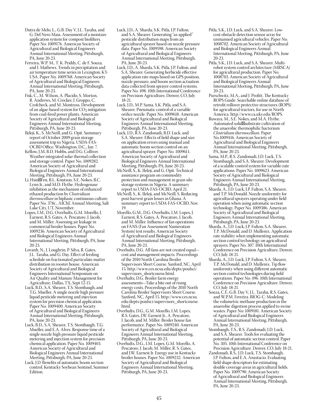- Dutra de Melo, L., G.B. Day V, J.L. Taraba, and G. Del Nero Maia. Assessment of a moisture application system for compost biofilters. Paper No: 1009176. American Society of Agricultural and Biological Engineers Annual International Meeting. Pittsburgh, PA, June 20-23.
- Ferreira, W.P. M., T. K. Priddy, C. de F. Souza, and J. Mathews. Trends in precipitation and air temperature time series in Lexington, KY-USA. Paper No. 1009768. American Society of Agricultural and Biological Engineers Annual International Meeting, Pittsburgh, PA, June 20-23.
- Fisk, C., M. Wilson, A. Placido, S. Morton, R. Andrews, M. Crocker, J. Groppo, C. Crofcheck, and M. Montross. Development of an algae-based system for  $CO<sub>2</sub>$  mitigation from coal-fired power plants. American Society of Agricultural and Biological Engineers Annual International Meeting, Pittsburgh, PA, June 20-23.
- Ileleji, K., S. McNeill, and G. Opit. Summary report of October 2009 grain storage assessment trip to Nigeria. USDA-FAS-OCBD Office, Washington, D.C., Jan. 7.
- Kellow, J.M, B.D. Hobbs, and D.G. Colliver. Weather integrated solar thermal collection and storage control. Paper No. 1009282. American Society of Agricultural and Biological Engineers Annual International Meeting, Pittsburgh, PA, June 20-23.
- Li, Hsin Fen, B.L. Knutson, S.E. Nokes, B.C. Lynn Jr., and M.D. Flythe. Hydrogenase inhibition as the mechanism of enhanced ethanol production by *Clostridium thermocellum* in biphasic continuous culture. Paper No. 378c., AIChE Annual Meeting, Salt Lake City, UT, November.
- Lopes, I.M., D.G. Overhults, G.M. Morello, J. Earnest, R.S. Gates, A. Pescatore, J. Jacob, and M. Miller. Assessing air leakage in commercial broiler houses. Paper No. 1009236. American Society of Agricultural and Biological Engineers Annual International Meeting, Pittsburgh, PA, June 20-23.
- Lovanh, N., J. Loughrin, P. Silva, R. Gates, J.L. Taraba, and G. Day. Effect of feeding schedule on fractionated particulate matter distribution in rooster house. American Society of Agricultural and Biological Engineers International Symposium on Air Quality and Manure Management for Agriculture, Dallas, TX, Sept 12-15.
- Luck, B.D., S.A. Shearer, T.S. Stombaugh, and T.G. Mueller. A single nozzle high pressure liquid pesticide metering and injection system for precision chemical application. Paper No. 1009400. American Society of Agricultural and Biological Engineers Annual International Meeting, Pittsburgh, PA, June 20-23.
- Luck, B.D., S.A. Shearer, T.S. Stombaugh, T.G. Mueller, and E.A. Alves. Response time of a single nozzle high pressure liquid pesticide metering and injection system for precision chemical application. Paper No. 1009403. American Society of Agricultural and Biological Engineers Annual International Meeting, Pittsburgh, PA, June 20-23.
- Luck, J.D. Benefits of automatic boom section control. Kentucky Soybean Sentinel, Summer Edition.
- Luck, J.D., A. Sharda, S.K. Pitla, J.P. Fulton, and S.A. Shearer. Generating "as-applied" pesticide distribution maps from an agricultural sprayer based on nozzle pressure data. Paper No. 1009598. American Society of Agricultural and Biological Engineers Annual International Meeting, Pittsburgh, PA, June 20-23.
- Luck, J.D., A. Sharda, S.K. Pitla, J.P. Fulton, and S.A. Shearer. Generating herbicide effective application rate maps based on GPS position, nozzle pressure, and boom section actuation data collected from sprayer control systems. Paper No. 498. 10th International Conference on Precision Agriculture, Denver, CO, July 18-21.
- Luck, J.D., M.P. Sama, S.K. Pitla, and S.A. Shearer. Pneumatic control of a variable orifice nozzle. Paper No. 1009618. American Society of Agricultural and Biological Engineers Annual International Meeting, Pittsburgh, PA, June 20-23.
- Luck, J.D., R.S. Zandonadi, B.D. Luck, and S.A. Shearer. Effects of field shape and size on application errors using manual and automatic boom section control on an agricultural sprayer. Paper No. 1009611. American Society of Agricultural and Biological Engineers Annual International Meeting, Pittsburgh, PA, June 20-23.
- McNeill, S., K. Ileleji, and G. Opit. Technical assistance program on commodity protection and management in grain silo storage systems in Nigeria. A summary report to USDA-FAS-OCBD, April 21.
- McNeill, S., K. Ileleji, and McNeill, S. Reducing post-harvest grain losses in Ghana. A summary report to USDA-FAS-OCBD, Nov. 19.
- Morello, G.M., D.G. Overhults, I.M. Lopes, J. Earnest, R.S. Gates, A. Pescatore, J. Jacob, and M. Miller. Influence of fan operations on FANS (Fan Assessment Numeration System) test results. American Society of Agricultural and Biological Engineers Annual International Meeting, Pittsburgh, PA, June 20-23.
- Overhults, D.G. All fans are not created equal cost and management impacts. Proceedings of the 2010 North Carolina Broiler Supervisors Short Course. Sanford, NC, April 15. http://www.ces.ncsu.edu/depts/poulsci/ supervisors shortcourse.html.
- Overhults, D.G. Broiler farm energy assessments—Take a bite out of rising energy costs. Proceedings of the 2010 North Carolina Broiler Supervisors Short Course. Sanford, NC, April 15. http://www.ces.ncsu. edu/depts/poulsci/supervisors\_shortcourse. html.
- Overhults, D.G., G.M. Morello, I.M. Lopes, R.S. Gates, J.W. Earnest Jr., A. Pescatore, J. Jacob, and M. Miller. Broiler house fan performance. Paper No. 1009240. American Society of Agricultural and Biological Engineers Annual International Meeting, Pittsburgh, PA, June 20-23.
- Overhults, D.G., I.M. Lopes, G.M. Morello, A. Pescatore, J. Jacob, M. Miller, R. S. Gates, and J.W. Earnest Jr. Energy use in Kentucky broiler houses. Paper No. 1009232. American Society of Agricultural and Biological Engineers Annual International Meeting, Pittsburgh, PA, June 20-23.
- Pitla, S.K., J.D. Luck, and S.A. Shearer. Lowcost obstacle detection sensor array for unmanned agricultural vehicles. Paper No. 1008702. American Society of Agricultural and Biological Engineers Annual International Meeting, Pittsburgh, PA, June 20-23.
- Pitla, S.K., J.D. Luck, and S.A. Shearer. Multirobot system control architecture (MRSCA) for agricultural production. Paper No. 1008703. American Society of Agricultural and Biological Engineers Annual International Meeting, Pittsburgh, PA, June 20-23.
- Purschwitz, M.A., and J. Profitt. The Kentucky ROPS Guide. Searchable online database of retrofit rollover protective structures (ROPS) for agricultural tractors, for use in North America. http://www.ca.uky.edu/ROPS.
- Ruwaya, M., S.E. Nokes, and M.A. Flythe. Automated solid‐substrate cultivation of the anaerobic thermophilic bacterium *Clostridium thermocellum.* Paper No.1009416. American Society of Agricultural and Biological Engineers Annual International Meeting, Pittsburgh, PA, June 20-23.
- Sama, M.P., R.S. Zandonadi, J.D. Luck, T.S. Stombaugh, and S.A. Shearer. Development of a scalable control system for variable-rate applications. Paper No. 1009623. American Society of Agricultural and Biological Engineers Annual International Meeting, Pittsburgh, PA, June 20-23.
- Sharda, A., J.D. Luck, J.P. Fulton, S.A. Shearer, and T.P. McDonald. Nozzle uniformity for agricultural sprayers operating under field operation when using automatic section technology. Paper No. 1009386. American Society of Agricultural and Biological Engineers Annual International Meeting, Pittsburgh, PA, June 20-23.
- Sharda, A., J.D. Luck, J.P. Fulton, S.A. Shearer, T.P. McDonald, and D. Mullenix. Application rate stability when implementing automatic section control technology on agricultural sprayers. Paper No. 307. 10th International Conference on Precision Agriculture, Denver, CO, July 18-21.
- Sharda, A., J.D. Luck, J.P. Fulton, S.A. Shearer, T.P. McDonald, and D. Mullenix. Tip flow uniformity when using different automatic section control technologies during field operations. Paper No. 496. 10th International Conference on Precision Agriculture. Denver, CO, July 18-21.
- Souza, C.F., G.B. Day V, J.L. Taraba, R.S. Gates, and W.P.M. Ferreira. BIOG-C: Modeling the volumetric methane production in the anaerobic digestion process applied to swine wastes. Paper No: 1009181. American Society of Agricultural and Biological Engineers Annual International Meeting, Pittsburgh, PA, June 20-23.
- Stombaugh, T.S., R.S. Zandonadi, J.D. Luck, and S.A. Shearer. Tools for evaluating the potential of automatic section control. Paper No. 305. 10th International Conference on Precision Agriculture. Denver, CO, July 18-21.
- Zandonadi, R.S., J.D. Luck, T.S. Stombaugh, J.P. Fulton, and E.A. Anastacio. Evaluating field shape descriptors for estimating double coverage areas in agricultural fields. Paper No. 1009790. American Society of Agricultural and Biological Engineers Annual International Meeting, Pittsburgh, PA, June 20-23.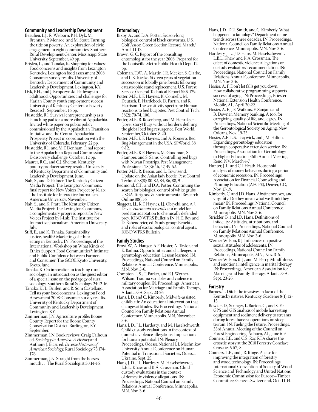### **Community and Leadership Development**

- Beaulieu, L.J., R. Welborn, P.H. Dyk, M. Brennan, P. Monroe, and M. Stout. Turning the tide on poverty: An exploration of civic engagement in eight communities. Southern Rural Development Center, Mississippi State University, September, 49 pp.
- Brislen, L., and Tanaka, K. Shopping for values: Food concerns and insights from Lexington Kentucky. Lexington food assessment 2008: Consumer survey results. University of Kentucky Department of Community and Leadership Development, Lexington, KY.
- Dyk, P.H., and J. Kropczynski. Pathways to adulthood: Opportunities and challenges for Harlan County youth employment success. University of Kentucky Center for Poverty Research. September, 16 pp.
- Hustedde, R.J. Survival entrepreneurship as a launching pad for a more vibrant Appalachia. Invited white paper on public policy commissioned by the Appalachian Transition Initiative and the Central Appalachia Prosperity Project in coordination with the University of Colorado. February, 22 pp.
- Hustedde, R.J., and M.F. Denham. Final report to the Appalachian Regional Commission: E-discovery challenge. October, 12 pp.
- Maurer, R.C., and C.J. Shelton. Kentucky poultry producer survey results. University of Kentucky Department of Community and Leadership Development, June.
- Nah, S., and D. Palmer. The Kentucky Citizen Media Project: The Lexington Commons, final report for New Voices Project by J-Lab: The Institute for Interactive Journalism. American University, November.
- Nah, S., and K. Pratt. The Kentucky Citizen Media Project: The Lexington Commons, a complementary progress report for New Voices Project by J-Lab: The Institute for Interactive Journalism. American University, July.
- Stiff, E., and K. Tanaka. Sustainability, justice, health? Marketing of ethical eating in Kentucky. IN: Proceedings of the International Workshop on What Kinds of Ethics Support Food Communities?: Intimate and Public Confidence between Farmers and Consumer. The GCOE Kyoto University, Kyoto, June.
- Tanaka, K. On innovation in teaching rural sociology, an introduction as the guest editor of a special issue on the pedagogy of rural sociology. Southern Rural Sociology 24:12-16.
- Tanaka, K., L. Brislen, and R. Som Castellano. Tell us your food concerns, Lexington Food Assessment 2008: Consumer survey results. University of Kentucky Department of Community and Leadership Development, Lexington, KY.
- Zimmerman, J.N. Agriculture profile: Boone County. Report for the Boone County Conservation District, Burlington, KY, September.
- Zimmerman, J.N. Book reviews: Craig Calhoun ed. *Sociology in America: A History* and Anthony J. Blasi. ed. *Diverse Histories of American Sociology.* Rural Sociology 75:174- 176.
- Zimmerman, J.N. Straight from the horse's mouth . . . The Rural Sociologist 30:14-16.

### **Entomology**

- Bixby, A., and D.A. Potter. Season-long biological control of black cutworms. U.S. Golf Assoc. Green Section Record. March/ April. 11-13.
- Brown, G. C. Report of the consulting entomologist for the year 2008. Prepared for the Louisville Metro Public Health Dept. 12 pp.
- Coleman, T.W., A. Martin, J.R. Meeker, S. Clarke, and L.K. Rieske. Sixteen years of vegetation succession in loblolly pine forests following catastrophic stand replacement. U.S. Forest Service General Technical Report SRS-129.
- Potter, M.F., K.F. Haynes, K. Connelly, M. Deutsch, E. Hardebeck, D. Partin, and R. Harrison. The sensitivity spectrum: Human reactions to bed bug bites. Pest Control Tech. 38(2): 70-74, 100.
- Potter, M.F., B. Rosenberg, and M. Henriksen. (cover story) Bugs without borders: defining the global bed bug resurgence. Pest World. September/October: 8-20.
- Potter, M.F., K.F. Haynes, and A. Romero. Bed Bug Management in the USA. SPWorld. 38: 9-12.
- Potter, M.F., K.F. Haynes, M. Goodman, S. Stamper, and S. Sams. Controlling bed bugs with Nuvan Prostrips. Pest Management Professional. 78(3): 46, 47, 49-52.
- Potter, M.F., R. Bessin, and L. Townsend. Update on the Asian lady beetle. Pest Control Technol. 38(8): 80-82, 84, 86, 88, 91.
- Redmond, C.T., and D.A. Potter. Continuing the search for biological control of white grubs. USGA Turfgrass & Environmental Research Online 8(8):1-8.
- Sloggett, J.J., K.F. Haynes, J.J. Obrycki, and A.J. Davis. *Harmonia axyridis* as a model for predator adaptation to chemically defended prey. IOBC/WPRS Bulletin IN: H.E. Roy and D. Babendreier, ed. Study group: Benefits and risks of exotic biological control agents. IOBC/WPRS Bulletin.

#### **Family Studies**

- Brosi, W., A. Hauger, A.F. Hosier, A. Taylor, and E. Radina. Opportunities and challenges in gerontology education: Lesson learned. IN: Proceedings, National Council on Family Relations Annual Conference, Minneapolis, MN, Nov. 3-6.
- Compton, L.S., T. Parker, and R.J. Werner-Wilson. Trauma variables and violence in military couples. IN: Proceedings, American Association for Marriage and Family Therapy, Atlanta, GA, Sept. 23-26.
- Hans, J. D. and C. Kimberly. Midwife-assisted childbirth: An educational intervention that changes attitudes. IN: Proceedings, National Council on Family Relations Annual Conference, Minneapolis, MN, November 3-6.
- Hans, J. D., J.L. Hardesty, and M. Haselschwerdt. Child custody evaluations in the context of domestic violence allegations: Implications for human potential. IN: Plenary Proceedings, Odessa National I. I. Mechnikov University Annual Conference on Human Potential in Transitional Societies, Odessa, Ukraine, Sept. 25.
- Hans, J. D., J.L. Hardesty, M. Haselschwerdt, L.B.L. Khaw, and K.A. Crossman. Child custody evaluations in the context of domestic violence allegations. IN: Proceedings, National Council on Family Relations Annual Conference, Minneapolis, MN, Nov. 3-6.
- Hans, J. D., D.R. Smith, and C. Kimberly. What happened to famology? Department name trends across three decades. IN: Proceedings, National Council on Family Relations Annual Conference. Minneapolis, MN, Nov. 3-6.
- Hardesty, J. L., J.D. Hans, M. Haselschwerdt, L.B.L. Khaw, and K.A. Crossman. The effect of domestic violence allegations on custody evaluators' recommendation. IN: Proceedings, National Council on Family Relations Annual Conference. Minneapolis, MN, Nov. 3-6.
- Hosier, A. F. Don't let falls get you down. How collaborative programming supports successful aging. IN: Proceedings, Priester National Extension Health Conference. Mobile, AL, April 20-22.
- Hosier, A. F., J.F. Watkins, F. Zanjani, and B. Downer. Memory banking: A tool for caregiving, quality of life, and legacy. IN: Proceedings, National Scientific Meeting of the Gerontological Society on Aging, New Orleans, Nov. 19-23.
- Hosier, A.F., L.S. Traywick, and J.M. Hilton. Expanding gerontology education through cooperative extension service. IN: Proceedings, Association for Gerontology in Higher Education 36th Annual Meeting, Reno, NV, March 4-7.
- Hunter, J. L. and C.J. Heath. Household analysis of money behaviors during a period of economic recession. IN: Proceedings, Association for Financial Counseling and Planning Education (AFCPE), Denver, CO, Nov. 17-19.
- Kimberly, C. and J.D. Hans. Abstinence, sex, and virginity: Do they mean what we think they mean? IN: Proceedings, National Council on Family Relations Annual Conference. Minneapolis, MN, Nov. 3-6.
- Strickler, B. and J.D. Hans. Definitions of infidelity: Attitudes, attributions, and behaviors. IN: Proceedings, National Council on Family Relations Annual Conference. Minneapolis, MN, Nov. 3-6.
- Werner-Wilson, R.J. Influences on positive sexual attitudes of adolescents. IN: Proceedings, National Council on Family Relations, Minneapolis, MN., Nov. 3-6.
- Werner-Wilson, R. J., and M. Perry. Mindfulness and emotional intelligence in marital therapy. IN: Proceedings, American Association for Marriage and Family Therapy. Atlanta, GA, Sept. 23-26.

### **Forestry**

- Barnes, T. Ditch the invasives in favor of the Kentucky natives. Kentucky Gardener 8(1):12- 15.
- Bowker, D., Stringer, J., Barton, C., and S. Fei. GPS and GIS analysis of mobile harvesting equipment and sediment delivery to streams during forest harvest operations on steep terrain. IN: Fueling the Future, Proceedings, 33rd Annual Meeting of the Council on Forest Engineering, Auburn, AL, June 6-9.
- Conners, T.E., and C.S. Ray. RTA shares the crosstie story at the 2010 Forestry Conclave. Crossties 91(2):8.
- Conners, T.E., and J.R. Ringe. A case for improving the integration of forestry and wood technology. IN: Proceedings, International Convention of Society of Wood Science and Technology and United Nations Economic Commission for Europe—Timber Committee, Geneva, Switzerland, Oct. 11-14.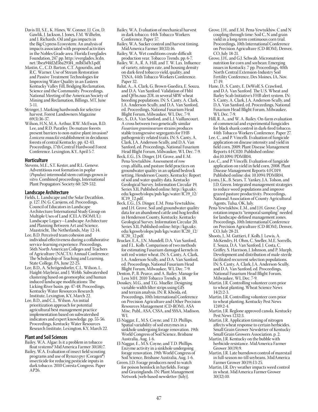- Davis III, S.E., K. Hines, W. Conner, J.J. Cox, D. Gawlik, J. Jackson, J. Jones, F.M. Wilhelm, and J. Richards. Oil and gas impacts in the Big Cypress Ecosystem: An analysis of impacts associated with proposed activities in the Nobles Grade area. Florida Everglades Foundation, 247 pp. http://everglades.3cdn. net/3bea94fd2d5ba293f4\_mlbl3sfh3.pdf.
- Mastin, C., C.D. Barton, C.T. Agouridis, and R.C. Warner. Use of Stream Restoration and Passive Treatment Technologies for Improving Water Quality in an Eastern Kentucky Valley Fill, Bridging Reclamation, Science and the Community. Proceedings, National Meeting of the American Society of Mining and Reclamation, Billings, MT, June 5-11.
- Stringer, J. Marking hardwoods for selective harvest. Forest Landowners Magazine 69(3):36-37.
- Wilson, H.N, M.A. Arthur, R.W. McEwan, B.D. Lee, and R.D. Paratley. Do mature forests present barriers to non-native plant invasion? *Lonicera maackii* establishment in deciduous forests of central Kentucky. pp. 42-43. Proceedings, 17th Central Hardwood Forest Conference. Lexington, KY, April 5-7.

### **Horticulture**

Stevens, M.E., S.T. Kester, and R.L. Geneve. Adventitious root formation in poplar (*Populus*) intermodal stem cuttings grown *in vitro*. Combined proceedings, International Plant Propagators' Society 60: 529-532.

### **Landscape Architecture**

- Fields, L. Landscape and the Solar Decathlon. p. 127. IN: G. Carsjens, ed. Proceedings, Council of Educators in Landscape Architecture/International Study Group on Multiple Uses of Land (CELA/ISOMUL): Landscape Legacy—Landscape Architecture and Planning Between Art and Science, Maastricht, The Netherlands, May 12-14.
- Lee, B.D. Perceived team cohesion and individual effectiveness during a collaborative service-learning experience. Proceedings, 56th North American Colleges and Teachers of Agriculture (NACTA) Annual Conference: The Scholarship of Teaching and Learning. State College, PA, June 22-25.
- Lee, B.D., A. Schrögendorfer, C.L. Wilson, L. Haight-Maybriar, and J. Webb. Subwatershed clustering based on geomorphic and human induced landscape modifications: The Licking River basin. pp. 47-48. Proceedings, Kentucky Water Resources Research Institute, Lexington, KY, March 22.
- Lee, B.D., and C.L. Wilson. An initial prioritization approach for potential agricultural best management practice implementation based on subwatershed indicators and expert knowledge. pp. 55-56. Proceedings, Kentucky Water Resources Research Institute, Lexington, KY, March 22.

### **Plant and Soil Sciences**

- Bailey, W.A. Algae: Is it a problem in tobacco float systems? MidAmerica Farmer 30(18):7.
- Bailey, W.A. Evaluation of insect field scouting programs and use of Rynaxypyr (Coragen®) insecticide for reducing pesticide inputs in dark tobacco. 2010 Coresta Congress. Paper AP26.
- Bailey, W.A. Evaluation of mechanical harvest in dark tobacco. 44th Tobacco Workers Conference. Paper 57.
- Bailey, W.A. Sucker control and harvest timing. MidAmerica Farmer 30(33):16.
- Bailey, W.A. Wet conditions create difficult production year. Tobacco Trends. pp. 6-7.
- Bailey, W. A., R. A. Hill, and T. W. Lax. Influence of variety, nitrogen rate, and housing density on dark-fired tobacco yield, quality, and TSNA. 44th Tobacco Workers Conference. Paper 32.
- Balut, A., A. Clark, G. Brown-Guedira, E. Souza, and D.A. Van Sanford. Validation of Fhb1 and QFhs.nau-2DL in several SRW wheat breeding populations. IN: S. Canty, A. Clark, J.A. Anderson-Scully, and D.A. Van Sanford, ed. Proceedings, National Fusarium Head Blight Forum, Milwaukee, WI, Dec. 7-9.
- Bec, S., D.A. Van Sanford, and L.J. Vaillancourt. A cross between two genetically similar *Fusarium graminearum* strains produces stable transgressive segregants for FHB pathogenicity related traits. IN: S. Canty, A. Clark, J.A. Anderson-Scully, and D.A. Van Sanford, ed. Proceedings, National Fusarium Head Blight Forum, Milwaukee, WI, Dec. 7-9.
- Beck, E.G., J.S. Dinger, J.H. Grove, and E.M. Pena-Yewtukhiw. Assessment of row crop, alfalfa, and pasture field practices on groundwater quality in an upland bedrock setting, Henderson County, Kentucky: Report of soil and water quality data. Kentucky Geological Survey. Information Circular 19, Series XII, Published online: http://kgs.uky. edu/kgsweb/olops/pub/kgs/water/IC19\_12/ IC19\_12.pdf.
- Beck, E.G., J.S. Dinger, E.M. Pena-Yewtukhiw, and J.H. Grove. Soil and groundwater quality data for an abandoned cattle and hog feedlot in Henderson County, Kentucky. Kentucky Geological Survey. Information Circular 20, Series XII, Published online: http://kgs.uky. edu/kgsweb/olops/pub/kgs/water/IC20\_12/ IC20\_12.pdf.
- Brucker, E.A., J.N. Mundell, D.A. Van Sanford, and F.L. Kolb. Comparison of two methods for estimating Fusarium damaged kernels in soft red winter wheat. IN: S. Canty, A. Clark, J.A. Anderson-Scully, and D.A. Van Sanford, ed. Proceedings, National Fusarium Head Blight Forum, Milwaukee, WI, Dec. 7-9.
- Denton, P., B. Pearce, and A. Bailey. Manage for Less MH. 2010 Tobacco Trends. p. 18.
- Dosskey, M.G., and T.G. Mueller. Designing variable-width filter strips using GIS and terrain analysis. IN: R. Khosla, ed. Proceedings, 10th International Conference on Precision Agriculture and Other Precision Resources Management (CD-ROM), ASA Misc. Publ., ASA, CSSA, and SSSA, Madison, WI.
- El-Naggar, E., M.S. Coyne, and T.D. Phillips. Spatial variability of soil enzymes in a sinkhole undergoing forage renovation. 19th World Congress of Soil Science, Brisbane Australia, Aug. 1-6.
- El-Naggar, E., M.S. Coyne, and T.D. Phillips. Enzyme activity in a sinkhole undergoing forage renovation. 19th World Congress of Soil Science, Brisbane Australia, Aug. 1-6.
- Green, J.D. Forage producers need to watch for poison hemlock in hayfields. Forage and Grazinglands. IN: Plant Management Network [web-based newsletter (July)].
- Grove, J.H., and E.M. Pena-Yewtukhiw. C and N coupling through time: Soil C, N and grain yield in a long-term continuous corn trial. Proceedings, 10th International Conference on Precision Agriculture (CD-ROM), Denver, CO, July 18-21.
- Grove, J.H., and G.J. Schwab. Micronutrient nutrition for corn and soybean: Emerging issues in Kentucky. 7 pp. Proceedings, 40th North Central Extension-Industry Soil Fertility Conference, Des Moines, IA, Nov. 17-19.
- Hane, D., S. Canty, E. DeWolf, S. Crawford, and D.A. Van Sanford. The U.S. Wheat and Barley Scab Initiative's FHB alert system. IN: S. Canty, A. Clark, J.A. Anderson-Scully, and D.A. Van Sanford, ed. Proceedings, National Fusarium Head Blight Forum, Milwaukee, WI, Dec. 7-9.
- Hill, R. A., and W. A. Bailey. On-farm evaluation of commercial and experimental fungicides for black shank control in dark-fired tobacco. 44th Tobacco Workers Conference. Paper 27.
- Lee, C., and P. Vincelli. Evaluation of fungicide application on disease intensity and yield in field corn, 2009. Plant Disease Management Reports 4:FC020. Published online: doi:10.1094/PDMR04.
- Lee, C., and P. Vincelli. Evaluation of fungicide application on yield in field corn, 2008. Plant Disease Management Reports 4:FC019. Published online: doi: 10.1094/PDMR04.
- Lyons, J.K., B. Sears, T. Yankey, J.A. Tolson, and J.D. Green. Integrated management strategies to reduce weed populations and improve grazed pasture productivity. Proceedings, National Association of County Agricultural Agents, Tulsa, OK, July.
- Pena-Yewtukhiw, E.M., and J.H. Grove. Crop rotation impacts "temporal sampling" needed for landscape-defined management zones. Proceedings, 10th International Conference on Precision Agriculture (CD-ROM), Denver, CO, July 28-21.
- Shoots, J., M. Guttieri, F. Kolb, J. Lewis, A. McKendry, H. Ohm, C. Sneller, M.E. Sorrells, E. Souza, D.A. Van Sanford, J. Costa, C. Griffey, S. Harrison, J. Johnson, and P. Murph. Development and distribution of male-sterile facilitated recurrent selection populations. IN: S. Canty, A. Clark, J.A. Anderson-Scully, and D.A. Van Sanford, ed. Proceedings, National Fusarium Head Blight Forum, Milwaukee, WI, Dec. 7-9.
- Martin, J.R. Controlling volunteer corn prior to wheat planting. Wheat Science News 14(2):2-3.
- Martin, J.R. Controlling volunteer corn prior to wheat planting. Kentucky Pest News 1249:2-4.
- Martin, J.R. Reglone approved canola. Kentucky Pest News 1232:3.
- Martin, J.R. Application timing of nitrogen affects wheat response to certain herbicides. Small Grain Grower Newsletter of Kentucky Small Grain Growers Association. p. 2.
- Martin, J.R. Kentucky on the bubble with herbicide resistance. MidAmerica Farmer Grower 30(19):9.
- Martin, J.R. Late burndown control of marestail in full-season no-till soybeans. MidAmerica Farmer Grower 30(19):13-25.
- Martin, J.R. Dry weather impacts weed control in wheat. MidAmerica Farmer Grower 30(32):10.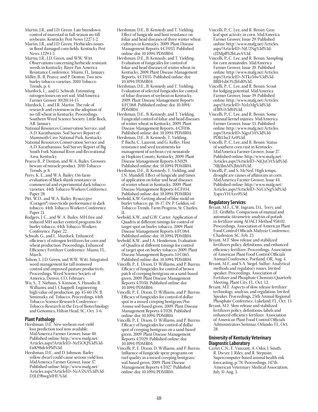- Martin, J.R., and J.D. Green. Late burndown control of marestail in full-season no-till soybeans. Kentucky Pest News 1227:1-2.
- Martin, J.R., and J.D. Green. Herbicides issues in flood damaged corn fields. Kentucky Pest News 1229:1-2.
- Martin, J.R., J.D. Green, and W.W. Witt. Observations concerning herbicide resistant weeds in Kentucky. Bayer Pan America Resistance Conference. Miami, FL, January.
- Miller, B., B. Pearce, and P. Denton. Two new burley tobacco varieties. 2010 Tobacco Trends. p. 4.
- Murdock, L., and G. Schwab. Estimating nitrogen losses on wet soil. MidAmerica Farmer Grower 30(20):14-15.
- Murdock, L. and J.R. Martin. The role of research and extension in the adoption of no-till wheat in Kentucky. Proceedings, Southern Weed Science Society. Little Rock, AR. January.
- National Resources Conservation Service, and A.D. Karathanasis. Soil Survey Report of Mammoth Cave National Park, Kentucky.
- National Resources Conservation Service and A.D. Karathanasis. Soil Survey Report of Big South Fork National River and Recreational Area, Kentucky.
- Pearce B., P. Denton, and W.A. Bailey. Growers beware of miracle product. 2010 Tobacco Trends. p. 8.
- Perry, K. E., and W.A. Bailey. On-farm evaluation of black shank resistance in commercial and experimental dark tobacco varieties. 44th Tobacco Workers Conference. Paper 28.
- Pitt, W.D., and W.A. Bailey. Rynaxypyr (Coragen®) insecticide performance in dark tobacco. 44th Tobacco Workers Conference. Paper 21.
- Rodgers, J. C., and W. A. Bailey. MH-free and reduced MH sucker control programs for burley tobacco. 44th Tobacco Workers Conference. Paper 22.
- Schwab, G., and L. Murdock. Enhanced efficiency of nitrogen fertilizers for corn and wheat production. Proceedings, Enhanced Efficiency Fertilizer Conference. Miami, FL, March.
- Tolson, J., J.D. Green, and W.W. Witt. Integrated weed management for tall ironweed control and improved pasture productivity. Proceedings, Weed Science Society of America, Denver, CO, February.
- Wu, S., T. Niehaus, S. Kinison, S. Husodo, R. Williams, and J. Chappell. Engineering high value oil production. pp. 45-60. IN: B. Siminszky, ed. Tobacco. Proceedings, 64th Tobacco Science Research Conference– Tobacco Research in the Era of Biotechnology and Genomics, Hilton Head, SC, Oct. 3-6.

### **Plant Pathology**

- Hershman, D.E. New soybean rust yield loss prediction tool now available. MidAmerica Farmer Grower, Issue 40. Published online: http://www.mafg.net/ Articles.aspx?ArticleID=NzI5OQ%3d%3d-EuK98dcfrPM%3d.
- Hershman, D.E., and D. Johnson. Barley yellow dwarf could cause serious yield loss. MidAmerica Farmer Grower, Issue 37. Published online: http://www.mafg.net/ Articles.aspx?ArticleID=NzA5NA%3d%3d-D3LE9bwgMHU%3d.
- Hershman, D.E., B. Kennedy and T. Yielding. Effect of fungicide and host resistance on foliar and head diseases of three winter wheat cultivars in Kentucky, 2009. Plant Disease Management Reports 4:CF033. Published online: doi: 10.1094/PDMR04.
- Hershman, D.E., B. Kennedy, and T. Yielding. Evaluation of fungicides for control of foliar and head diseases of winter wheat in Kentucky, 2009. Plant Disease Management Reports, 4:CF035. Published online: doi: 10.1094/PDMR04.
- Hershman, D.E., B. Kennedy and T. Yielding. Evaluation of selected fungicides for control of foliar diseases of soybean in Kentucky, 2009. Plant Disease Management Reports 4:FC068. Published online: doi: 10.1094/ PDMR04.
- Hershman, D.E., B. Kennedy, and T. Yielding. Fungicidal control of foliar and head diseases of winter wheat in Kentucky, 2009. Plant Disease Management Reports, 4:CF036. Published online: doi: 10.1094/PDMR04.
- Hershman, D.E., B. Kennedy, T. Yielding, P. Bachi, C. Laurent, and G. Kelley. Host resistance and seed treatments for management of soybean cyst nematode in Hopkins County, Kentucky, 2009. Plant Disease Management Reports 4:N029. Published online: doi: 10.1094/PDMR04.
- Hershman, D.E., B. Kennedy, T. Yielding, and J.N. Mundell. Effect of fungicide and times of application on foliar and head diseases of winter wheat in Kentucky, 2009. Plant Disease Management Reports 4:CF034. Published online: doi: 10.1094/PDMR04.
- Seebold, K.W. Getting ahead of blue mold on burley tobacco. pp. 16-17. IN: P. Golden, ed. Tobacco Trends. Farm Progress, St. Charles, IL.
- Seebold, K.W., and G.W. Carter. Application of Quadris at different timings for control of target spot on burley tobacco, 2009. Plant Disease Management Reports 4:FC064. Published online: doi: 10.1094/PDMR04.
- Seebold, K.W., and J.A. Henderson. Evaluation of Quadris at different timings for control of target spot on burley tobacco, 2009. Plant Disease Management Reports 3:FC065. Published online: doi: 10.1094/PDMR04.
- Vincelli, P., E. Dixon, D. Williams, and P. Burrus. Efficacy of fungicides for control of brown patch of creeping bentgrass on a sand-based green, 2009. Plant Disease Management Reports 4:T030. Published online: doi: 10.1094/PDMR04.
- Vincelli, P., E. Dixon, D. Williams, and P. Burrus. Efficacy of fungicides for control of dollar spot in a mixed creeping bentgrass/*Poa Annua* soil-based green, 2009. Plant Disease Management Reports 4:T028. Published online: doi: 10.1094/PDMR04.
- Vincelli, P., E. Dixon, D. Williams, and P. Burrus. Efficacy of fungicides for control of dollar spot of creeping bentgrass on a sand-based green, 2009. Plant Disease Management Reports 4:T029. Published online: doi: 10.1094/PDMR04.
- Vincelli, P., E. Dixon, D. Williams, and P. Burrus. Influence of fungicide spray programs on turf quality in a mixed creeping bentgrass/ soil-based green, 2009. Plant Disease Management Reports 4:T027. Published online: doi: 10.1094/PDMR04.
- Vincelli, P., C. Lee, and R. Bessin. Gray leaf spot activity in corn. MidAmerica Farmer Grower, Issue 29. Published online: http://www.mafg.net/Articles. aspx?ArticleID=NjU2Ng%3d%3dcJ2MpB%2bLavA%3d.
- Vincelli, P., C. Lee, and R. Bessin. Sampling for corn nematodes. MidAmerica Farmer Grower, Issue 20. Published online: http://www.mafg.net/Articles. aspx?ArticleID=NTkzMw%3d%3d-BBJHxbO%2bYd0%3d.
- Vincelli, P., C. Lee, and R. Bessin. Scout for lodging potential. MidAmerica Farmer Grower, Issue 39. Published online: http://www.mafg.net/Articles. aspx?ArticleID=NzIzMg%3d%3diElBViVlrB4%3d.
- Vincelli, P., C. Lee, and R. Bessin. Some unusual kernel injuries. MidAmerica Farmer Grower, Issue 33. Published online: http://www.mafg.net/Articles. aspx?ArticleID=NjgxOA%3d%3d-PDItLbuTAr0%3d.
- Vincelli, P., C. Lee, and R. Bessin. Status of southern corn rust in Kentucky. MidAmerica Farmer Grower, Issue 27. Published online: http://www.mafg.net/ Articles.aspx?ArticleID=NjQxOA%3d%3d-70Jj3JmM%2bnM%3d.
- Vincelli, P., and S. McNeil. High temps, drought are causes of aflatoxins in corn. MidAmerica Farmer Grower, Issue 44. Published online: http://www.mafg.net/ Articles.aspx?ArticleID=NzUzNg%3d%3d-XspxvYHAzv0%3d.

### **Regulatory Services**

- Bryant, M.F., C.W. Ingram, D.L. Terry, and J.E. Griffiths. Comparison of manual and automatic titrametric analysis of potash in fertilizer using AOACI Method 958.02. Proceedings, Association of American Plant Food Control Officials Midyear Conference, Charleston, SC, Feb. 23.
- Bryant, M.F. Slow release and stabilized fertilizers policy, definitions, and enhanced efficiency fertilizer. Proceedings, Association of American Plant Food Control Officials Annual Conference, Portland, OR, Aug. 4.
- Bryant, M.F., and S.A. Siegel. Sulfur: Analytical methods and regulatory issues. Invited speaker, Proceedings, Association of Fertilizer and Phosphate Chemists Quarterly Meeting, Plant City, FL, Oct. 12.
- Bryant, M.F. Aspects of slow release fertilizer: technology, analysis, and regulation. Invited Speaker, Proceedings, 25th Annual Regional Phosphate Conference, Lakeland, FL, Oct. 13.
- Bryant, M.F. Slow release and stabilized fertilizers policy, definitions, labels and enhanced efficiency fertilizer. Association of American Plant Food Control Officials Administrators Seminar, Orlando, FL, Oct.  $28.$

### **University of Kentucky Veterinary Diagnostic Laboratory**

Carter C.N., E. Vanzant, A. Odoi, J. Smith, R. Dwyer, J. Riley, and R. Stepusin. Supercomputer-based animal health risk forecasting, p. 78. Proceedings, 147th American Veterinary Medical Association, July 31-Aug. 3.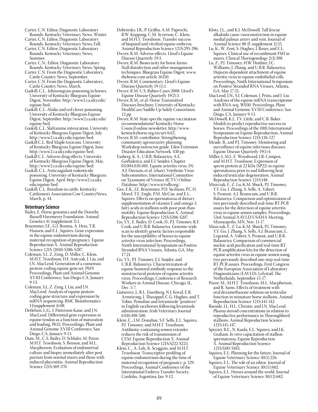- Carter, C.N. Editor, Diagnostic Laboratory Rounds. Kentucky Veterinary News, Winter.
- Carter, C.N. Editor, Diagnostic Laboratory Rounds. Kentucky Veterinary News, Fall.
- Carter, C.N. Editor, Diagnostic Laboratory Rounds. Kentucky Veterinary News, Summer.
- Carter, C.N.: Editor, Diagnostic Laboratory Rounds. Kentucky Veterinary News, Spring.
- Carter, C.N. From the Diagnostic Laboratory, Cattle Country News, September.
- Carter, C.N. From the Diagnostic Laboratory, Cattle Country News, March.
- Gaskill, C.L.. Johnsongrass poisoning in horses. University of Kentucky Bluegrass Equine Digest, November. http://www2.ca.uky.edu/ equine/bed.
- Gaskill, C.L. Alsike and red clover poisoning. University of Kentucky Bluegrass Equine Digest, September. http://www2.ca.uky.edu/ equine/bed.
- Gaskill, C.L. Slaframine intoxication. University of Kentucky Bluegrass Equine Digest, July. http://www2.ca.uky.edu/equine/bed.
- Gaskill C.L. Red Maple toxicosis. University of Kentucky Bluegrass Equine Digest, June. http://www2.ca.uky.edu/equine/bed.
- Gaskill C.L. Adverse drug effects. University of Kentucky Bluegrass Equine Digest, May, http://www2.ca.uky.edu/equine/bed.
- Gaskill, C.L. Anticoagulant rodenticide poisoning. University of Kentucky Bluegrass Equine Digest, April. http://www2.ca.uky. edu/equine/bed.
- Gaskill, C.L. Botulism in cattle. Kentucky Cattlemen's Association Cow CountryNews, March, p. 34.

### **Veterinary Science**

- Bailey, E. Horse genomics and the Dorothy Russell Havemeyer Foundation. Animal Genetics 41 (supplement 2):1.
- Bruemmer, J.E., G.J. Bouma, A. Hess, T.R. Hansen, and E.L. Squires. Gene expression in the equine endometrium during maternal recognition of pregnancy. Equine Reproduction X. Animal Reproduction Science 121S (2010) S286-S287.
- Coleman, S.J., Z. Zeng, D. Miller, C. Klein, M.H.T. Troedsson, D.F. Antczak, J. Liu, and J.N. MacLeod. Generation of a consensus protein-coding equine gene set. P619. Proceedings, Plant and Animal Genome XVIII Conference, San Diego, CA, January 9-13.
- Coleman, S.J., Z. Zeng, J. Liu, and J.N. MacLeod. Analysis of equine proteincoding gene structure and expression by mRNA sequencing. BMC Bioinformatics 11(supplement 4):08.
- Detlefsen, L.G., J. Patterson-Kane, and J.N. MacLeod. Differential gene expression in equine tendon as a function of maturation and loading. P632. Proceedings, Plant and Animal Genome XVIII Conference, San Diego, CA, January 9-13.
- Diaw, M., C.S. Bailey, D. Schlafer, M. Pozor, M.H.T. Troedsson, S. Benson, and M.L. Macpherson. Evaluation of endometrial culture and biopsy immediately after post partum from normal mares and those with induced placentitis. Animal Reproduction Science 121S:369-370.
- Dobrinsky, J.R., P. Griffin, A.M. Paprochi, R.W. Koppang, C.M. Syverson, C. Klein, and M.H.T. Troedsson. Transfer success of biopsied and vitrified equine embryos. Animal Reproduction Science 121S:295-296. Dwyer, R.M. Adverse effects. Lloyd's Equine
- Disease Quarterly 19:3. Dwyer, R.M. Biosecurity for horse farms:
- Stall disinfection and other management techniques. Bluegrass Equine Digest. www. thehorse.com article 16350. Dwyer, R.M. Commentary. Lloyd's Equine
- Disease Quarterly 19 (1):1. Dwyer, R.M. U.S. Rabies Cases 2008. Lloyd's
- Equine Disease Quarterly 19(2):3. Dwyer, R.M., et al. Horse Transmitted Diseases brochure, University of Kentucky HealthCare/Saddle Up Safely Consortium.
- 12 pp. Dwyer, R.M. State specific equine vaccination recommendations? Kentucky Horse Council online newsletter. http://www.
- kentuckyhorse.org/en/art/642/. Dwyer, R.M. contributor. Strengthening community agrosecurity planning: Workshop instructor guide. Eden Extension Disaster Education Network. 430 pp.
- Faaberg, K. S., U.B.R. Balasuriya, A.E. Gorbalenya, and E.J. Snijder, Chapter 03.004.0.01.001. Equine arteritis virus. IN: A.J. Davison, et al. (chair), Vetebrate Virus Subcommittee, International Committee on Taxonomy of Viruses (ICTV) Online Database. http://www.ictvdb.org/.
- Gee, E.K., J.E. Bruemmer, P.D. Siciliano, P.C.H. Morel, T.E. Engle, P.M. McCue, and E.L. Squires. Effects on spermatozoa of dietary supplementation of vitamin E and omega-3. fatty acids in stallions with poor post-thaw motility. Equine Reproduction X. Animal Reproduction Science 121S:S206-S207.
- Go, Y.Y., E. Bailey, D. Cook, D., P.J. Timoney, R.F. Cook, and U.B.R. Balasuriya. Genome-wide scan to identify genetic factors responsible for the susceptibility of horses to equine arteritis virus infection. Proceedings, Ninth International Symposium on Positive Stranded RNA Viruses, Atlanta, GA, May 17-21.
- Go, Y.Y., P.J. Timoney, E.J. Snijder, and U.B.R. Balasuriya. Characterization of equine humoral antibody response to the nonstructural proteins of equine arteritis virus. Proceedings, Conference of Research Workers in Animal Disease, Chicago, IL, Dec. 5-7.
- Gutierrez, J., R.L. Eisenberg, N.J. Koval, E.R. Armstrong, J. Tharappel, C.G. Hughes, and T. Tobin. Pemoline and tetramisole "positives" in English racehorses following levamisole administration. Irish Veterinary Journal 63(8):498-500.
- Klein, C., J.M. Donahue, S.F. Sells, E.L. Squires, P.J. Timoney, and M.H.T. Troedsson. Antibiotic-containing semen extender reduces the risk of transmission of CEM. Equine Reproduction X. Animal Reproduction Science 121S:S222-S223.
- Klein, C., A. Ealy, K. Scoggins, and M.H.T. Troedsson. Transcriptive profiling of equine endometrium during the time of maternal recognition of pregnancy. p. 229. Proceedings, Animal Conference of the International Embryo Transfer Society, Cordoba, Argentina, Jan. 9-12.
- Klotz, J.L., and K.J. McDowell. Tall fescue alkaloids cause vasoconstriction in equine medial palmar artery and vein. Journal of Animal Science 88 (E-supplement 2):55.
- Lu, K., W. Zent, S. Hughes, J. Roser, and E.L. Squires. Clinical use of recombinant FSH in mares. Clinical Theriogenology 2(3):398.
- Lu, Z., P.J. Timoney, H.W. Heidner, J.C. Williams, J. Zhang, and U.B.R. Balasuriya. Heparin-dependent attachment of equine arteritis virus to equine endothelial cells. Proceedings, Ninth International Symposium on Positive Stranded RNA Viruses, Atlanta, GA, May 17-21.
- MacLeod, J.N., S.J. Coleman, J. Prins, and J. Liu. Analyses of the equine mRNA transcriptome with RNA-seq. W030. Proceedings, Plant and Animal Genome XVIII Conference, San Diego, CA, January 9-13.
- McDowell, K.J., T.V. Little, and C.B. Baker. Models to predict reproductive success in horses. Proceedings of the 10th International Symposium on Equine Reproduction, Animal Reproduction Science 121S:126-127.
- Meade, B., and P.J. Timoney. Monitoring and surveillance of equine infectious diseases. Equine Disease Quarterly 19(1):4.
- Miller, L.M.J., E. Woodward, J.R. Campos, and M.H.T. Troedsson. Expression of sperm protein at 22 kDa (SP22) in equine spermatozoa prior to and following heat induced testicular degeneration. Animal Reproduction Science 121S:148.
- Miszczak, F., Z. Lu, K.M. Shuck, P.J. Timoney, Y.Y. Go, J. Zhang, S. Sells, A. Vabret, S. Pronost, A.J. Branscum, and U.B.R. Balasuriya. Comparison and optimization of two previously described real-time RT-PCR assays for the detection of equine arteritis virus in equine semen samples. Proceedings, 53rd Annual AAVLD/USAHA Meeting, Minneapolis, MN, Nov. 11-17.
- Miszczak, F., Z. Lu, K.M. Shuck, P.J. Timoney, Y.Y. Go, J. Zhang, S. Sells, A.J. Branscum, L. Legrand, A. Vabret, S. Pronost, and U.B.R. Balasuriya. Comparison of commercial nucleic acid purification and real-time RT-PCR amplification kits for the detection of equine arteritis virus in equine semen using two previously described one-step real-time RT-PCR assays. Proceedings, First Congress of the European Association of Laboratory Diagnosticians (EAVLD), Lelystad, The Netherlands, September 15-17.
- Pozor, M., M.H.T. Troedsson, M.L. Macpherson, and R. Sams. Effects of treatment with oral dexamethasone solution on testicular function in miniature horse stallions. Animal Reproduction Science 121S:141-142.
- Raeside, J.I., H.L. Christie, and J.N. MacLeod. Plasma steroid concentrations in relation to reproductive performance in Thoroughbred stallions. Animal Reproduction Science 121S:145-147.
- Spizziri, B.E., N. Kaula, E.L. Squires, and J.K. Graham. *In vitro* capacitation of stallion spermatozoa. Equine Reproduction X. Animal Reproduction Science 121S:S181-S183.
- Squires, E.L. Planning for the future. Journal of Equine Veterinary Science 30(5):226.
- Squires, E.L. The role of an editor. Journal of Equine Veterinary Science 30(11):602.
- Squires, E.L. Horses around the world. Journal of Equine Veterinary Science 30(12):682.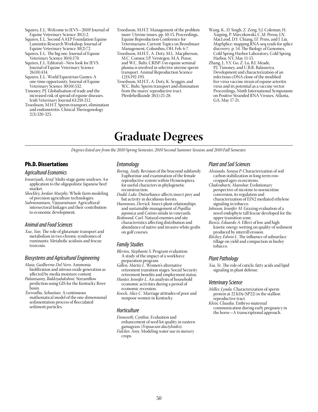- Squires, E.L. Welcome to JEVS—2010! Journal of Equine Veterinary Science 30(1):2.
- Squires, E.L. Second AAEP Foundation Equine Laminitis Research Workshop. Journal of Equine Veterinary Science 30(2):72.
- Squires, E.L. The big one. Journal of Equine Veterinary Science 30(4):170.
- Squires, E.L. Editorial—New look for JEVS. Journal of Equine Veterinary Science 26(10):434.
- Squires, E.L. World Equestrian Games: A one-time opportunity. Journal of Equine Veterinary Science 30(10):532.
- Timoney, P.J. Globalisation of trade and the increased risk of spread of equine diseases. Irish Veterinary Journal 63:210-212.
- Troedsson, M.H.T. Sperm transport, elimination and endometritis. Clinical Theriogenology 2(3):320-325.
- Troedsson, M.H.T. Management of the problem mare: Uterine issues. pp. 10-15, Proceedings, Equine Reproduction Conference for Veterinarians: Current Topics on Broodmare Management, Columbus, OH, Feb. 6-7.
- Troedsson, M.H.T., A. Doty, M.L. Macpherson, M.C. Connor, J.P. Verstegen, M.A. Pozor, and W.C. Buhi. CRISP-3 in equine seminal plasma is involved in selective uterine sperm transport. Animal Reproduction Science 121S:192-193.
- Troedsson, M.H.T., A. Doty, K. Scoggin, and W.C. Buhi. Sperm transport and elimination from the mares' reproductive tract. Pferdeheilkunde 26(1):25-28.
- Wang, K., D. Singh, Z. Zeng, S.J. Coleman, H. Xiaping, P. Mieczkowski, C.M. Perou, J.N. MacLeod, D.Y. Chiang, J.F. Prins, and J. Liu. MapSplice: mapping RNA-seq reads for splice discovery. p. 54. The Biology of Genomes, Cold Spring Harbor Laboratory, Cold Spring Harbor, NY, May 11-15.
- Zhang, J., Y.Y. Go, Z. Lu, B.J. Meade, P.J. Timoney, and U.B.R. Balasuriya. Development and characterization of an infectious cDNA clone of the modified live virus vaccine strain of equine arteritis virus and its potential as a vaccine vector. Proceedings, Ninth International Symposium on Positive Stranded RNA Viruses, Atlanta, GA, May 17-21.

# **Graduate Degrees**

*Degrees listed are from the 2010 Spring Semester, 2010 Second Summer Session, and 2010 Fall Semester.*

# Ph.D. Dissertations

### *Agricultural Economics*

- *Iswariyadi, Arief*. Multi-stage game analyses: An application to the oligopolistic Japanese beef market.
- *Shockley, Jordan Murphy*. Whole farm modeling of precision agriculture technologies.
- *Subramaniam, Vijayaratnam*. Agricultural intersectoral linkages and their contribution to economic development.

### *Animal and Food Sciences*

*Xue, Yan.* The role of glutamate transport and metabolism in two chronic syndromes of ruminants: Metabolic acidosis and fescue toxicosis.

# *Biosystems and Agricultural Engineering*

- *Maia, Guilherme Del Nero.* Ammonia biofiltration and nitrous oxide generation as affected by media moisture content.
- *Palanisamy, Bakkiyalakshmi.* Streamflow prediction using GIS for the Kentucky River basin.
- *Torrealba, Sebastian.* A continuous mathematical model of the one-dimensional sedimentation process of flocculated sediment particles.

### *Entomology*

- *Boring, Andy.* Revision of the braconid subfamily Euphorinae and examination of the female reproductive system within Hymenoptera for useful characters in phylogenetic reconstruction.
- *Dodd, Luke.* Disturbance affects insect prey and bat activity in deciduous forests.
- *Hammons, Derrick.* Insect-plant relationships and sustainable management of *Popillia japonica* and *Cotinis nitida* in vineyards.
- *Redmond, Carl.* Natural enemies and site characteristics affecting distribution and abundance of native and invasive white grubs on golf courses.

# *Family Studies*

- *Blevins, Stephanie S.* Program evaluation: A study of the impact of a workforce preparation program.
- *Gillen, Martie L.* Women's alternative retirement transition stages: Social Security retirement benefits and employment status.

*Hunter, Jennifer L.* An analysis of household economic activities during a period of economic recession.

*Koech, Alice C.* Marriage attitudes of poor and nonpoor women in Kentucky.

### *Horticulture*

- *Finneseth, Cynthia.* Evaluation and enhancement of seed lot quality in eastern
- gamagrass (*Tripsacum dactyloides*). *Fulcher, Amy.* Modeling water use in nursery crops.

# *Plant and Soil Sciences*

- *Alvarado, Soraya P.* Characterization of soil carbon stabilization in long-term rowcropped agro-ecosystems.
- *Chakrabarti, Manohar*. Evolutionary perspective of nicotine to nornicotine conversion, its regulation and characterization of EIN2 mediated ethylene signaling in tobacco.
- *Johnson, Jennifer M.* Grazing evaluation of a novel endophyte tall fescue developed for the upper transition zone.
- *Rienzi, Eduardo A.* Effect of low and high kinetic energy wetting on quality of sediment produced by interrill erosion.
- *Ritchey, Edwin L.* The influence of subsurface tillage on yield and compaction in burley tobacco.

### *Plant Pathology*

*Xia, Ye.* The role of cuticle, fatty acids and lipid signaling in plant defense.

### *Veterinary Science*

*Miller, Lynda.* Characterization of sperm protein at 22 kDa (SP22) in the stallion reproductive tract.

*Klein, Claudia.* Embryo-maternal communication during early pregnancy in the horse—A transcriptional approach*.*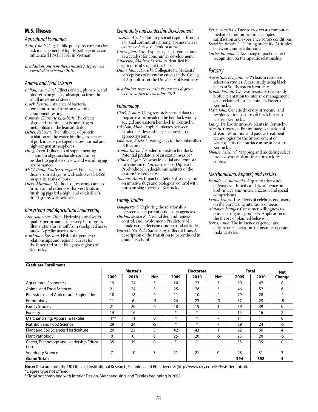# M.S. Theses

### *Agricultural Economics*

*Tran, Chinh Cong.* Public policy instruments for risk management of highly pathogenic avian influenza (HPAI) H5N1 in Vietnam.

*In addition, one non-thesis master's degree was awarded in calendar 2010.*

### *Animal and Food Sciences*

*Ballou, Anne Lael*. Effects of diet, phlorizin, and phloretin on glucose absorption from the small intestine of steers.

- *Brock, Kristin.* Influence of bacteria, temperature and time on raw milk component testing.
- *Conway, Charlotte Elizabeth.* The effects of graded arginine levels on nitrogen metabolism in the lean adult dog.
- *Delles, Rebecca.* The influence of protein oxidation on the water-binding properties of pork muscle packaged in low, normal and high-oxygen atmospheres.
- *Hung, I-Fen.* Influences of supplementing a mannan oligosaccharide containing product to pig diets on sow and weanling pig performance.
- *McClelland, Kaitlyn Margaret.* Effects of corn distillers dried grains with solubles (DDGS) on quality traits of pork.
- *Ulery, Miranda.* Methods of restoring carcass firmness and other post-harvest traits in finishing pigs fed a high level of distiller's dried grains with solubles.

### *Biosystems and Agricultural Engineering*

- *Atkinson Stone, Tracy.* Hydrologic and water quality performance of a weep berm-grass filter system for runoff from stockpiled horse muck: A preliminary study.
- *Brockman, Roseann.* Hydraulic geometry relationships and regional curves for the inner and outer bluegrass regions of Kentucky.

### *Community and Leadership Development*

- *Yasuda, Atsuko.* Building social capital through a virtual community among Japanese wives overseas: A case of Tenkintsuma.
- *Carrington, Amy.* Exploring arts organizations as a catalyst for community development.
- *Anderson, Mathew.* Stressors identified by agricultural student teachers.

*Dunn, Jamie Parriski.* Collegiate fit: Students' perceptions of retention efforts in the College of Agriculture at the University of Kentucky.

*In addition, three non-thesis master's degrees were awarded in calendar 2010.*

### *Entomology*

- *Clark, Joshua.* Using remotely sensed data to map an exotic invader: The hemlock woolly adelgid and eastern hemlock in Kentucky.
- *Eskelson, Mike.* Trophic linkages between carabid beetles and slugs in strawberry agroecosystems.
- *Johansen, Kacie.* Creating keys to the subfamilies of Braconidae.
- *Mallis, Rachael.* Spiders in eastern hemlock: Potential predators of an exotic invasive?
- *Minter, Logan.* Mesoscale spatial and temporal distribution of *Lutzomyia* spp. (Diptera : Psychodidae) in deciduous habitats of the eastern United States.
- *Thomas, Anna.* Impact of dietary diversification on invasive slugs and biological control with notes on slug species of Kentucky.

### *Family Studies*

- *Dougherty, S.* Exploring the relationship between foster parents and foster agencies.
- *Durbin, Jessica R.* Parental demandingness, control, and involvement: Predictors of female career decisions and marital attitudes.
- *Garrett, Nicole D*. Same baby, different time: A description of the transition to parenthood in graduate school.
- *Perry, Martha S.* Face to face versus computermediated communication: Couples satisfaction and experience across conditions.
- *Strickler, Brooke L.* Defining infidelity: Attitudes, behaviors, and attributions.
- *Sutter, Julianne V.* Assessing impact of affect recognition on therapeutic relationship.

### *Forestry*

- *Augustine, Benjamin.* GPS bias in resource selection studies: A case study using black bears in Southeastern Kentucky.
- *Brinks, Joshua.* Two year response of a woody biofuel plantation to intensive management on a reclaimed surface mine in Eastern Kentucky.
- *Hast, John.* Genetic diversity, structure, and recolonization patterns of black bears in Eastern Kentucky.
- *Liang, Yu.* Exotic invasive plants in Kentucky.
- *Mastin, Courtney.* Preliminary evaluation of stream restoration and passive treatment technologies for the improvement of water quality on a surface mine in Eastern Kentucky.
- *Shouse, Michael.* Mapping and modeling select invasive exotic plants in an urban forest context.

### *Merchandising, Apparel, and Textiles*

- *Brantley, Aquiashala.* A quantitative study of females: ethnicity and its influence on body image, thin-internalization and social comparisons.
- *Evans, Laura.* The effects of celebrity endorsers on the purchasing intentions of teens.
- *Maloney, Jennifer.* Consumer willingness to purchase organic products: Application of the theory of planned behavior.
- *Solka, Anna.* The influence of gender and culture on Generation Y consumer decision making styles.

| l Graduate Enrollment                             |              |              |                  |        |        |                          |      |      |                |
|---------------------------------------------------|--------------|--------------|------------------|--------|--------|--------------------------|------|------|----------------|
|                                                   | Master's     |              | <b>Doctorate</b> |        |        | Total                    |      | Net  |                |
|                                                   | 2009         | 2010         | <b>Net</b>       | 2009   | 2010   | Net                      | 2009 | 2010 | Change         |
| Agricultural Economics                            | 19           | 24           | 5                | 20     | 23     | 3                        | 39   | 47   | 8              |
| Animal and Food Sciences                          | 21           | 24           | 3                | 25     | 28     | 3                        | 46   | 52   | 6              |
| Biosystems and Agricultural Engineering           | 18           | 18           | 0                | 11     | 10     | $-1$                     | 29   | 28   | -1             |
| Entomology                                        | 11           | 6            | $-5$             | 26     | 23     | $-3$                     | 37   | 29   | -8             |
| Family Studies                                    | 21           | 20           | $-1$             | 18     | 19     |                          | 39   | 39   | $\mathbf{0}$   |
| Forestry                                          | 14           | 16           | 2                | $\ast$ | $\ast$ | $\overline{\phantom{0}}$ | 14   | 16   | $\overline{2}$ |
| Merchandising, Apparel & Textiles                 | $11***$      | 11           | 0                | $\ast$ | $\ast$ |                          | 11   | 11   | $\mathbf 0$    |
| Nutrition and Food Science                        | 29           | 24           | $-5$             | $\ast$ | $\ast$ | $\overline{\phantom{0}}$ | 29   | 24   | $-5$           |
| Plant and Soil Sciences/Horticulture              | 20           | 23           | 3                | 42     | 43     |                          | 62   | 66   | 4              |
| Plant Pathology                                   | $\mathbf{0}$ | $\mathbf{0}$ | 0                | 25     | 20     | -5                       | 25   | 20   | $-5$           |
| Career, Technology and Leadership Educa-<br>ltion | 35           | 35           | $\mathbf{0}$     | $\ast$ | $\ast$ |                          | 35   | 35   | $\Omega$       |
| Veterinary Science                                | 7            | 10           | 3                | 21     | 21     | $\Omega$                 | 28   | 31   | 3              |
| <b>Grand Totals</b>                               |              |              |                  |        |        |                          | 394  | 398  | 4              |

**Note:** Data are from the UK Office of Institutional Research, Planning, and Effectiveness (http://www.uky.edu/IRPE/student.html).

\*Degree type not offered.

\*\*Total not combined with Interior Design, Merchandising, and Textiles beginning in 2008.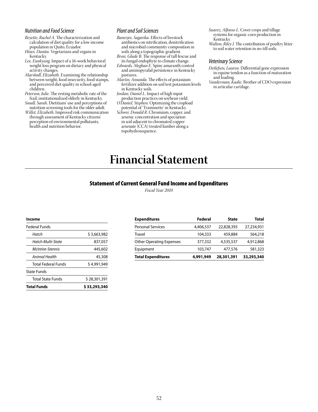### *Nutrition and Food Science*

*Beyette, Rachel A.* The characterization and calculation of diet quality for a low-income population in Quito, Ecuador.

*Hines, Danita.* Vegetarians and vegans in Kentucky.

- *Lee, Eunkyung.* Impact of a 16-week behavioral weight-loss program on dietary and physical activity changes.
- *Marshall, Elizabeth.* Examining the relationship between weight, food insecurity, food stamps, and perceived diet quality in school-aged children.
- *Peterson, Julie.* The resting metabolic rate of the frail, institutionalized elderly in Kentucky.
- *Small, Sarah.* Dietitians' use and perceptions of nutrition screening tools for the older adult.
- *Willet, Elizabeth.* Improved risk communication through assessment of Kentucky citizens' perception of environmental pollutants, health and nutrition behavior.

### *Plant and Soil Sciences*

- *Banerjee, Sagarika.* Effects of livestock antibiotics on nitrification, denitrification and microbial community composition in soils along a topographic gradient.
- *Brosi, Glade B.* The response of tall fescue and its fungal endophyte to climate change.
- *Edwards, Meghan E.* Spiny amaranth control and aminopyralid persistence in Kentucky pastures.
- *Martin, Amanda.* The effects of potassium fertilizer addition on soil test potassium levels in Kentucky soils.
- *Jordan, Daniel L.* Impact of high input production practices on soybean yield.
- *O'Daniel, Stephen.* Optimizing the cropload potential of 'Traminette' in Kentucky.
- *Schwer, Donald R.* Chromium, copper, and arsenic concentration and speciation in soil adjacent to chromated copper arsenate (CCA) treated lumber along a topohydrosequence.
- *Suarez, Alfonso L.* Cover crops and tillage systems for organic corn production in Kentucky.
- *Walton, Riley J.* The contribution of poultry litter to soil water retention in no-till soils.

### *Veterinary Science*

- *Detlefsen, Lauren.* Differential gene expression in equine tendon as a function of maturation and loading.
- *Vanderman, Kadie.* Brother of CDO expression in articular cartilage.

# **Financial Statement**

### Statement of Current General Fund Income and Expenditures

*Fiscal Year 2010*

| Income                     |              |
|----------------------------|--------------|
| Federal Funds              |              |
| Hatch                      | \$3,663,982  |
| <b>Hatch Multi-State</b>   | 837,057      |
| McIntire-Stennis           | 445,602      |
| Animal Health              | 45,308       |
| <b>Total Federal Funds</b> | \$4,991,949  |
| State Funds                |              |
| <b>Total State Funds</b>   | \$28,301,391 |
| <b>Total Funds</b>         | \$33,293,340 |

| <b>Expenditures</b>             | Federal   | <b>State</b> | <b>Total</b> |
|---------------------------------|-----------|--------------|--------------|
| <b>Personal Services</b>        | 4,406,537 | 22,828,393   | 27,234,931   |
| <b>Travel</b>                   | 104,333   | 459,884      | 564,218      |
| <b>Other Operating Expenses</b> | 377,332   | 4,535,537    | 4,912,868    |
| Equipment                       | 103,747   | 477,576      | 581,323      |
| <b>Total Expenditures</b>       | 4,991,949 | 28,301,391   | 33,293,340   |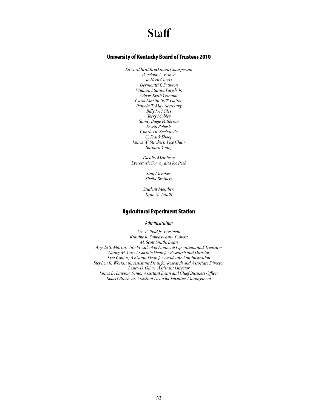# University of Kentucky Board of Trustees 2010

*Edward Britt Brockman, Chairperson Penelope A. Brown Jo Hern Curris Dermontti F. Dawson William Stamps Farish, Jr. Oliver Keith Gannon Carol Martin "Bill" Gatton Pamela T. May, Secretary Billy Joe Miles Terry Mobley Sandy Bugie Patterson Erwin Roberts Charles R. Sachatello C. Frank Shoop James W. Stuckert, Vice Chair Barbara Young*

*Faculty Members: Everett McCorvey and Joe Peek*

> *Staff Member: Sheila Brothers*

*Student Member: Ryan M. Smith*

# Agricultural Experiment Station

### *Administration*

*Lee T. Todd Jr., President Kumble R. Subbaswamy, Provost M. Scott Smith, Dean Angela S. Martin, Vice President of Financial Operations and Treasurer Nancy M. Cox, Associate Dean for Research and Director Lisa Collins, Assistant Dean for Academic Administration Stephen R. Workman, Assistant Dean for Research and Associate Director Lesley D. Oliver, Assistant Director James D. Lawson, Senior Assistant Dean and Chief Business Officer Robert Brashear, Assistant Dean for Facilities Management*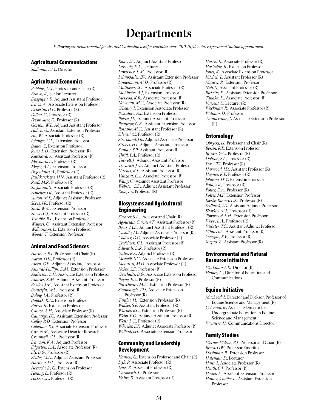# **Departments**

*Following are departmental faculty and leadership lists for calendar year 2010. (R) denotes Experiment Station appointment.*

# Agricultural Communications

*Skillman, L.M.,* Director

# Agricultural Economics

*Robbins, L.W.,* Professor and Chair (R) *Brown, R.,* Senior Lecturer *Dasgupta, S.,* Adjunct Assistant Professor *Davis, A.,* Associate Extension Professor *Debertin, D.L.,* Professor (R) *Dillon, C.,* Professor (R) *Freshwater, D.,* Professor (R) *Gorton, W.T.,* Adjunct Assistant Professor *Halich, G.,* Assistant Extension Professor *Hu, W.,* Associate Professor (R) *Infanger, C.L.,* Extension Professor *Isaacs, S.,* Extension Professor *Jones, L.D.,* Extension Professor (R) *Katchova, A.,* Assistant Professor (R) *Maynard, L.,* Professor (R) *Meyer, A.L.,* Extension Professor *Pagoulatos, A.,* Professor (R) *Pushkarskaya, H.N.,* Assistant Professor (R) *Reed, M.R.,* Professor (R) *Saghaian, S.,* Associate Professor (R) *Schieffer, J.K.,* Assistant Professor (R) *Simon, M.F.,* Adjunct Assistant Professor *Skees, J.R.,* Professor (R) *Snell, W.M.,* Extension Professor *Stowe, C.J.,* Assistant Professor (R) *Trimble, R.L.,* Extension Professor *Walters, C.,* Assistant Extension Professor *Williamson, L.,* Extension Professor *Woods, T.,* Extension Professor

### Animal and Food Sciences

*Harmon, R.J.,* Professor and Chair (R) *Aaron, D.K.,* Professor (R) *Aiken, G.E.,* Adjunct Associate Professor *Amaral-Phillips, D.M.,* Extension Professor *Anderson, L.H.,* Associate Extension Professor *Andries, K.M.,* Adjunct Assistant Professor *Bewley, J.M.,* Assistant Extension Professor *Boatright, W.L.,* Professor (R) *Boling, J.A.,* Professor (R) *Bullock, K.D.,* Extension Professor *Burris, R.,* Extension Professor *Cantor, A.H.,* Associate Professor (R) *Camargo, F.C.,* Assistant Extension Professor *Coffey, R.D.,* Extension Professor *Coleman, R.J.,* Associate Extension Professor *Cox, N.M.,* Associate Dean for Research *Cromwell, G.L.,* Professor (R) *Dawson, K.A.,* Adjunct Professor *Edgerton, L.A.,* Associate Professor (R) *Ely, D.G.,* Professor (R) *Flythe, M.D.,* Adjunct Assistant Professor *Harmon, D.L.,* Professor (R) *Heersche Jr., G.,* Extension Professor *Hennig, B.,* Professor (R) *Hicks, C.L.,* Professor (R)

*Klotz, J.L.,* Adjunct Assistant Professor *LaBonty, E.A.,* Lecturer *Lawrence, L.M.,* Professor (R) *Lehmkhuler, J.W.,* Assistant Extension Professor *Lindemann, M.D.,* Professor (R) *Matthews, J.C.,* Associate Professor (R) *McAllister, A.J.,* Extension Professor *McLeod, K.R.,* Associate Professor (R) *Newman, M.C.,* Associate Professor (R) *O'Leary, J.,* Extension Associate Professor *Pescatore, A.J.,* Extension Professor *Pierce, J.L.,* Adjunct Assistant Professor *Rentfrow, G.K.,* Assistant Extension Professor *Rossano, M.G.,* Assistant Professor (R) *Silvia, W.J.,* Professor (R) *Strickland, J.R.,* Adjunct Associate Professor *Strobel, H.J.,* Adjunct Associate Professor *Suman, S.P.,* Assistant Professor (R) *Thrift, F.A.,* Professor (R) *Tidwell, J.,* Adjunct Assistant Professor *Tricarico, J.M.,* Adjunct Assistant Professor *Urschel, K.L.,* Assistant Professor (R) *Vanzant, E.S.,* Associate Professor (R) *Wang, C.,* Adjunct Assistant Professor *Webster, C.D.,* Adjunct Assistant Professor *Xiong, Y.,* Professor (R)

# Biosystems and Agricultural Engineering

*Shearer, S.A.,* Professor and Chair (R) *Agouridis, Carmen T.,* Assistant Professor (R) *Byers, M.E.,* Adjunct Assistant Professor (R) *Castillo, M.,* Adjunct Associate Professor (R) *Colliver, D.G.,* Associate Professor (R) *Crofcheck, C.L.,* Assistant Professor (R) *Edwards, D.R.,* Professor (R) *Gates, R.S.,* Adjunct Professor (R) *McNeill, S.G.,* Associate Extension Professor *Montross, M.D.,* Associate Professor (R) *Nokes, S.E.,* Professor (R) *Overhults, D.G.,* Associate Extension Professor *Payne, F.A.,* Professor (R) *Purschwitz, M.A.,* Extension Professor (R) *Stombaugh, T.D.,* Associate Extension Professor (R) *Taraba, J.L.,* Extension Professor (R) *Walker, S.P.,* Assistant Professor (R) *Warner, R.C.,* Extension Professor (R) *Webb, E.G.,* Adjunct Assistant Professor (R) *Wells, L.G.,* Professor (R) *Wheeler, E.F.,* Adjunct Associate Professor (R) *Wilhoit, J.H.,* Associate Extension Professor

### Community and Leadership Development

*Hansen, G.,* Extension Professor and Chair (R) *Dyk, P.,* Associate Professor (R) *Epps, R.,* Assistant Professor (R) *Garkovich, L.,* Professor *Hains, B.,* Assistant Professor (R)

*Harris, R.,* Associate Professor (R) *Hustedde, R.,* Extension Professor *Jones, K.,* Associate Extension Professor *Kitchel, T.,* Assistant Professor (R) *Maurer, R.,* Extension Professor *Nah, S.,* Assistant Professor (R) *Ricketts, K.,* Assistant Extension Professor *Tanaka, K.,* Associate Professor (R) *Vincent, S.,* Lecturer (R) *Weckman, R.,* Associate Professor (R) *Witham, D.,* Professor *Zimmerman, J.,* Associate Extension Professor  $(R)$ 

### Entomology

*Obrycki, J.J.,* Professor and Chair (R) *Bessin, R.T.,* Extension Professor *Brown, G.C.,* Professor (R) *Dobson, S.L.,* Professor (R) *Fox, C.W.,* Professor (R) *Harwood, J.D.,* Assistant Professor (R) *Haynes, K.F.,* Professor (R) *Johnson, D.W.,* Extension Professor *Palli, S.R.,* Professor (R) *Potter, D.A.,* Professor (R) *Potter, M.F.,* Extension Professor *Rieske-Kinney, L.K.,* Professor (R) *Sedlacek, J.D.,* Assistant Adjunct Professor *Sharkey, M.J.,* Professor (R) *Townsend, L.H.,* Extension Professor *Webb, B.A.,* Professor (R) *Webster, T.C.,* Assistant Adjunct Professor *White, J.A.,* Assistant Professor (R) *Yeargan, K.V.,* Professor (R) *Xuguo, Z.,* Assistant Professor (R)

# Environmental and Natural Resource Initiative

*Workman, S.R.,* Director (R) *Hanley, C.,* Director of Education and Communications

### Equine Initiative

*MacLeod, J.,* Director and Dickson Professor of Equine Science and Management (R) *Coleman, R.,* Associate Director for Undergraduate Education in Equine Science and Management *Wiemers, H.,* Communications Director

### Family Studies

*Werner-Wilson, R.J.,* Professor and Chair (R) *Brock, G.W.,* Professor Emeritus *Flashman, R.,* Extension Professor *Haleman, D.,* Lecturer *Hans, J.,* Associate Professor (R) *Heath, C.J.,* Professor (R) *Hosier, A.,* Assistant Extension Professor *Hunter, Jennifer L.,* Assistant Extension Professor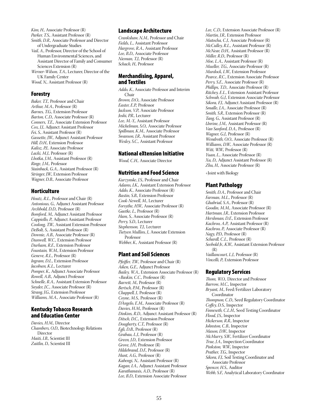*Kim, H.,* Associate Professor (R) *Parker, T.S.,* Assistant Professor (R) *Smith, D.R.,* Associate Professor and Director of Undergraduate Studies *Vail, A.,* Professor, Director of the School of Human Environmental Sciences, and Assistant Director of Family and Consumer

Sciences Extension (R) *Werner-Wilson, T.A.,* Lecturer, Director of the UK Family Center

*Wood, N.,* Assistant Professor (R)

# Forestry

*Baker, T.T.,* Professor and Chair *Arthur, M.A.,* Professor (R) *Barnes, T.G.,* Extension Professor *Barton, C.D.,* Associate Professor (R) *Conners, T.E.,* Associate Extension Professor *Cox, J.J.,* Adjunct Assistant Professor *Fei, S.,* Assistant Professor (R) *Gassette, J.W.,* Adjunct Assistant Professor *Hill, D.H.,* Extension Professor *Kalisz, P.J.,* Associate Professor *Lacki, M.J.,* Professor (R) *Lhotka, J.M.,* Assistant Professor (R) *Ringe, J.M.,* Professor *Stainback, G.A.,* Assistant Professor (R) *Stringer, J.W.,* Extension Professor *Wagner, D.B.,* Associate Professor

# **Horticulture**

*Houtz, R.L.,* Professor and Chair (R) *Antonious, G.,* Adjunct Assistant Professor *Archbold, D.D.,* Professor (R) *Bomford, M.,* Adjunct Assistant Professor *Cappiello, P.,* Adjunct Assistant Professor *Coolong, T.W.,* Assistant Extension Professor *DeBolt, S.,* Assistant Professor (R) *Downie, A.B.,* Associate Professor (R) *Dunwell, W.C.,* Extension Professor *Durham, R.E.,* Extension Professor *Fountain, W.M.,* Extension Professor *Geneve, R.L.,* Professor (R) *Ingram, D.L.,* Extension Professor *Jacobsen, K.L.,* Lecturer *Pomper, K.,* Adjunct Associate Professor *Rowell, A.B.,* Adjunct Professor *Schnelle, R.A.,* Assistant Extension Professor *Snyder, J.C.,* Associate Professor (R) *Strang, J.G.,* Extension Professor *Williams, M.A.,* Associate Professor (R)

### Kentucky Tobacco Research and Education Center

*Davies, H.M.,* Director *Chambers, O.D.,* Biotechnology Relations Director *Maiti, I.B.,* Scientist III *Zaitlin, D.,* Scientist III

### Landscape Architecture

*Crankshaw, N.M.,* Professor and Chair *Fields, L.,* Assistant Professor *Hargrove, R.A.,* Assistant Professor *Lee, B.D.,* Associate Professor *Nieman, T.J.,* Professor (R) *Schach, H.,* Professor

### Merchandising, Apparel, and Textiles

*Addo, K.,* Associate Professor and Interim Chair *Brown, D.O.,* Associate Professor *Easter, E.P.,* Professor *Jackson, V.P.,* Associate Professor *Joshi, P.R.,* Lecturer *Lee, M.-Y,*, Assistant Professor *Michelman, S.O.,* Associate Professor *Spillman, K.M.,* Associate Professor *Swanson, J.R.,* Assistant Professor *Wesley, S.C.,* Assistant Professor

# National eXtension Initiative

*Wood, C.H.,* Associate Director

# Nutrition and Food Science

*Kurzynske, J.S.,* Professor and Chair *Adams, I.K.,* Assistant Extension Professor *Addo, K.,* Associate Professor (R) *Bastin, S.B.,* Extension Professor *Cook-Newell, M.,* Lecturer *Forsythe, H.W.,* Associate Professor (R) *Gaetke, L.,* Professor (R) *Ham, S.,* Associate Professor (R) *Perry, S.D.,* Lecturer *Stephenson, T.J.,* Lecturer *Tietyen Mullins, J.,* Associate Extension Professor *Webber, K.,* Assistant Professor (R)

### Plant and Soil Sciences

*Pfeiffer, T.W.,* Professor and Chair (R) *Aiken, G.E.,* Adjunct Professor *Bailey, W.A.,* Extension Associate Professor (R) *+Baskin, C.C.,* Professor (R) *Barrett, M.,* Professor (R) *Bertsch, P.M.,* Professor (R) *Chappell, J.,* Professor (R) *Coyne, M.S.,* Professor (R) *D'Angelo, E.M.,* Associate Professor (R) *Davies, H.M.,* Professor (R) *Dinkins, R.D.,* Adjunct Assistant Professor (R) *Ditsch, D.C.,* Extension Professor *Dougherty, C.T.,* Professor (R) *Egli, D.B.,* Professor (R) *Grabau, L.J.,* Professor (R) *Green, J.D.,* Extension Professor *Grove, J.H.,* Professor (R) *Hildebrand, D.F.,* Professor (R) *Hunt, A.G.,* Professor (R) *Kabengi, N.,* Assistant Professor (R) *Kagan, I.A.,* Adjunct Assistant Professor *Karathanasis, A.D.,* Professor (R) *Lee, B.D.,* Extension Associate Professor

*Lee, C.D.,* Extension Associate Professor (R) *Martin, J.R.,* Extension Professor *Matocha, C.J.,* Associate Professor (R) *McCulley, R.L.,* Assistant Professor (R) *McNear, D.H.,* Assistant Professor (R) *Miller, R.D.,* Professor (R) *Moe, L.A.,* Assistant Professor (R) *Mueller, T.G.,* Associate Professor (R) *Murdock, L.W.,* Extension Professor *Pearce, R.C.,* Extension Associate Professor *Perry, S.E.,* Associate Professor (R) *Phillips, T.D.,* Associate Professor (R) *Ritchey, E.L.,* Extension Assistant Professor *Schwab, G.J.,* Extension Associate Professor *Sikora, F.J.,* Adjunct Assistant Professor (R) *Smalle, J.A.,* Associate Professor (R) *Smith, S.R.,* Extension Professor (R) *Tang, G.,* Assistant Professor (R) *Unrine, J.M.,* Assistant Professor (R) *Van Sanford, D.A.,* Professor (R) *Wagner, G.J.,* Professor (R) *Wendroth, O.O.,* Associate Professor (R) *Williams, D.W.,* Associate Professor (R) *Witt, W.W.,* Professor (R) *Yuan, L.,* Associate Professor (R) *Xu, D.,* Adjunct Assistant Professor (R) *Zhu, H.,* Associate Professor (R)

+Joint with Biology

# Plant Pathology

*Smith, D.A.,* Professor and Chair *Farman, M.L.,* Professor (R) *Ghabrial, S.A.,* Professor (R) *Goodin, M.M.,* Associate Professor (R) *Hartman, J.R.,* Extension Professor *Hershman, D.E.,* Extension Professor *Kachroo, A.P.,* Assistant Professor (R) *Kachroo, P.,* Associate Professor (R) *Nagy, P.D.,* Professor (R) *Schardl, C.L.,* Professor (R) *Seebold Jr., K.W.,* Assistant Extension Professor  $(R)$ *Vaillancourt, L.J.,* Professor (R) *Vincelli, P.,* Extension Professor

### Regulatory Services

*Thom, W.O.,* Director and Professor *Barrow, M.C.,* Inspector *Bryant, M.,* Feed/Fertilizer Laboratory Coordinator *Thompson, C.D.,* Seed Regulatory Coordinator *Coffey, D.S.,* Inspector *Finneseth, C.L.H.,* Seed Testing Coordinator *Flood, J.S.,* Inspector *Hickerson, R.R.,* Inspector *Johnston, C.B.,* Inspector *Mason, D.W.,* Inspector *McMurry, S.W.,* Fertilizer Coordinator *True, J.A.,* Inspection Coordinator *Pinkston, W.W.,* Inspector *Prather, T.G.,* Inspector *Sikora, F.J.,* Soil Testing Coordinator and Associate Professor *Spencer, H.S.,* Auditor *Webb, S.F.,* Analytical Laboratory Coordinator